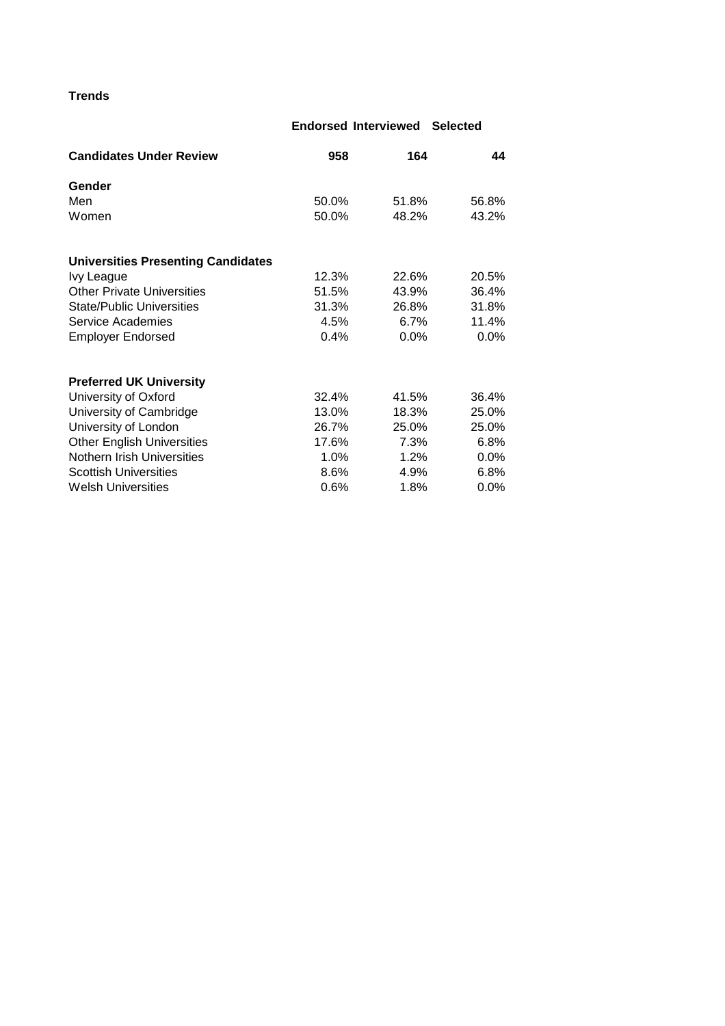# **Trends**

## **Endorsed Interviewed Selected**

| <b>Candidates Under Review</b>            | 958     | 164     | 44      |
|-------------------------------------------|---------|---------|---------|
| Gender                                    |         |         |         |
| Men                                       | 50.0%   | 51.8%   | 56.8%   |
| Women                                     | 50.0%   | 48.2%   | 43.2%   |
| <b>Universities Presenting Candidates</b> |         |         |         |
| Ivy League                                | 12.3%   | 22.6%   | 20.5%   |
| <b>Other Private Universities</b>         | 51.5%   | 43.9%   | 36.4%   |
| <b>State/Public Universities</b>          | 31.3%   | 26.8%   | 31.8%   |
| Service Academies                         | 4.5%    | 6.7%    | 11.4%   |
| <b>Employer Endorsed</b>                  | 0.4%    | $0.0\%$ | 0.0%    |
| <b>Preferred UK University</b>            |         |         |         |
| University of Oxford                      | 32.4%   | 41.5%   | 36.4%   |
| University of Cambridge                   | 13.0%   | 18.3%   | 25.0%   |
| University of London                      | 26.7%   | 25.0%   | 25.0%   |
| <b>Other English Universities</b>         | 17.6%   | 7.3%    | 6.8%    |
| Nothern Irish Universities                | $1.0\%$ | 1.2%    | $0.0\%$ |
| <b>Scottish Universities</b>              | 8.6%    | 4.9%    | 6.8%    |
| <b>Welsh Universities</b>                 | 0.6%    | 1.8%    | $0.0\%$ |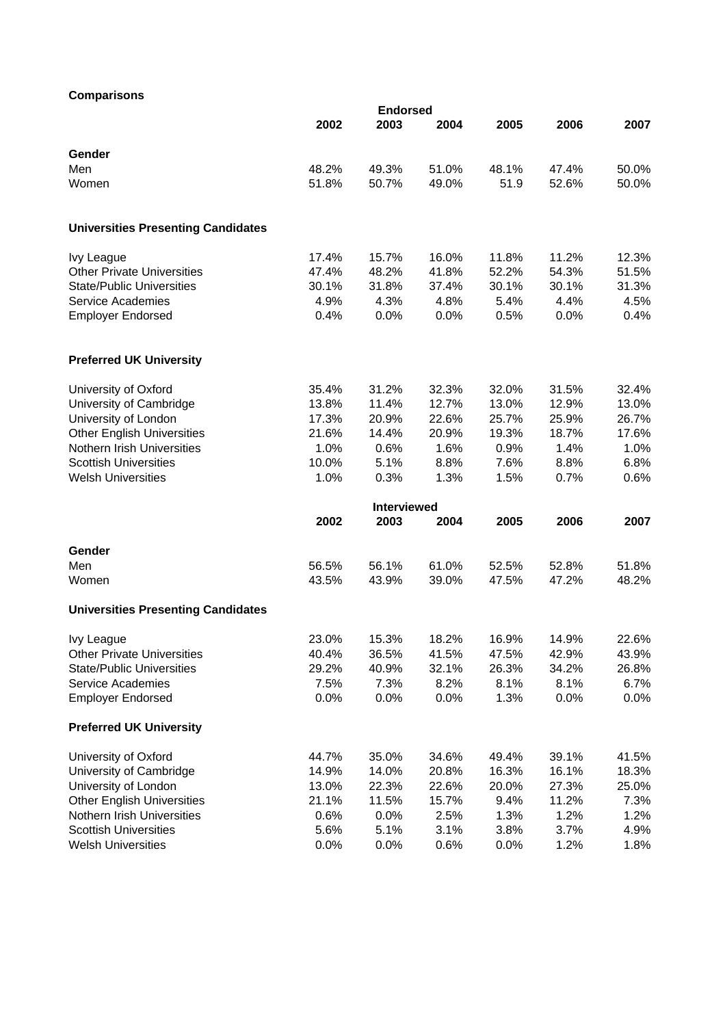## **Comparisons**

| <b>UUIIIµaI ISUIIS</b>                    | <b>Endorsed</b> |             |       |       |       |       |  |  |
|-------------------------------------------|-----------------|-------------|-------|-------|-------|-------|--|--|
|                                           | 2002            | 2003        | 2004  | 2005  | 2006  | 2007  |  |  |
| Gender                                    |                 |             |       |       |       |       |  |  |
| Men                                       | 48.2%           | 49.3%       | 51.0% | 48.1% | 47.4% | 50.0% |  |  |
| Women                                     | 51.8%           | 50.7%       | 49.0% | 51.9  | 52.6% | 50.0% |  |  |
| <b>Universities Presenting Candidates</b> |                 |             |       |       |       |       |  |  |
| <b>Ivy League</b>                         | 17.4%           | 15.7%       | 16.0% | 11.8% | 11.2% | 12.3% |  |  |
| <b>Other Private Universities</b>         | 47.4%           | 48.2%       | 41.8% | 52.2% | 54.3% | 51.5% |  |  |
| <b>State/Public Universities</b>          | 30.1%           | 31.8%       | 37.4% | 30.1% | 30.1% | 31.3% |  |  |
| Service Academies                         | 4.9%            | 4.3%        | 4.8%  | 5.4%  | 4.4%  | 4.5%  |  |  |
| <b>Employer Endorsed</b>                  | 0.4%            | 0.0%        | 0.0%  | 0.5%  | 0.0%  | 0.4%  |  |  |
| <b>Preferred UK University</b>            |                 |             |       |       |       |       |  |  |
| University of Oxford                      | 35.4%           | 31.2%       | 32.3% | 32.0% | 31.5% | 32.4% |  |  |
| University of Cambridge                   | 13.8%           | 11.4%       | 12.7% | 13.0% | 12.9% | 13.0% |  |  |
| University of London                      | 17.3%           | 20.9%       | 22.6% | 25.7% | 25.9% | 26.7% |  |  |
| <b>Other English Universities</b>         | 21.6%           | 14.4%       | 20.9% | 19.3% | 18.7% | 17.6% |  |  |
| Nothern Irish Universities                | 1.0%            | 0.6%        | 1.6%  | 0.9%  | 1.4%  | 1.0%  |  |  |
| <b>Scottish Universities</b>              | 10.0%           | 5.1%        | 8.8%  | 7.6%  | 8.8%  | 6.8%  |  |  |
| <b>Welsh Universities</b>                 | 1.0%            | 0.3%        | 1.3%  | 1.5%  | 0.7%  | 0.6%  |  |  |
|                                           |                 | Interviewed |       |       |       |       |  |  |
|                                           | 2002            | 2003        | 2004  | 2005  | 2006  | 2007  |  |  |
| Gender                                    |                 |             |       |       |       |       |  |  |
| Men                                       | 56.5%           | 56.1%       | 61.0% | 52.5% | 52.8% | 51.8% |  |  |
| Women                                     | 43.5%           | 43.9%       | 39.0% | 47.5% | 47.2% | 48.2% |  |  |
| <b>Universities Presenting Candidates</b> |                 |             |       |       |       |       |  |  |
| <b>Ivy League</b>                         | 23.0%           | 15.3%       | 18.2% | 16.9% | 14.9% | 22.6% |  |  |
| <b>Other Private Universities</b>         | 40.4%           | 36.5%       | 41.5% | 47.5% | 42.9% | 43.9% |  |  |
| <b>State/Public Universities</b>          | 29.2%           | 40.9%       | 32.1% | 26.3% | 34.2% | 26.8% |  |  |
| Service Academies                         | 7.5%            | 7.3%        | 8.2%  | 8.1%  | 8.1%  | 6.7%  |  |  |
| <b>Employer Endorsed</b>                  | 0.0%            | 0.0%        | 0.0%  | 1.3%  | 0.0%  | 0.0%  |  |  |
| <b>Preferred UK University</b>            |                 |             |       |       |       |       |  |  |
| University of Oxford                      | 44.7%           | 35.0%       | 34.6% | 49.4% | 39.1% | 41.5% |  |  |
| University of Cambridge                   | 14.9%           | 14.0%       | 20.8% | 16.3% | 16.1% | 18.3% |  |  |
| University of London                      | 13.0%           | 22.3%       | 22.6% | 20.0% | 27.3% | 25.0% |  |  |
| <b>Other English Universities</b>         | 21.1%           | 11.5%       | 15.7% | 9.4%  | 11.2% | 7.3%  |  |  |
| Nothern Irish Universities                | 0.6%            | 0.0%        | 2.5%  | 1.3%  | 1.2%  | 1.2%  |  |  |
| <b>Scottish Universities</b>              | 5.6%            | 5.1%        | 3.1%  | 3.8%  | 3.7%  | 4.9%  |  |  |
| <b>Welsh Universities</b>                 | 0.0%            | 0.0%        | 0.6%  | 0.0%  | 1.2%  | 1.8%  |  |  |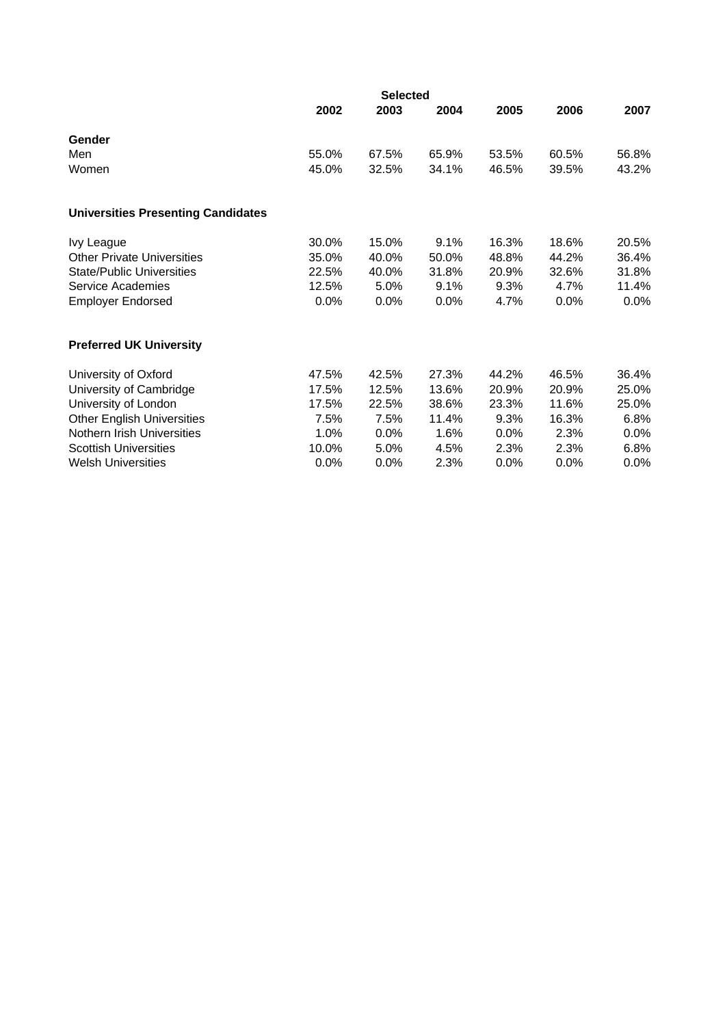|                                           | 2002  | 2003    | 2004  | 2005    | 2006  | 2007    |
|-------------------------------------------|-------|---------|-------|---------|-------|---------|
| Gender                                    |       |         |       |         |       |         |
| Men                                       | 55.0% | 67.5%   | 65.9% | 53.5%   | 60.5% | 56.8%   |
| Women                                     | 45.0% | 32.5%   | 34.1% | 46.5%   | 39.5% | 43.2%   |
| <b>Universities Presenting Candidates</b> |       |         |       |         |       |         |
| Ivy League                                | 30.0% | 15.0%   | 9.1%  | 16.3%   | 18.6% | 20.5%   |
| <b>Other Private Universities</b>         | 35.0% | 40.0%   | 50.0% | 48.8%   | 44.2% | 36.4%   |
| <b>State/Public Universities</b>          | 22.5% | 40.0%   | 31.8% | 20.9%   | 32.6% | 31.8%   |
| Service Academies                         | 12.5% | 5.0%    | 9.1%  | 9.3%    | 4.7%  | 11.4%   |
| <b>Employer Endorsed</b>                  | 0.0%  | 0.0%    | 0.0%  | 4.7%    | 0.0%  | $0.0\%$ |
| <b>Preferred UK University</b>            |       |         |       |         |       |         |
| University of Oxford                      | 47.5% | 42.5%   | 27.3% | 44.2%   | 46.5% | 36.4%   |
| University of Cambridge                   | 17.5% | 12.5%   | 13.6% | 20.9%   | 20.9% | 25.0%   |
| University of London                      | 17.5% | 22.5%   | 38.6% | 23.3%   | 11.6% | 25.0%   |
| <b>Other English Universities</b>         | 7.5%  | 7.5%    | 11.4% | 9.3%    | 16.3% | 6.8%    |
| Nothern Irish Universities                | 1.0%  | 0.0%    | 1.6%  | $0.0\%$ | 2.3%  | $0.0\%$ |
| <b>Scottish Universities</b>              | 10.0% | 5.0%    | 4.5%  | 2.3%    | 2.3%  | 6.8%    |
| <b>Welsh Universities</b>                 | 0.0%  | $0.0\%$ | 2.3%  | $0.0\%$ | 0.0%  | $0.0\%$ |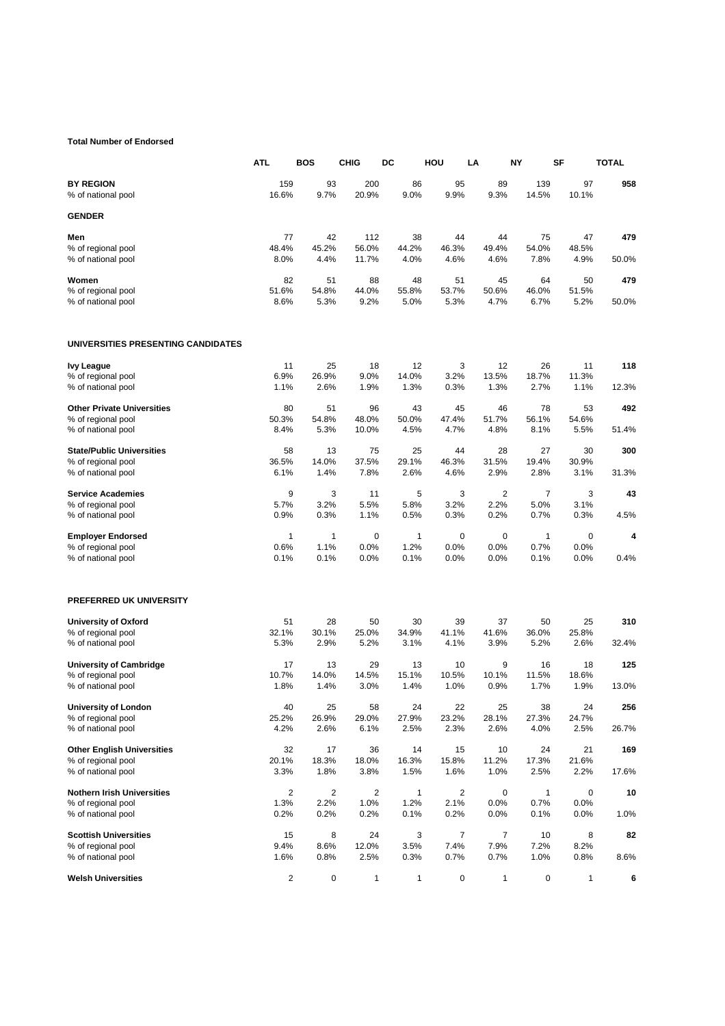#### **Total Number of Endorsed**

|                                        | <b>ATL</b>     | BOS        | <b>CHIG</b>  | DC         | HOU        | LA             | NΥ           | SF           | TOTAL |
|----------------------------------------|----------------|------------|--------------|------------|------------|----------------|--------------|--------------|-------|
| <b>BY REGION</b><br>% of national pool | 159<br>16.6%   | 93<br>9.7% | 200<br>20.9% | 86<br>9.0% | 95<br>9.9% | 89<br>9.3%     | 139<br>14.5% | 97<br>10.1%  | 958   |
| <b>GENDER</b>                          |                |            |              |            |            |                |              |              |       |
| Men                                    | 77             | 42         | 112          | 38         | 44         | 44             | 75           | 47           | 479   |
| % of regional pool                     | 48.4%          | 45.2%      | 56.0%        | 44.2%      | 46.3%      | 49.4%          | 54.0%        | 48.5%        |       |
| % of national pool                     | 8.0%           | 4.4%       | 11.7%        | 4.0%       | 4.6%       | 4.6%           | 7.8%         | 4.9%         | 50.0% |
| Women                                  | 82             | 51         | 88           | 48         | 51         | 45             | 64           | 50           | 479   |
| % of regional pool                     | 51.6%          | 54.8%      | 44.0%        | 55.8%      | 53.7%      | 50.6%          | 46.0%        | 51.5%        |       |
| % of national pool                     | 8.6%           | 5.3%       | 9.2%         | 5.0%       | 5.3%       | 4.7%           | 6.7%         | 5.2%         | 50.0% |
| UNIVERSITIES PRESENTING CANDIDATES     |                |            |              |            |            |                |              |              |       |
| <b>Ivy League</b>                      | 11             | 25         | 18           | 12         | 3          | 12             | 26           | 11           | 118   |
| % of regional pool                     | 6.9%           | 26.9%      | 9.0%         | 14.0%      | 3.2%       | 13.5%          | 18.7%        | 11.3%        |       |
| % of national pool                     | 1.1%           | 2.6%       | 1.9%         | 1.3%       | 0.3%       | 1.3%           | 2.7%         | 1.1%         | 12.3% |
| <b>Other Private Universities</b>      | 80             | 51         | 96           | 43         | 45         | 46             | 78           | 53           | 492   |
| % of regional pool                     | 50.3%          | 54.8%      | 48.0%        | 50.0%      | 47.4%      | 51.7%          | 56.1%        | 54.6%        |       |
| % of national pool                     | 8.4%           | 5.3%       | 10.0%        | 4.5%       | 4.7%       | 4.8%           | 8.1%         | 5.5%         | 51.4% |
| <b>State/Public Universities</b>       | 58             | 13         | 75           | 25         | 44         | 28             | 27           | 30           | 300   |
| % of regional pool                     | 36.5%          | 14.0%      | 37.5%        | 29.1%      | 46.3%      | 31.5%          | 19.4%        | 30.9%        |       |
| % of national pool                     | 6.1%           | 1.4%       | 7.8%         | 2.6%       | 4.6%       | 2.9%           | 2.8%         | 3.1%         | 31.3% |
| <b>Service Academies</b>               | 9              | 3          | 11           | 5          | 3          | $\overline{2}$ | 7            | 3            | 43    |
| % of regional pool                     | 5.7%           | 3.2%       | 5.5%         | 5.8%       | 3.2%       | 2.2%           | 5.0%         | 3.1%         |       |
| % of national pool                     | 0.9%           | 0.3%       | 1.1%         | 0.5%       | 0.3%       | 0.2%           | 0.7%         | 0.3%         | 4.5%  |
| <b>Employer Endorsed</b>               | 1              | 1          | 0            | 1          | 0          | 0              | $\mathbf{1}$ | 0            | 4     |
| % of regional pool                     | 0.6%           | 1.1%       | 0.0%         | 1.2%       | 0.0%       | 0.0%           | 0.7%         | 0.0%         |       |
| % of national pool                     | 0.1%           | 0.1%       | 0.0%         | 0.1%       | 0.0%       | 0.0%           | 0.1%         | 0.0%         | 0.4%  |
| PREFERRED UK UNIVERSITY                |                |            |              |            |            |                |              |              |       |
| University of Oxford                   | 51             | 28         | 50           | 30         | 39         | 37             | 50           | 25           | 310   |
| % of regional pool                     | 32.1%          | 30.1%      | 25.0%        | 34.9%      | 41.1%      | 41.6%          | 36.0%        | 25.8%        |       |
| % of national pool                     | 5.3%           | 2.9%       | 5.2%         | 3.1%       | 4.1%       | 3.9%           | 5.2%         | 2.6%         | 32.4% |
| <b>University of Cambridge</b>         | 17             | 13         | 29           | 13         | 10         | 9              | 16           | 18           | 125   |
| % of regional pool                     | 10.7%          | 14.0%      | 14.5%        | 15.1%      | 10.5%      | 10.1%          | 11.5%        | 18.6%        |       |
| % of national pool                     | 1.8%           | 1.4%       | 3.0%         | 1.4%       | 1.0%       | 0.9%           | 1.7%         | 1.9%         | 13.0% |
| <b>University of London</b>            | 40             | 25         | 58           | 24         | 22         | 25             | 38           | 24           | 256   |
| % of regional pool                     | 25.2%          | 26.9%      | 29.0%        | 27.9%      | 23.2%      | 28.1%          | 27.3%        | 24.7%        |       |
| % of national pool                     | 4.2%           | 2.6%       | 6.1%         | 2.5%       | 2.3%       | 2.6%           | 4.0%         | 2.5%         | 26.7% |
| <b>Other English Universities</b>      | 32             | 17         | 36           | 14         | 15         | 10             | 24           | 21           | 169   |
| % of regional pool                     | 20.1%          | 18.3%      | 18.0%        | 16.3%      | 15.8%      | 11.2%          | 17.3%        | 21.6%        |       |
| % of national pool                     | 3.3%           | 1.8%       | 3.8%         | 1.5%       | 1.6%       | 1.0%           | 2.5%         | 2.2%         | 17.6% |
| <b>Nothern Irish Universities</b>      | $\overline{c}$ | 2          | 2            | 1          | 2          | 0              | 1            | 0            | 10    |
| % of regional pool                     | 1.3%           | 2.2%       | 1.0%         | 1.2%       | 2.1%       | 0.0%           | 0.7%         | 0.0%         |       |
| % of national pool                     | 0.2%           | 0.2%       | 0.2%         | 0.1%       | 0.2%       | 0.0%           | 0.1%         | 0.0%         | 1.0%  |
| <b>Scottish Universities</b>           | 15             | 8          | 24           | 3          | 7          | $\overline{7}$ | 10           | 8            | 82    |
| % of regional pool                     | 9.4%           | 8.6%       | 12.0%        | 3.5%       | 7.4%       | 7.9%           | 7.2%         | 8.2%         |       |
| % of national pool                     | 1.6%           | 0.8%       | 2.5%         | 0.3%       | 0.7%       | 0.7%           | 1.0%         | 0.8%         | 8.6%  |
| <b>Welsh Universities</b>              | 2              | 0          | 1            | 1          | 0          | $\mathbf{1}$   | 0            | $\mathbf{1}$ | 6     |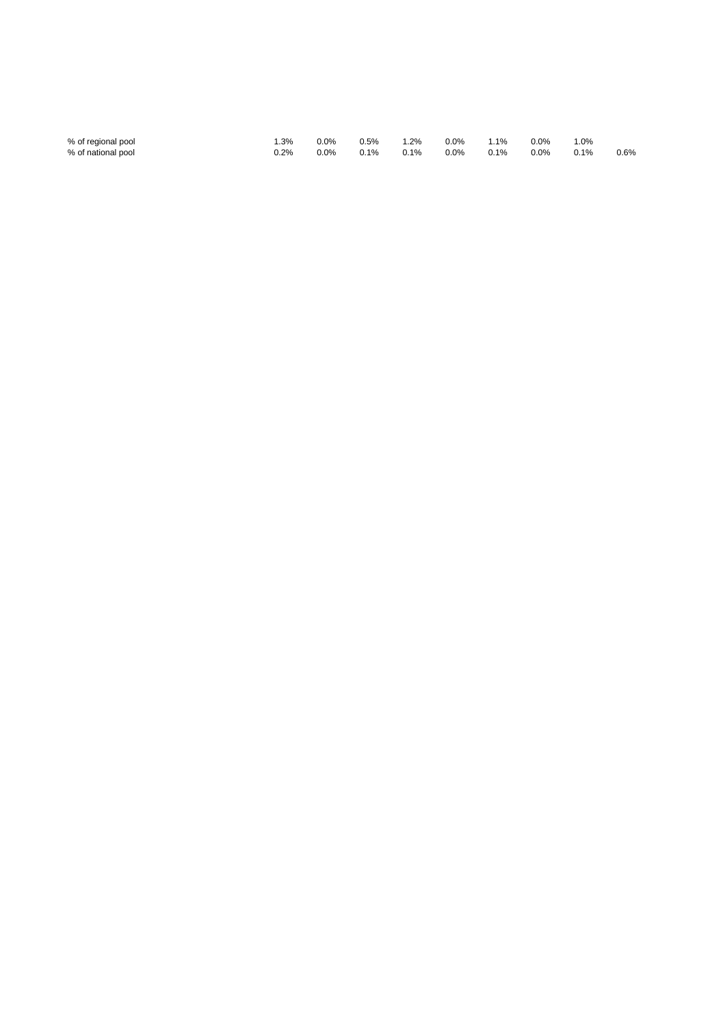| % of regional pool | .3%     | 0.0%    | 0.5% | $1.2\%$ | $0.0\%$ | 1.1% | $0.0\%$ | 1.0%    |      |
|--------------------|---------|---------|------|---------|---------|------|---------|---------|------|
| % of national pool | $0.2\%$ | $0.0\%$ | 0.1% | $0.1\%$ | $0.0\%$ | 0.1% | $0.0\%$ | $0.1\%$ | 0.6% |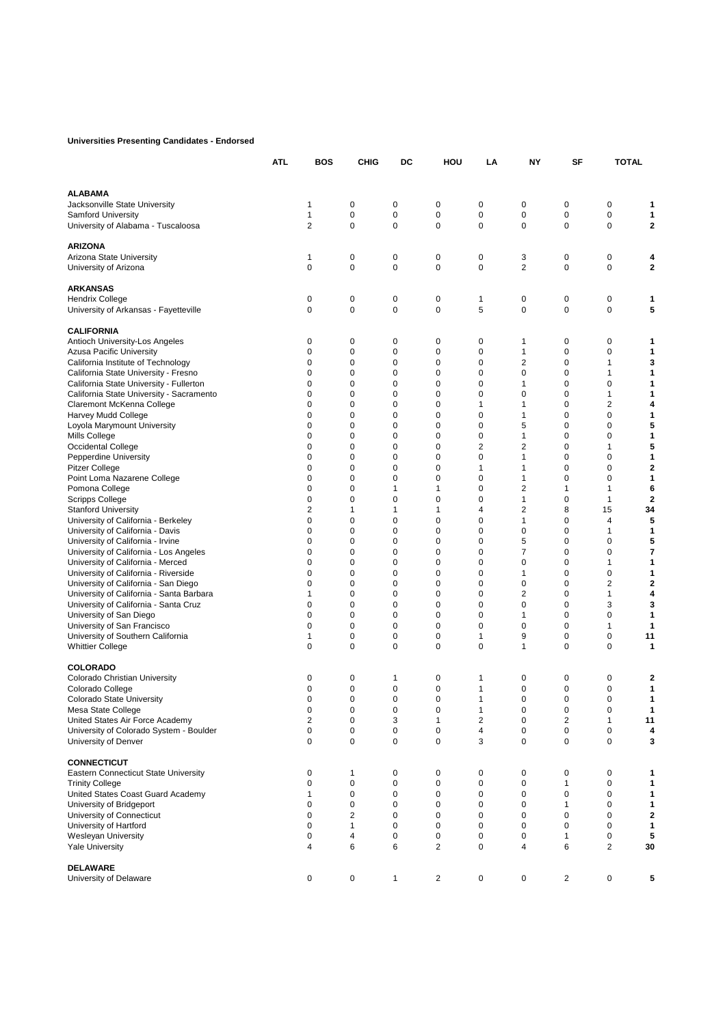## **Universities Presenting Candidates - Endorsed**

|                                                                                     | ATL | BOS            | CHIG         | DC               | HOU                        | LA                      | NΥ          | SF                      | <b>TOTAL</b>   |                |
|-------------------------------------------------------------------------------------|-----|----------------|--------------|------------------|----------------------------|-------------------------|-------------|-------------------------|----------------|----------------|
| <b>ALABAMA</b>                                                                      |     |                |              |                  |                            |                         |             |                         |                |                |
| Jacksonville State University                                                       |     | 1              | 0            | 0                | 0                          | 0                       | 0           | 0                       | 0              |                |
| <b>Samford University</b>                                                           |     | 1              | $\pmb{0}$    | 0                | $\mathbf 0$                | $\mathbf 0$             | 0           | $\mathbf 0$             | $\mathbf 0$    | 1              |
| University of Alabama - Tuscaloosa                                                  |     | $\overline{2}$ | 0            | $\mathbf 0$      | $\mathbf 0$                | 0                       | 0           | 0                       | $\mathbf 0$    | 2              |
| <b>ARIZONA</b>                                                                      |     |                |              |                  |                            |                         |             |                         |                |                |
| Arizona State University                                                            |     | 1              | 0            | 0                | $\mathbf 0$                | 0                       | 3           | 0                       | 0              | 4              |
| University of Arizona                                                               |     | 0              | 0            | 0                | $\mathbf 0$                | 0                       | 2           | 0                       | 0              | 2              |
| <b>ARKANSAS</b>                                                                     |     |                |              |                  |                            |                         |             |                         |                |                |
| <b>Hendrix College</b>                                                              |     | 0              | 0            | 0                | 0                          | 1                       | 0           | 0                       | 0              | 1              |
| University of Arkansas - Fayetteville                                               |     | 0              | $\mathbf 0$  | $\mathbf 0$      | $\mathbf 0$                | 5                       | 0           | $\mathbf 0$             | 0              | 5              |
| <b>CALIFORNIA</b>                                                                   |     |                |              |                  |                            |                         |             |                         |                |                |
| Antioch University-Los Angeles                                                      |     | 0              | 0            | 0                | $\mathbf 0$                | 0                       | 1           | 0                       | 0              | 1              |
| Azusa Pacific University                                                            |     | 0              | 0            | $\mathbf 0$      | $\mathbf 0$                | 0                       | 1           | $\mathbf 0$             | 0              | 1              |
| California Institute of Technology                                                  |     | 0              | $\mathbf 0$  | 0                | $\mathbf 0$                | 0                       | 2           | 0                       | 1              | 3              |
| California State University - Fresno                                                |     | 0              | 0<br>0       | 0<br>$\mathbf 0$ | $\mathbf 0$                | 0<br>0                  | 0           | 0<br>0                  | 1              | 1              |
| California State University - Fullerton<br>California State University - Sacramento |     | 0<br>0         | $\mathbf 0$  | $\mathbf 0$      | $\mathbf 0$<br>$\mathbf 0$ | 0                       | 1<br>0      | 0                       | 0<br>1         | 1<br>1         |
| Claremont McKenna College                                                           |     | 0              | 0            | 0                | $\mathbf 0$                | 1                       | 1           | 0                       | 2              | 4              |
| Harvey Mudd College                                                                 |     | 0              | 0            | 0                | $\mathbf 0$                | 0                       | 1           | 0                       | 0              | 1              |
| Loyola Marymount University                                                         |     | 0              | 0            | 0                | $\mathbf 0$                | 0                       | 5           | 0                       | 0              | 5              |
| Mills College                                                                       |     | 0              | 0            | 0                | $\mathbf 0$                | 0                       | 1           | $\mathbf 0$             | 0              | 1              |
| <b>Occidental College</b>                                                           |     | 0              | 0            | $\mathbf 0$      | $\mathbf 0$                | 2                       | 2           | 0                       | 1              | 5              |
| Pepperdine University                                                               |     | 0              | 0            | 0                | $\mathbf 0$                | 0                       | 1           | 0                       | 0              | 1              |
| Pitzer College                                                                      |     | 0              | 0            | $\mathbf 0$      | $\mathbf 0$                | 1                       | 1           | 0                       | 0              | 2              |
| Point Loma Nazarene College                                                         |     | 0              | $\mathbf 0$  | 0                | $\mathbf 0$                | 0                       | 1           | $\mathbf 0$             | $\mathbf 0$    | 1              |
| Pomona College                                                                      |     | 0              | 0            | 1                | $\mathbf{1}$               | 0                       | 2           | $\mathbf{1}$            | 1              | 6              |
| <b>Scripps College</b>                                                              |     | 0              | 0            | 0                | $\mathbf 0$                | 0                       | 1           | 0                       | 1              | $\overline{2}$ |
| <b>Stanford University</b>                                                          |     | 2              | 1            | 1                | 1                          | $\overline{4}$          | 2           | 8                       | 15             | 34             |
| University of California - Berkeley                                                 |     | 0              | 0            | $\mathbf 0$      | $\mathbf 0$                | 0                       | 1           | 0                       | 4              | 5              |
| University of California - Davis                                                    |     | 0              | 0            | 0                | $\mathbf 0$                | 0                       | 0           | $\mathbf 0$             | 1              | 1              |
| University of California - Irvine                                                   |     | 0              | 0            | $\mathbf 0$      | $\mathbf 0$                | 0                       | 5           | 0                       | 0              | 5              |
| University of California - Los Angeles                                              |     | 0              | 0            | 0                | $\mathbf 0$                | 0                       | 7           | 0                       | 0              | 7              |
| University of California - Merced                                                   |     | 0<br>0         | 0<br>0       | 0<br>0           | $\mathbf 0$<br>$\mathbf 0$ | 0<br>0                  | 0<br>1      | 0<br>$\mathbf 0$        | 1<br>0         | 1<br>1         |
| University of California - Riverside<br>University of California - San Diego        |     | 0              | 0            | 0                | $\mathbf 0$                | 0                       | 0           | 0                       | 2              | 2              |
| University of California - Santa Barbara                                            |     | 1              | 0            | 0                | $\mathbf 0$                | 0                       | 2           | 0                       | 1              | 4              |
| University of California - Santa Cruz                                               |     | 0              | 0            | $\mathbf 0$      | $\mathbf 0$                | 0                       | 0           | 0                       | 3              | 3              |
| University of San Diego                                                             |     | 0              | 0            | $\mathbf 0$      | $\mathbf 0$                | 0                       | 1           | $\mathbf 0$             | 0              | 1              |
| University of San Francisco                                                         |     | 0              | $\mathbf 0$  | 0                | $\mathbf 0$                | 0                       | 0           | 0                       | 1              | 1              |
| University of Southern California                                                   |     | 1              | 0            | 0                | $\mathbf 0$                | 1                       | 9           | 0                       | 0              | 11             |
| <b>Whittier College</b>                                                             |     | 0              | 0            | $\mathbf 0$      | $\mathbf 0$                | 0                       | 1           | 0                       | 0              | 1              |
| <b>COLORADO</b>                                                                     |     |                |              |                  |                            |                         |             |                         |                |                |
| Colorado Christian University                                                       |     | 0              | 0            | 1                | 0                          | 1                       | 0           | 0                       | 0              | 2              |
| Colorado College                                                                    |     | 0              | 0            | $\mathbf 0$      | $\mathbf 0$                | 1                       | 0           | 0                       | 0              | 1              |
| Colorado State University                                                           |     | 0              | $\mathbf 0$  | 0                | $\mathbf 0$                | 1                       | 0           | $\mathbf 0$             | 0              | 1              |
| Mesa State College                                                                  |     | 0              | 0            | 0                | 0                          | 1                       | 0           | 0                       | 0              |                |
| United States Air Force Academy                                                     |     | 2              | 0            | 3                | $\mathbf{1}$               | $\overline{\mathbf{c}}$ | 0           | $\overline{\mathbf{c}}$ | $\mathbf{1}$   | 11             |
| University of Colorado System - Boulder                                             |     | 0              | 0            | 0                | 0                          | 4                       | 0           | 0                       | 0              | 4              |
| University of Denver                                                                |     | 0              | 0            | 0                | $\mathbf 0$                | 3                       | 0           | 0                       | 0              | 3              |
| <b>CONNECTICUT</b>                                                                  |     |                |              |                  |                            |                         |             |                         |                |                |
| <b>Eastern Connecticut State University</b>                                         |     | 0              | 1            | 0                | 0                          | 0                       | 0           | 0                       | 0              | 1              |
| <b>Trinity College</b>                                                              |     | 0              | $\mathbf 0$  | $\mathbf 0$      | 0                          | 0                       | 0           | 1                       | 0              | 1              |
| United States Coast Guard Academy                                                   |     | 1              | $\pmb{0}$    | $\mathbf 0$<br>0 | $\mathbf 0$                | 0                       | $\mathbf 0$ | 0<br>1                  | 0              | 1              |
| University of Bridgeport<br>University of Connecticut                               |     | 0<br>0         | 0<br>2       | 0                | 0<br>0                     | 0<br>0                  | 0<br>0      | 0                       | 0<br>0         | 1<br>2         |
| University of Hartford                                                              |     | 0              | $\mathbf{1}$ | 0                | $\mathbf 0$                | 0                       | 0           | $\mathbf 0$             | 0              | 1              |
| <b>Wesleyan University</b>                                                          |     | 0              | 4            | 0                | $\mathbf 0$                | $\mathbf 0$             | 0           | 1                       | 0              | 5              |
| <b>Yale University</b>                                                              |     | 4              | 6            | 6                | $\overline{2}$             | 0                       | 4           | 6                       | $\overline{2}$ | 30             |
| <b>DELAWARE</b><br>University of Delaware                                           |     | 0              | 0            | 1                | $\overline{2}$             | 0                       | 0           | $\overline{c}$          | 0              | 5              |
|                                                                                     |     |                |              |                  |                            |                         |             |                         |                |                |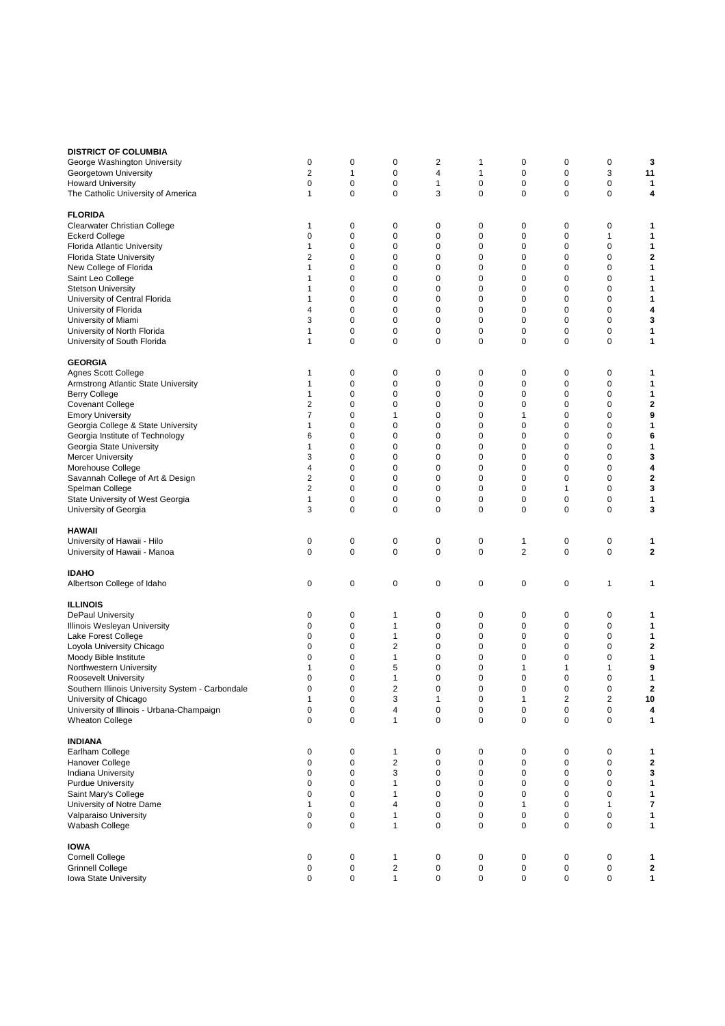| <b>DISTRICT OF COLUMBIA</b><br>George Washington University<br>Georgetown University<br><b>Howard University</b><br>The Catholic University of America                                                                                                                                                                                                                                                                               | 0<br>2<br>0<br>1                                                   | 0<br>1<br>0<br>0                                                                                                     | 0<br>$\mathbf 0$<br>$\mathbf 0$<br>$\mathbf 0$                                                                                               | 2<br>4<br>1<br>3                                                             | 1<br>1<br>$\mathbf 0$<br>$\mathbf 0$                                                                                 | 0<br>0<br>0<br>0                                                   | 0<br>0<br>0<br>0                                                                       | 0<br>3<br>$\mathbf 0$<br>$\mathbf 0$                                                                                 | 3<br>11<br>1<br>4                                                  |
|--------------------------------------------------------------------------------------------------------------------------------------------------------------------------------------------------------------------------------------------------------------------------------------------------------------------------------------------------------------------------------------------------------------------------------------|--------------------------------------------------------------------|----------------------------------------------------------------------------------------------------------------------|----------------------------------------------------------------------------------------------------------------------------------------------|------------------------------------------------------------------------------|----------------------------------------------------------------------------------------------------------------------|--------------------------------------------------------------------|----------------------------------------------------------------------------------------|----------------------------------------------------------------------------------------------------------------------|--------------------------------------------------------------------|
| <b>FLORIDA</b><br>Clearwater Christian College<br><b>Eckerd College</b><br>Florida Atlantic University<br><b>Florida State University</b><br>New College of Florida<br>Saint Leo College<br><b>Stetson University</b><br>University of Central Florida<br>University of Florida<br>University of Miami<br>University of North Florida<br>University of South Florida                                                                 | 1<br>0<br>1<br>2<br>1<br>1<br>1<br>1<br>4<br>3<br>1<br>1           | 0<br>$\mathbf 0$<br>0<br>0<br>0<br>$\mathbf 0$<br>$\mathbf 0$<br>$\mathbf 0$<br>0<br>$\mathbf 0$<br>0<br>$\mathbf 0$ | 0<br>$\mathbf 0$<br>0<br>0<br>0<br>$\mathbf 0$<br>$\mathbf 0$<br>0<br>0<br>$\mathbf 0$<br>$\mathbf 0$<br>$\mathbf 0$                         | 0<br>0<br>0<br>0<br>0<br>0<br>0<br>0<br>0<br>0<br>0<br>0                     | 0<br>$\mathbf 0$<br>0<br>0<br>0<br>$\mathbf 0$<br>$\mathbf 0$<br>0<br>0<br>$\mathbf 0$<br>$\mathbf 0$<br>$\mathbf 0$ | 0<br>0<br>0<br>0<br>0<br>0<br>0<br>0<br>0<br>0<br>0<br>0           | 0<br>0<br>0<br>0<br>0<br>0<br>0<br>0<br>0<br>0<br>0<br>0                               | 0<br>1<br>0<br>0<br>0<br>$\mathbf 0$<br>$\mathbf 0$<br>0<br>0<br>$\mathbf 0$<br>$\mathbf 0$<br>$\mathbf 0$           | 1<br>1<br>1<br>2<br>1<br>1<br>1<br>1<br>4<br>3<br>1<br>1           |
| <b>GEORGIA</b><br>Agnes Scott College<br>Armstrong Atlantic State University<br><b>Berry College</b><br><b>Covenant College</b><br><b>Emory University</b><br>Georgia College & State University<br>Georgia Institute of Technology<br>Georgia State University<br><b>Mercer University</b><br>Morehouse College<br>Savannah College of Art & Design<br>Spelman College<br>State University of West Georgia<br>University of Georgia | 1<br>1<br>1<br>2<br>7<br>1<br>6<br>1<br>3<br>4<br>2<br>2<br>1<br>3 | 0<br>0<br>0<br>0<br>$\mathbf 0$<br>0<br>0<br>$\mathbf 0$<br>$\mathbf 0$<br>$\mathbf 0$<br>0<br>0<br>0<br>$\mathbf 0$ | 0<br>0<br>0<br>0<br>$\mathbf{1}$<br>0<br>0<br>$\mathbf 0$<br>$\mathbf 0$<br>0<br>0<br>$\mathbf 0$<br>0<br>$\mathbf 0$                        | 0<br>0<br>0<br>0<br>0<br>0<br>0<br>0<br>0<br>0<br>0<br>$\mathbf 0$<br>0<br>0 | 0<br>0<br>0<br>0<br>$\mathbf 0$<br>0<br>0<br>0<br>0<br>0<br>0<br>$\mathbf 0$<br>0<br>$\mathbf 0$                     | 0<br>0<br>0<br>0<br>1<br>0<br>0<br>0<br>0<br>0<br>0<br>0<br>0<br>0 | 0<br>0<br>0<br>$\mathbf 0$<br>0<br>0<br>0<br>0<br>$\mathbf 0$<br>0<br>0<br>1<br>0<br>0 | 0<br>$\mathbf 0$<br>0<br>0<br>0<br>0<br>0<br>$\mathbf 0$<br>$\mathbf 0$<br>0<br>0<br>$\mathbf 0$<br>0<br>$\mathbf 0$ | 1<br>1<br>1<br>2<br>9<br>1<br>6<br>1<br>3<br>4<br>2<br>3<br>1<br>3 |
| <b>HAWAII</b><br>University of Hawaii - Hilo<br>University of Hawaii - Manoa                                                                                                                                                                                                                                                                                                                                                         | 0<br>$\mathbf 0$                                                   | 0<br>$\mathbf 0$                                                                                                     | 0<br>$\mathbf 0$                                                                                                                             | 0<br>0                                                                       | 0<br>$\mathbf 0$                                                                                                     | 1<br>$\overline{2}$                                                | 0<br>$\mathbf 0$                                                                       | 0<br>$\mathbf 0$                                                                                                     | 1<br>2                                                             |
| <b>IDAHO</b><br>Albertson College of Idaho                                                                                                                                                                                                                                                                                                                                                                                           | 0                                                                  | 0                                                                                                                    | 0                                                                                                                                            | 0                                                                            | 0                                                                                                                    | 0                                                                  | $\pmb{0}$                                                                              | $\mathbf{1}$                                                                                                         | 1                                                                  |
| <b>ILLINOIS</b><br><b>DePaul University</b><br>Illinois Wesleyan University<br>Lake Forest College<br>Loyola University Chicago<br>Moody Bible Institute<br>Northwestern University<br>Roosevelt University<br>Southern Illinois University System - Carbondale<br>University of Chicago<br>University of Illinois - Urbana-Champaign<br><b>Wheaton College</b>                                                                      | 0<br>0<br>0<br>0<br>0<br>1<br>0<br>0<br>1<br>0<br>$\mathbf 0$      | 0<br>0<br>$\mathbf 0$<br>0<br>0<br>$\mathbf 0$<br>0<br>$\Omega$<br>0<br>$\pmb{0}$<br>0                               | $\mathbf 1$<br>$\mathbf{1}$<br>$\mathbf{1}$<br>$\overline{2}$<br>1<br>5<br>$\mathbf{1}$<br>$\overline{\mathbf{c}}$<br>3<br>4<br>$\mathbf{1}$ | 0<br>0<br>0<br>0<br>0<br>0<br>0<br>0<br>1<br>0<br>0                          | 0<br>0<br>$\mathbf 0$<br>0<br>0<br>0<br>0<br>0<br>$\pmb{0}$<br>$\pmb{0}$<br>$\mathbf 0$                              | 0<br>0<br>0<br>0<br>0<br>1<br>0<br>0<br>1<br>0<br>0                | 0<br>0<br>$\mathbf 0$<br>0<br>0<br>1<br>0<br>0<br>2<br>$\mathbf 0$<br>0                | 0<br>$\mathbf 0$<br>$\mathbf 0$<br>0<br>0<br>1<br>$\mathbf 0$<br>0<br>$\overline{\mathbf{c}}$<br>0<br>0              | 1<br>1<br>1<br>$\overline{2}$<br>1<br>9<br>1<br>2<br>10<br>4<br>1  |
| <b>INDIANA</b><br>Earlham College<br>Hanover College<br><b>Indiana University</b><br><b>Purdue University</b><br>Saint Mary's College<br>University of Notre Dame<br>Valparaiso University<br>Wabash College                                                                                                                                                                                                                         | 0<br>0<br>0<br>0<br>0<br>1<br>0<br>0                               | 0<br>$\mathbf 0$<br>$\pmb{0}$<br>0<br>0<br>0<br>$\mathbf 0$<br>0                                                     | 1<br>$\overline{c}$<br>3<br>1<br>$\mathbf{1}$<br>$\overline{4}$<br>$\mathbf{1}$<br>1                                                         | 0<br>0<br>0<br>0<br>0<br>0<br>0<br>0                                         | 0<br>$\mathbf 0$<br>$\mathbf 0$<br>0<br>0<br>0<br>$\pmb{0}$<br>$\mathbf 0$                                           | 0<br>0<br>0<br>0<br>0<br>1<br>0<br>0                               | 0<br>0<br>0<br>0<br>0<br>0<br>$\pmb{0}$<br>0                                           | 0<br>0<br>$\mathbf 0$<br>0<br>0<br>$\mathbf{1}$<br>0<br>0                                                            | 1<br>2<br>3<br>1<br>1<br>7<br>1<br>1                               |
| <b>IOWA</b><br><b>Cornell College</b><br><b>Grinnell College</b><br>Iowa State University                                                                                                                                                                                                                                                                                                                                            | 0<br>0<br>0                                                        | $\pmb{0}$<br>0<br>0                                                                                                  | $\mathbf{1}$<br>$\overline{\mathbf{c}}$<br>$\mathbf{1}$                                                                                      | 0<br>0<br>0                                                                  | $\pmb{0}$<br>$\pmb{0}$<br>$\mathbf 0$                                                                                | $\pmb{0}$<br>0<br>0                                                | $\pmb{0}$<br>0<br>0                                                                    | $\pmb{0}$<br>0<br>0                                                                                                  | 1<br>2<br>1                                                        |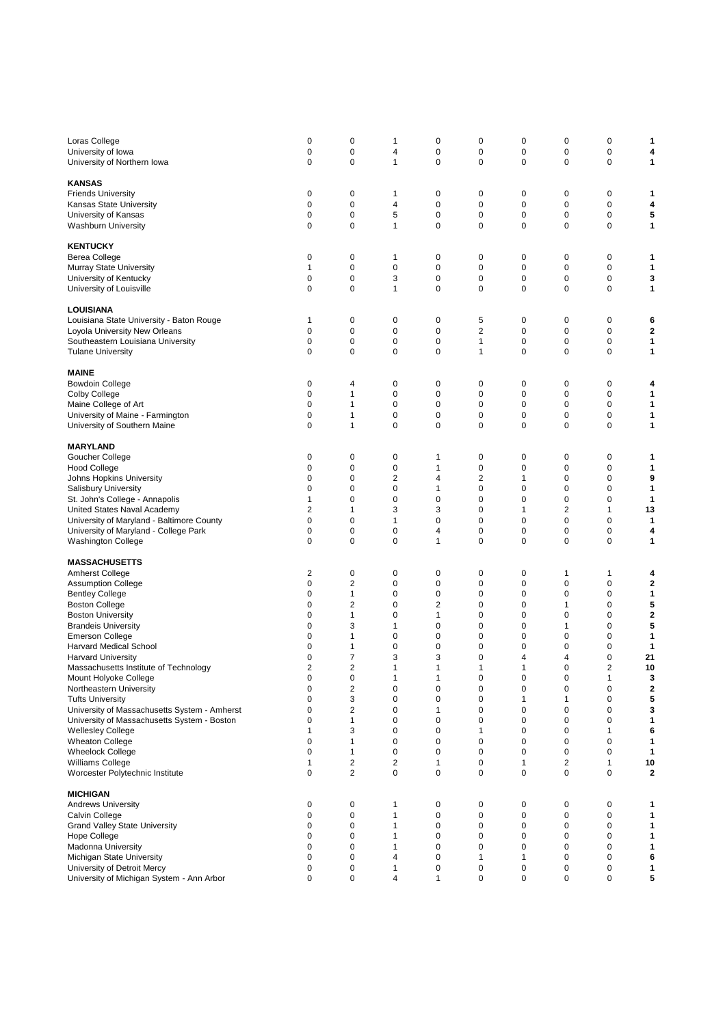| Loras College                                | 0              | 0              | 1                       | 0              | 0              | 0 | 0              | 0              | 1  |
|----------------------------------------------|----------------|----------------|-------------------------|----------------|----------------|---|----------------|----------------|----|
| University of Iowa                           | 0              | $\mathbf 0$    | 4                       | $\mathbf 0$    | 0              | 0 | 0              | 0              | 4  |
|                                              | 0              | 0              | 1                       | 0              | 0              | 0 | $\mathbf 0$    | 0              | 1  |
| University of Northern Iowa                  |                |                |                         |                |                |   |                |                |    |
|                                              |                |                |                         |                |                |   |                |                |    |
| <b>KANSAS</b>                                |                |                |                         |                |                |   |                |                |    |
| <b>Friends University</b>                    | 0              | 0              | 1                       | 0              | 0              | 0 | 0              | 0              | 1  |
| Kansas State University                      | 0              | 0              | 4                       | 0              | 0              | 0 | 0              | $\mathbf 0$    | 4  |
| University of Kansas                         | 0              | $\mathbf 0$    | 5                       | $\mathbf 0$    | 0              | 0 | 0              | $\pmb{0}$      | 5  |
| <b>Washburn University</b>                   | 0              | $\mathbf 0$    | $\mathbf{1}$            | $\mathbf 0$    | $\mathbf 0$    | 0 | $\mathbf 0$    | $\mathbf 0$    | 1  |
|                                              |                |                |                         |                |                |   |                |                |    |
| <b>KENTUCKY</b>                              |                |                |                         |                |                |   |                |                |    |
| <b>Berea College</b>                         | 0              | 0              | 1                       | 0              | 0              | 0 | 0              | 0              | 1  |
| Murray State University                      | 1              | $\mathbf 0$    | 0                       | 0              | $\mathbf 0$    | 0 | $\mathbf 0$    | 0              | 1  |
| University of Kentucky                       | 0              | $\mathbf 0$    | 3                       | $\mathbf 0$    | $\mathbf 0$    | 0 | $\mathbf 0$    | $\mathbf 0$    | 3  |
| University of Louisville                     | 0              | 0              | 1                       | $\mathbf 0$    | 0              | 0 | $\mathbf 0$    | 0              | 1  |
|                                              |                |                |                         |                |                |   |                |                |    |
| LOUISIANA                                    |                |                |                         |                |                |   |                |                |    |
|                                              |                | 0              |                         |                |                | 0 | 0              |                |    |
| Louisiana State University - Baton Rouge     | 1              |                | 0                       | 0              | 5              |   |                | 0              | 6  |
| Loyola University New Orleans                | 0              | 0              | 0                       | 0              | $\overline{2}$ | 0 | $\mathbf 0$    | 0              | 2  |
| Southeastern Louisiana University            | 0              | 0              | 0                       | $\mathbf 0$    | 1              | 0 | 0              | 0              | 1  |
| <b>Tulane University</b>                     | 0              | $\mathbf 0$    | 0                       | $\mathbf 0$    | 1              | 0 | $\mathbf 0$    | $\mathbf 0$    | 1  |
|                                              |                |                |                         |                |                |   |                |                |    |
| <b>MAINE</b>                                 |                |                |                         |                |                |   |                |                |    |
| <b>Bowdoin College</b>                       | 0              | 4              | 0                       | 0              | 0              | 0 | 0              | 0              | 4  |
| <b>Colby College</b>                         | 0              | $\mathbf{1}$   | $\mathbf 0$             | 0              | 0              | 0 | 0              | $\mathbf 0$    | 1  |
| Maine College of Art                         | 0              | $\mathbf{1}$   | 0                       | 0              | $\mathbf 0$    | 0 | $\mathbf 0$    | 0              | 1  |
| University of Maine - Farmington             | 0              | $\mathbf{1}$   | 0                       | 0              | 0              | 0 | 0              | 0              | 1  |
| University of Southern Maine                 | 0              | $\mathbf{1}$   | 0                       | 0              | 0              | 0 | 0              | 0              | 1  |
|                                              |                |                |                         |                |                |   |                |                |    |
|                                              |                |                |                         |                |                |   |                |                |    |
| <b>MARYLAND</b>                              |                |                |                         |                |                |   |                |                |    |
| Goucher College                              | 0              | 0              | 0                       | 1              | 0              | 0 | 0              | 0              | 1  |
| <b>Hood College</b>                          | 0              | 0              | 0                       | 1              | 0              | 0 | 0              | $\mathbf 0$    | 1  |
| Johns Hopkins University                     | 0              | 0              | $\overline{\mathbf{c}}$ | 4              | $\overline{2}$ | 1 | $\mathbf 0$    | 0              | 9  |
| <b>Salisbury University</b>                  | 0              | 0              | 0                       | 1              | $\mathbf 0$    | 0 | $\mathbf 0$    | 0              | 1  |
| St. John's College - Annapolis               | 1              | 0              | 0                       | 0              | $\mathbf 0$    | 0 | $\mathbf 0$    | 0              | 1  |
| United States Naval Academy                  | 2              | $\mathbf{1}$   | 3                       | 3              | 0              | 1 | $\overline{2}$ | 1              | 13 |
| University of Maryland - Baltimore County    | 0              | 0              | 1                       | 0              | 0              | 0 | 0              | 0              | 1  |
|                                              |                |                |                         |                |                |   |                |                |    |
| University of Maryland - College Park        | 0              | 0              | 0                       | 4              | 0              | 0 | 0              | 0              | 4  |
| <b>Washington College</b>                    | 0              | $\mathbf 0$    | 0                       | 1              | $\mathbf 0$    | 0 | $\mathbf 0$    | $\mathbf 0$    | 1  |
|                                              |                |                |                         |                |                |   |                |                |    |
| <b>MASSACHUSETTS</b>                         |                |                |                         |                |                |   |                |                |    |
| <b>Amherst College</b>                       | 2              | 0              | 0                       | 0              | 0              | 0 | 1              | 1              | 4  |
| <b>Assumption College</b>                    | 0              | $\overline{2}$ | 0                       | 0              | $\mathbf 0$    | 0 | $\mathbf 0$    | 0              | 2  |
| <b>Bentley College</b>                       | 0              | $\mathbf{1}$   | 0                       | 0              | 0              | 0 | $\mathbf 0$    | 0              | 1  |
| <b>Boston College</b>                        | 0              | $\overline{2}$ | 0                       | $\overline{2}$ | 0              | 0 | 1              | 0              | 5  |
| <b>Boston University</b>                     | 0              | $\mathbf{1}$   | 0                       | 1              | $\mathbf 0$    | 0 | 0              | 0              | 2  |
| <b>Brandeis University</b>                   | 0              | 3              | $\mathbf{1}$            | $\mathbf 0$    | $\mathbf 0$    | 0 | 1              | 0              | 5  |
| <b>Emerson College</b>                       | 0              | $\mathbf{1}$   | 0                       | 0              | 0              | 0 | $\mathbf 0$    | 0              | 1  |
|                                              | 0              | $\mathbf{1}$   | 0                       | 0              | 0              | 0 | 0              | 0              | 1  |
| Harvard Medical School                       |                |                |                         |                |                |   |                |                |    |
| <b>Harvard University</b>                    | 0              | $\overline{7}$ | 3                       | 3              | 0              | 4 | 4              | 0              | 21 |
| Massachusetts Institute of Technology        | $\overline{2}$ | $\overline{2}$ | $\mathbf{1}$            | 1              | 1              | 1 | 0              | $\overline{2}$ | 10 |
| Mount Holyoke College                        | o              | 0              |                         | 1              | 0              | o | O              |                | З  |
| Northeastern University                      | 0              | $\overline{c}$ | 0                       | 0              | 0              | 0 | 0              | 0              | 2  |
| <b>Tufts University</b>                      | 0              | 3              | 0                       | $\mathbf 0$    | $\pmb{0}$      | 1 | 1              | 0              | 5  |
| University of Massachusetts System - Amherst | 0              | $\overline{2}$ | 0                       | 1              | $\mathbf 0$    | 0 | $\mathbf 0$    | 0              | 3  |
| University of Massachusetts System - Boston  | 0              | $\mathbf{1}$   | 0                       | $\mathbf 0$    | $\mathbf 0$    | 0 | $\mathbf 0$    | 0              | 1  |
| <b>Wellesley College</b>                     | 1              | 3              | 0                       | 0              | 1              | 0 | 0              | 1              | 6  |
| <b>Wheaton College</b>                       | 0              | $\mathbf{1}$   | 0                       | $\mathbf 0$    | 0              | 0 | 0              | 0              | 1  |
| <b>Wheelock College</b>                      | 0              | 1              | 0                       | 0              | 0              | 0 | 0              | 0              | 1  |
| Williams College                             | 1              | $\overline{2}$ | $\overline{\mathbf{c}}$ | 1              | $\pmb{0}$      | 1 | $\overline{c}$ | $\mathbf{1}$   | 10 |
| Worcester Polytechnic Institute              | 0              | 2              | 0                       | $\mathbf 0$    | 0              | 0 | 0              | 0              | 2  |
|                                              |                |                |                         |                |                |   |                |                |    |
| <b>MICHIGAN</b>                              |                |                |                         |                |                |   |                |                |    |
|                                              |                | $\pmb{0}$      | 1                       |                |                | 0 |                | 0              |    |
| <b>Andrews University</b>                    | 0              |                |                         | 0              | 0              |   | 0              |                | 1  |
| Calvin College                               | 0              | 0              | 1                       | 0              | 0              | 0 | 0              | 0              | 1  |
| <b>Grand Valley State University</b>         | 0              | 0              | 1                       | 0              | 0              | 0 | 0              | 0              | 1  |
| Hope College                                 | 0              | 0              | 1                       | $\mathbf 0$    | 0              | 0 | 0              | 0              | 1  |
| <b>Madonna University</b>                    | 0              | $\mathbf 0$    | $\mathbf{1}$            | $\mathbf 0$    | $\mathbf 0$    | 0 | 0              | 0              | 1  |
| Michigan State University                    | 0              | 0              | 4                       | 0              | 1              | 1 | 0              | 0              | 6  |
| University of Detroit Mercy                  | 0              | 0              | 1                       | $\pmb{0}$      | 0              | 0 | 0              | 0              | 1  |
| University of Michigan System - Ann Arbor    | 0              | 0              | 4                       | 1              | $\mathbf 0$    | 0 | 0              | 0              | 5  |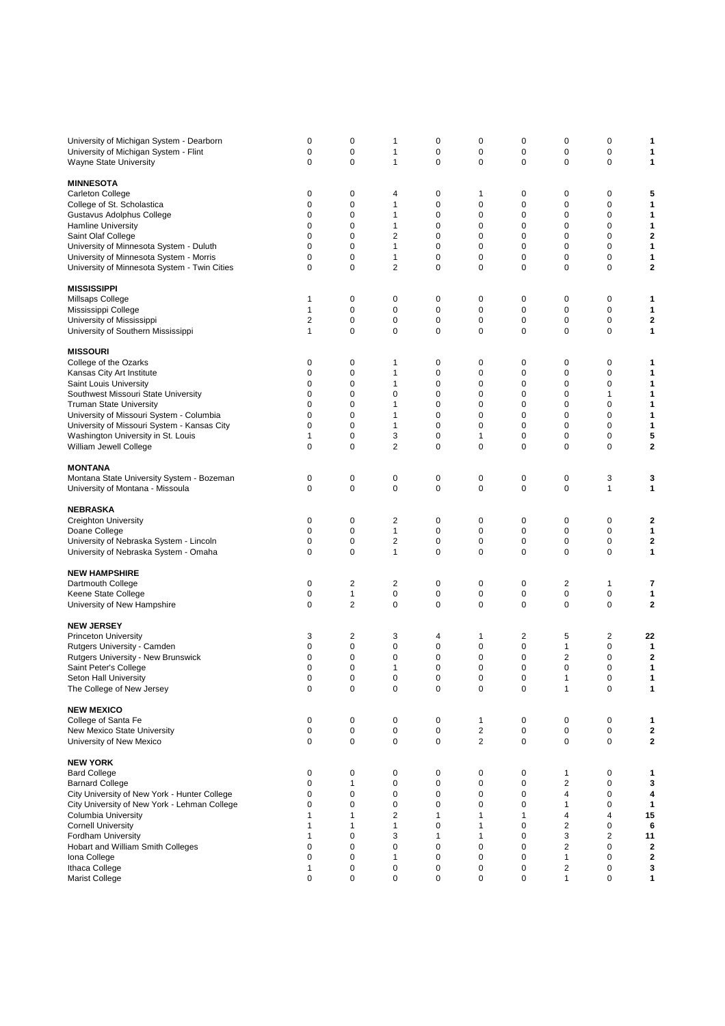| University of Michigan System - Dearborn<br>University of Michigan System - Flint<br>Wayne State University | 0<br>0<br>$\mathbf 0$ | 0<br>0<br>$\pmb{0}$ | 1<br>1<br>$\mathbf{1}$  | 0<br>0<br>$\mathbf 0$ | 0<br>0<br>0             | 0<br>0<br>0 | 0<br>0<br>$\mathbf 0$   | 0<br>0<br>$\mathbf 0$   | 1<br>1<br>1                  |
|-------------------------------------------------------------------------------------------------------------|-----------------------|---------------------|-------------------------|-----------------------|-------------------------|-------------|-------------------------|-------------------------|------------------------------|
| <b>MINNESOTA</b>                                                                                            |                       |                     |                         |                       |                         |             |                         |                         |                              |
| Carleton College                                                                                            | 0                     | 0                   | 4                       | 0                     | 1                       | 0           | 0                       | 0                       | 5                            |
| College of St. Scholastica                                                                                  | 0                     | 0                   | 1                       | 0                     | 0                       | 0           | 0                       | 0                       | 1                            |
| Gustavus Adolphus College                                                                                   | 0                     | $\mathbf 0$         | 1                       | 0                     | 0                       | 0           | $\mathbf 0$             | 0                       | 1                            |
| <b>Hamline University</b>                                                                                   | 0                     | 0                   | 1                       | 0                     | 0                       | 0           | $\mathbf 0$             | 0                       | 1                            |
| Saint Olaf College                                                                                          | 0                     | 0                   | 2                       | 0                     | 0                       | 0           | 0                       | 0                       | 2                            |
| University of Minnesota System - Duluth                                                                     | 0                     | $\mathbf 0$         | 1                       | 0                     | 0                       | 0           | $\mathbf 0$             | $\mathbf 0$             | 1                            |
| University of Minnesota System - Morris                                                                     | $\mathbf 0$           | $\mathbf 0$         | 1                       | 0                     | 0                       | 0           | $\mathbf 0$             | $\mathbf 0$             | 1                            |
| University of Minnesota System - Twin Cities                                                                | $\mathbf 0$           | 0                   | 2                       | 0                     | 0                       | 0           | 0                       | 0                       | 2                            |
| <b>MISSISSIPPI</b>                                                                                          |                       |                     |                         |                       |                         |             |                         |                         |                              |
| Millsaps College                                                                                            | 1                     | 0                   | 0                       | 0                     | 0                       | 0           | 0                       | 0                       | 1                            |
| Mississippi College                                                                                         | 1                     | $\mathbf 0$         | $\mathbf 0$             | 0                     | 0                       | $\mathbf 0$ | $\mathbf 0$             | $\mathbf 0$             | 1                            |
| University of Mississippi                                                                                   | 2                     | 0                   | 0                       | 0                     | 0                       | 0           | 0                       | 0                       | 2                            |
| University of Southern Mississippi                                                                          | 1                     | 0                   | 0                       | 0                     | 0                       | 0           | $\mathbf 0$             | $\mathbf 0$             | 1                            |
|                                                                                                             |                       |                     |                         |                       |                         |             |                         |                         |                              |
| <b>MISSOURI</b>                                                                                             |                       |                     |                         |                       |                         |             |                         |                         |                              |
| College of the Ozarks                                                                                       | 0                     | 0                   | 1                       | 0                     | 0                       | 0           | 0                       | 0                       | 1                            |
| Kansas City Art Institute                                                                                   | 0                     | 0                   | 1                       | 0                     | 0                       | 0           | 0                       | 0                       | 1                            |
| Saint Louis University                                                                                      | 0                     | $\mathbf 0$         | 1<br>0                  | 0                     | 0                       | 0           | $\mathbf 0$             | $\mathbf 0$             | 1<br>1                       |
| Southwest Missouri State University                                                                         | 0                     | $\mathbf 0$         |                         | 0                     | 0                       | 0           | $\mathbf 0$             | 1                       |                              |
| <b>Truman State University</b>                                                                              | $\mathbf 0$           | 0                   | 1                       | 0                     | 0                       | 0           | $\mathbf 0$             | 0                       | 1                            |
| University of Missouri System - Columbia                                                                    | 0<br>0                | 0<br>0              | 1<br>1                  | 0<br>0                | 0<br>0                  | 0<br>0      | 0<br>$\mathbf 0$        | 0<br>0                  | 1<br>1                       |
| University of Missouri System - Kansas City                                                                 | 1                     | $\mathbf 0$         | 3                       | 0                     | 1                       | 0           | $\mathbf 0$             | $\mathbf 0$             |                              |
| Washington University in St. Louis                                                                          | $\mathbf 0$           | 0                   | 2                       | $\mathbf 0$           | 0                       | 0           | $\mathbf 0$             | 0                       | 5<br>$\overline{\mathbf{2}}$ |
| William Jewell College                                                                                      |                       |                     |                         |                       |                         |             |                         |                         |                              |
| <b>MONTANA</b>                                                                                              |                       |                     |                         |                       |                         |             |                         |                         |                              |
| Montana State University System - Bozeman                                                                   | 0                     | 0                   | 0                       | 0                     | 0                       | 0           | 0                       | 3                       | 3                            |
| University of Montana - Missoula                                                                            | 0                     | 0                   | 0                       | 0                     | 0                       | 0           | 0                       | $\mathbf{1}$            | 1                            |
|                                                                                                             |                       |                     |                         |                       |                         |             |                         |                         |                              |
| <b>NEBRASKA</b>                                                                                             |                       |                     |                         |                       |                         |             |                         |                         |                              |
| <b>Creighton University</b>                                                                                 | 0                     | 0                   | $\overline{\mathbf{c}}$ | 0                     | 0                       | 0           | 0                       | 0                       | 2                            |
| Doane College                                                                                               | $\mathbf 0$           | $\mathbf 0$         | $\mathbf{1}$            | 0                     | 0                       | 0           | 0                       | 0                       | 1                            |
| University of Nebraska System - Lincoln                                                                     | 0                     | 0                   | $\overline{2}$          | 0                     | 0                       | 0           | 0                       | 0                       | 2                            |
| University of Nebraska System - Omaha                                                                       | 0                     | 0                   | 1                       | 0                     | 0                       | 0           | $\mathbf 0$             | 0                       | 1                            |
| <b>NEW HAMPSHIRE</b>                                                                                        |                       |                     |                         |                       |                         |             |                         |                         |                              |
| Dartmouth College                                                                                           | 0                     | $\overline{2}$      | 2                       | 0                     | 0                       | 0           | $\overline{2}$          | 1                       | 7                            |
| Keene State College                                                                                         | 0                     | 1                   | $\pmb{0}$               | 0                     | 0                       | 0           | 0                       | $\mathbf 0$             | 1                            |
| University of New Hampshire                                                                                 | $\mathbf 0$           | $\overline{2}$      | 0                       | 0                     | 0                       | 0           | $\mathbf 0$             | $\mathbf 0$             | 2                            |
|                                                                                                             |                       |                     |                         |                       |                         |             |                         |                         |                              |
| <b>NEW JERSEY</b>                                                                                           |                       |                     |                         |                       |                         |             |                         |                         |                              |
| <b>Princeton University</b>                                                                                 | 3                     | 2                   | 3                       | 4                     | 1                       | 2           | 5                       | 2                       | 22                           |
| Rutgers University - Camden                                                                                 | 0                     | 0                   | 0                       | 0                     | 0                       | 0           | 1                       | 0                       | 1                            |
| <b>Rutgers University - New Brunswick</b>                                                                   | 0                     | $\mathbf 0$         | 0                       | 0                     | 0                       | 0           | $\overline{2}$          | $\mathbf 0$             | 2                            |
| Saint Peter's College                                                                                       | 0                     | $\mathbf 0$         | 1                       | 0                     | 0                       | 0           | $\mathbf 0$             | 0                       | 1                            |
| Seton Hall University                                                                                       | 0                     | 0                   | 0                       | 0                     | 0                       | ∩           | 1                       | 0                       | 1                            |
| The College of New Jersey                                                                                   | 0                     | $\pmb{0}$           | $\pmb{0}$               | $\mathbf 0$           | 0                       | 0           | $\mathbf{1}$            | $\pmb{0}$               | 1                            |
| <b>NEW MEXICO</b>                                                                                           |                       |                     |                         |                       |                         |             |                         |                         |                              |
| College of Santa Fe                                                                                         | 0                     | 0                   | 0                       | 0                     | 1                       | 0           | 0                       | 0                       | 1                            |
| New Mexico State University                                                                                 | 0                     | $\pmb{0}$           | 0                       | 0                     | $\overline{\mathbf{c}}$ | 0           | $\pmb{0}$               | 0                       | $\mathbf{2}$                 |
| University of New Mexico                                                                                    | 0                     | $\pmb{0}$           | 0                       | 0                     | $\overline{\mathbf{c}}$ | 0           | $\pmb{0}$               | 0                       | $\mathbf{2}$                 |
|                                                                                                             |                       |                     |                         |                       |                         |             |                         |                         |                              |
| <b>NEW YORK</b>                                                                                             |                       |                     |                         |                       |                         |             |                         |                         |                              |
| <b>Bard College</b>                                                                                         | 0                     | 0                   | 0                       | 0                     | 0                       | 0           | 1                       | 0                       | 1                            |
| <b>Barnard College</b>                                                                                      | $\mathbf 0$           | $\mathbf{1}$        | 0                       | $\pmb{0}$             | 0                       | 0           | $\boldsymbol{2}$        | 0                       | 3                            |
| City University of New York - Hunter College                                                                | 0                     | $\mathbf 0$         | 0                       | 0                     | 0                       | 0           | 4                       | 0                       | 4                            |
| City University of New York - Lehman College                                                                | 0                     | 0                   | 0                       | 0                     | 0                       | 0           | 1                       | 0                       | 1                            |
| <b>Columbia University</b>                                                                                  | 1                     | 1                   | 2                       | 1                     | 1                       | 1           | 4                       | 4                       | 15                           |
| <b>Cornell University</b>                                                                                   | 1                     | 1                   | $\mathbf{1}$            | $\mathbf 0$           | 1                       | 0           | $\overline{\mathbf{c}}$ | 0                       | 6                            |
| Fordham University                                                                                          | 1                     | $\mathbf 0$         | 3                       | 1                     | 1                       | 0           | 3                       | $\overline{\mathbf{c}}$ | 11                           |
| Hobart and William Smith Colleges                                                                           | 0                     | 0                   | 0                       | $\mathbf 0$           | 0                       | 0           | $\overline{2}$          | 0                       | 2                            |
| Iona College                                                                                                | $\mathbf 0$           | 0                   | 1                       | 0                     | 0                       | 0           | 1                       | 0                       | 2                            |
| Ithaca College                                                                                              | 1                     | 0                   | $\pmb{0}$               | 0                     | 0                       | 0           | $\overline{\mathbf{c}}$ | 0                       | 3                            |
| Marist College                                                                                              | 0                     | 0                   | 0                       | 0                     | $\mathbf 0$             | 0           | $\mathbf{1}$            | 0                       | 1                            |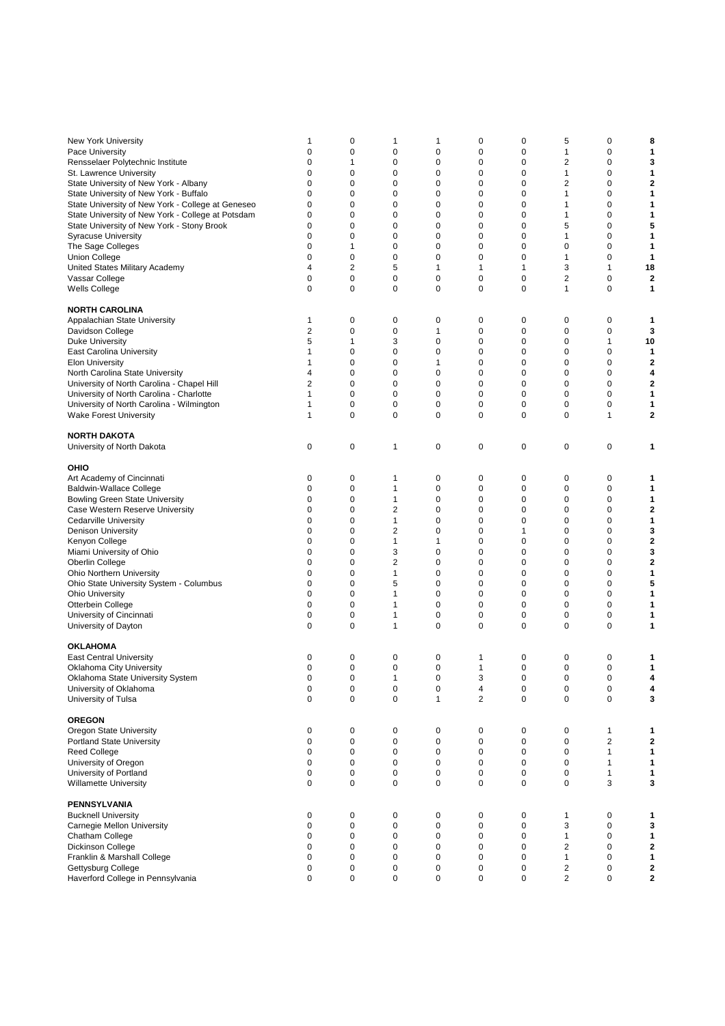| New York University                               | 1              | 0              | 1              | 1            | 0              | 0           | 5              | 0              | 8              |
|---------------------------------------------------|----------------|----------------|----------------|--------------|----------------|-------------|----------------|----------------|----------------|
|                                                   |                |                |                |              |                |             |                |                |                |
| Pace University                                   | 0              | 0              | 0              | 0            | 0              | 0           | $\mathbf{1}$   | 0              | 1              |
| Rensselaer Polytechnic Institute                  | 0              | 1              | 0              | 0            | 0              | 0           | $\overline{2}$ | 0              | 3              |
| St. Lawrence University                           | 0              | 0              | 0              | $\mathbf 0$  | 0              | 0           | $\mathbf{1}$   | 0              | 1              |
| State University of New York - Albany             | 0              | 0              | 0              | 0            | 0              | 0           | 2              | 0              | $\overline{2}$ |
| State University of New York - Buffalo            | 0              | 0              | 0              | 0            | 0              | 0           | $\mathbf{1}$   | 0              | 1              |
|                                                   |                |                |                |              |                |             |                |                |                |
| State University of New York - College at Geneseo | 0              | 0              | 0              | $\mathbf 0$  | 0              | 0           | 1              | 0              | 1              |
| State University of New York - College at Potsdam | 0              | 0              | 0              | 0            | 0              | 0           | 1              | 0              | 1              |
| State University of New York - Stony Brook        | 0              | 0              | 0              | 0            | 0              | 0           | 5              | 0              | 5              |
| <b>Syracuse University</b>                        | 0              | 0              | 0              | 0            | 0              | 0           | 1              | 0              | 1              |
|                                                   |                |                |                |              |                |             |                |                |                |
| The Sage Colleges                                 | 0              | $\mathbf{1}$   | 0              | 0            | 0              | 0           | 0              | 0              | 1              |
| <b>Union College</b>                              | 0              | $\pmb{0}$      | 0              | $\mathbf 0$  | 0              | 0           | 1              | 0              | 1              |
| United States Military Academy                    | 4              | $\overline{2}$ | 5              | 1            | $\mathbf{1}$   | 1           | 3              | 1              | 18             |
| Vassar College                                    | 0              | 0              | 0              | 0            | 0              | 0           | $\overline{2}$ | 0              | $\overline{2}$ |
|                                                   |                |                |                |              |                |             |                |                |                |
| Wells College                                     | 0              | 0              | 0              | $\mathbf 0$  | 0              | 0           | $\mathbf{1}$   | 0              | 1              |
|                                                   |                |                |                |              |                |             |                |                |                |
| <b>NORTH CAROLINA</b>                             |                |                |                |              |                |             |                |                |                |
| Appalachian State University                      | 1              | 0              | 0              | 0            | 0              | 0           | 0              | 0              | 1              |
| Davidson College                                  | $\overline{2}$ | 0              | 0              | 1            | 0              | 0           | 0              | 0              | 3              |
|                                                   |                |                |                |              |                |             |                |                |                |
| <b>Duke University</b>                            | 5              | $\mathbf{1}$   | 3              | 0            | 0              | 0           | $\mathbf 0$    | 1              | 10             |
| East Carolina University                          | 1              | 0              | 0              | $\mathbf 0$  | 0              | 0           | $\mathbf 0$    | 0              | 1              |
| <b>Elon University</b>                            | 1              | 0              | 0              | 1            | 0              | 0           | 0              | 0              | $\overline{2}$ |
| North Carolina State University                   | 4              | 0              | 0              | 0            | 0              | 0           | $\mathbf 0$    | 0              | 4              |
|                                                   |                |                |                |              |                |             |                |                |                |
| University of North Carolina - Chapel Hill        | $\overline{2}$ | 0              | 0              | 0            | 0              | 0           | 0              | 0              | 2              |
| University of North Carolina - Charlotte          | 1              | $\mathbf 0$    | 0              | 0            | 0              | 0           | $\mathbf 0$    | 0              | 1              |
| University of North Carolina - Wilmington         | 1              | 0              | 0              | 0            | 0              | 0           | 0              | 0              | 1              |
| <b>Wake Forest University</b>                     | 1              | 0              | 0              | 0            | 0              | 0           | 0              | 1              | 2              |
|                                                   |                |                |                |              |                |             |                |                |                |
|                                                   |                |                |                |              |                |             |                |                |                |
| <b>NORTH DAKOTA</b>                               |                |                |                |              |                |             |                |                |                |
| University of North Dakota                        | 0              | 0              | 1              | 0            | 0              | 0           | 0              | 0              | 1              |
|                                                   |                |                |                |              |                |             |                |                |                |
| OHIO                                              |                |                |                |              |                |             |                |                |                |
|                                                   | 0              | 0              | 1              | 0            | 0              | 0           | 0              | 0              | 1              |
| Art Academy of Cincinnati                         |                |                |                |              |                |             |                |                |                |
| <b>Baldwin-Wallace College</b>                    | 0              | 0              | 1              | 0            | 0              | 0           | 0              | 0              | 1              |
| <b>Bowling Green State University</b>             | $\mathbf 0$    | 0              | 1              | 0            | 0              | 0           | $\mathbf 0$    | 0              | 1              |
| Case Western Reserve University                   | 0              | 0              | 2              | 0            | 0              | 0           | 0              | 0              | 2              |
|                                                   | 0              | 0              | 1              | 0            |                | 0           | 0              | 0              |                |
| <b>Cedarville University</b>                      |                |                |                |              | 0              |             |                |                | 1              |
| <b>Denison University</b>                         | 0              | $\mathbf 0$    | $\overline{2}$ | 0            | 0              | 1           | 0              | 0              | 3              |
| Kenyon College                                    | 0              | 0              | 1              | 1            | 0              | 0           | $\mathbf 0$    | 0              | $\overline{2}$ |
| Miami University of Ohio                          | 0              | 0              | 3              | 0            | 0              | 0           | 0              | 0              | 3              |
| Oberlin College                                   | 0              | 0              | 2              | $\mathbf 0$  | 0              | 0           | 0              | 0              | $\overline{2}$ |
|                                                   |                |                |                |              |                |             |                |                |                |
| Ohio Northern University                          | $\mathbf 0$    | $\mathbf 0$    | 1              | 0            | 0              | 0           | 0              | 0              | 1              |
| Ohio State University System - Columbus           | 0              | 0              | 5              | 0            | 0              | 0           | $\mathbf 0$    | 0              | 5              |
| <b>Ohio University</b>                            | 0              | 0              | 1              | 0            | 0              | 0           | 0              | 0              | 1              |
| Otterbein College                                 | 0              | $\pmb{0}$      | 1              | 0            | 0              | 0           | $\mathbf 0$    | 0              | 1              |
|                                                   | $\mathbf 0$    | $\pmb{0}$      |                |              |                |             |                | $\mathbf 0$    |                |
| University of Cincinnati                          |                |                | 1              | 0            | 0              | 0           | 0              |                | 1              |
| University of Dayton                              | $\mathbf 0$    | 0              | 1              | $\mathbf 0$  | 0              | 0           | 0              | 0              | 1              |
|                                                   |                |                |                |              |                |             |                |                |                |
| <b>OKLAHOMA</b>                                   |                |                |                |              |                |             |                |                |                |
| <b>East Central University</b>                    | 0              | 0              | 0              | 0            | 1              | 0           | 0              | 0              | 1              |
|                                                   |                |                |                |              |                |             |                |                |                |
| Oklahoma City University                          | $\mathbf 0$    | $\pmb{0}$      | 0              | $\mathbf 0$  | 1              | 0           | 0              | 0              | 1              |
| Oklahoma State University System                  | 0              | 0              | 1              | 0            | 3              | $\Omega$    | 0              | 0              | Δ              |
| University of Oklahoma                            | $\pmb{0}$      | $\pmb{0}$      | 0              | $\pmb{0}$    | 4              | $\pmb{0}$   | $\pmb{0}$      | 0              | 4              |
| University of Tulsa                               | 0              | 0              | 0              | $\mathbf{1}$ | $\overline{2}$ | $\mathbf 0$ | $\mathbf 0$    | 0              | 3              |
|                                                   |                |                |                |              |                |             |                |                |                |
|                                                   |                |                |                |              |                |             |                |                |                |
| <b>OREGON</b>                                     |                |                |                |              |                |             |                |                |                |
| Oregon State University                           | 0              | 0              | 0              | 0            | 0              | 0           | 0              | 1              | 1              |
| <b>Portland State University</b>                  | $\mathbf 0$    | 0              | 0              | 0            | 0              | 0           | 0              | $\overline{2}$ | 2              |
| <b>Reed College</b>                               | 0              | $\pmb{0}$      | 0              | $\mathbf 0$  | 0              | 0           | 0              | 1              | 1              |
|                                                   |                |                |                |              |                |             |                |                |                |
| University of Oregon                              | $\mathbf 0$    | 0              | 0              | 0            | 0              | 0           | 0              | 1              | 1              |
| University of Portland                            | 0              | 0              | 0              | 0            | 0              | 0           | 0              | 1              | 1              |
| <b>Willamette University</b>                      | $\mathbf 0$    | 0              | 0              | 0            | 0              | 0           | 0              | 3              | 3              |
|                                                   |                |                |                |              |                |             |                |                |                |
| <b>PENNSYLVANIA</b>                               |                |                |                |              |                |             |                |                |                |
|                                                   |                |                |                |              |                |             |                |                |                |
| <b>Bucknell University</b>                        | 0              | 0              | 0              | 0            | 0              | 0           | $\mathbf{1}$   | 0              | 1              |
| Carnegie Mellon University                        | 0              | 0              | 0              | 0            | 0              | 0           | 3              | 0              | 3              |
| Chatham College                                   | 0              | $\pmb{0}$      | 0              | 0            | 0              | 0           | $\mathbf{1}$   | 0              | 1              |
| Dickinson College                                 | 0              | 0              | 0              | 0            | 0              | 0           | $\overline{2}$ | 0              | 2              |
| Franklin & Marshall College                       | 0              | 0              | 0              | 0            | 0              | 0           | $\mathbf{1}$   | 0              | 1              |
|                                                   |                |                |                |              |                |             |                |                |                |
| Gettysburg College                                | 0              | 0              | 0              | 0            | 0              | 0           | $\overline{2}$ | 0              | 2              |
| Haverford College in Pennsylvania                 | 0              | 0              | 0              | 0            | 0              | 0           | 2              | 0              | 2              |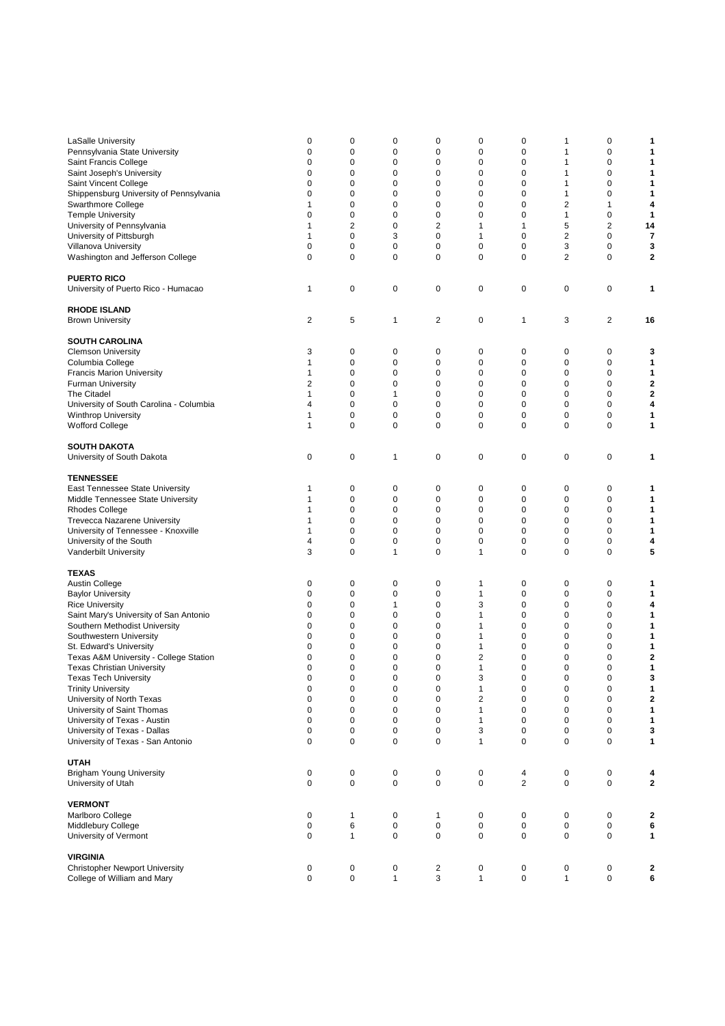| LaSalle University                      | 0              | 0              | 0            | 0           | 0                       | 0              | 1              | 0           | 1                       |
|-----------------------------------------|----------------|----------------|--------------|-------------|-------------------------|----------------|----------------|-------------|-------------------------|
| Pennsylvania State University           | 0              | $\mathbf 0$    | $\mathbf 0$  | 0           | 0                       | 0              | $\mathbf{1}$   | 0           | 1                       |
| Saint Francis College                   | 0              | 0              | 0            | 0           | 0                       | 0              | $\mathbf{1}$   | 0           | 1                       |
| Saint Joseph's University               | 0              | 0              | 0            | 0           | 0                       | 0              | 1              | 0           | 1                       |
| Saint Vincent College                   | 0              | $\mathbf 0$    | 0            | 0           | 0                       | 0              | 1              | 0           | 1                       |
| Shippensburg University of Pennsylvania | 0              | $\mathbf 0$    | 0            | 0           | 0                       | 0              | $\mathbf{1}$   | 0           | 1                       |
| Swarthmore College                      | 1              | 0              | 0            | 0           | 0                       | 0              | $\overline{2}$ | 1           | 4                       |
| <b>Temple University</b>                | 0              | 0              | 0            | 0           | 0                       | 0              | $\mathbf{1}$   | 0           | 1                       |
| University of Pennsylvania              | 1              | $\overline{2}$ | 0            | 2           | 1                       | 1              | 5              | 2           | 14                      |
| University of Pittsburgh                | 1              | $\pmb{0}$      | 3            | 0           | $\mathbf{1}$            | 0              | $\overline{2}$ | 0           | $\overline{\mathbf{r}}$ |
| Villanova University                    | $\mathbf 0$    | 0              | 0            | 0           | 0                       | 0              | 3              | 0           | 3                       |
| Washington and Jefferson College        | 0              | 0              | 0            | 0           | 0                       | 0              | $\overline{2}$ | 0           | 2                       |
|                                         |                |                |              |             |                         |                |                |             |                         |
| <b>PUERTO RICO</b>                      |                |                |              |             |                         |                |                |             |                         |
|                                         | 1              | 0              | 0            | 0           | 0                       | 0              | 0              | 0           | 1                       |
| University of Puerto Rico - Humacao     |                |                |              |             |                         |                |                |             |                         |
|                                         |                |                |              |             |                         |                |                |             |                         |
| <b>RHODE ISLAND</b>                     |                |                |              |             |                         |                |                |             |                         |
| <b>Brown University</b>                 | $\overline{2}$ | 5              | 1            | 2           | 0                       | 1              | 3              | 2           | 16                      |
|                                         |                |                |              |             |                         |                |                |             |                         |
| <b>SOUTH CAROLINA</b>                   |                |                |              |             |                         |                |                |             |                         |
| <b>Clemson University</b>               | 3              | 0              | 0            | 0           | 0                       | 0              | 0              | 0           | 3                       |
| Columbia College                        | 1              | 0              | 0            | 0           | 0                       | 0              | 0              | 0           | 1                       |
| <b>Francis Marion University</b>        | 1              | $\mathbf 0$    | 0            | 0           | 0                       | 0              | 0              | 0           | 1                       |
| <b>Furman University</b>                | 2              | 0              | 0            | 0           | 0                       | 0              | 0              | 0           | 2                       |
| The Citadel                             | 1              | 0              | 1            | 0           | 0                       | 0              | 0              | 0           | 2                       |
|                                         |                |                |              |             |                         |                |                |             |                         |
| University of South Carolina - Columbia | 4              | 0              | 0            | 0           | 0                       | 0              | 0              | 0           | 4                       |
| <b>Winthrop University</b>              | 1              | $\mathbf 0$    | $\mathbf 0$  | 0           | 0                       | 0              | 0              | 0           | 1                       |
| <b>Wofford College</b>                  | 1              | 0              | 0            | 0           | 0                       | 0              | 0              | 0           | 1                       |
|                                         |                |                |              |             |                         |                |                |             |                         |
| <b>SOUTH DAKOTA</b>                     |                |                |              |             |                         |                |                |             |                         |
| University of South Dakota              | 0              | $\pmb{0}$      | 1            | 0           | 0                       | 0              | $\pmb{0}$      | 0           | 1                       |
|                                         |                |                |              |             |                         |                |                |             |                         |
| <b>TENNESSEE</b>                        |                |                |              |             |                         |                |                |             |                         |
| East Tennessee State University         | 1              | 0              | 0            | 0           | 0                       | 0              | 0              | 0           | 1                       |
|                                         |                | $\mathbf 0$    | 0            |             | 0                       |                |                | $\mathbf 0$ |                         |
| Middle Tennessee State University       | 1              |                |              | 0           |                         | 0              | 0              |             | 1                       |
| <b>Rhodes College</b>                   | 1              | $\mathbf 0$    | 0            | 0           | 0                       | 0              | 0              | 0           | 1                       |
| <b>Trevecca Nazarene University</b>     | 1              | 0              | 0            | 0           | 0                       | 0              | 0              | 0           | 1                       |
| University of Tennessee - Knoxville     | 1              | 0              | 0            | 0           | 0                       | 0              | 0              | 0           | 1                       |
| University of the South                 | 4              | $\mathbf 0$    | 0            | 0           | 0                       | 0              | 0              | 0           | 4                       |
| Vanderbilt University                   | 3              | $\mathbf 0$    | $\mathbf{1}$ | 0           | 1                       | 0              | 0              | 0           | 5                       |
|                                         |                |                |              |             |                         |                |                |             |                         |
| <b>TEXAS</b>                            |                |                |              |             |                         |                |                |             |                         |
| Austin College                          | 0              | 0              | 0            | 0           | 1                       | 0              | 0              | 0           | 1                       |
| <b>Baylor University</b>                | 0              | $\mathbf 0$    | 0            | 0           | $\mathbf{1}$            | 0              | 0              | 0           | 1                       |
|                                         |                |                |              |             |                         |                |                |             |                         |
| <b>Rice University</b>                  | 0              | 0              | 1            | 0           | 3                       | 0              | 0              | 0           | 4                       |
| Saint Mary's University of San Antonio  | 0              | 0              | 0            | 0           | 1                       | 0              | 0              | 0           | 1                       |
| Southern Methodist University           | 0              | $\mathbf 0$    | 0            | 0           | 1                       | 0              | 0              | 0           | 1                       |
| Southwestern University                 | 0              | $\mathbf 0$    | 0            | 0           | 1                       | 0              | $\mathbf 0$    | 0           | 1                       |
| St. Edward's University                 | 0              | 0              | 0            | 0           | 1                       | 0              | $\mathbf 0$    | 0           | 1                       |
| Texas A&M University - College Station  | 0              | 0              | 0            | 0           | 2                       | 0              | 0              | 0           | 2                       |
| <b>Texas Christian University</b>       | 0              | $\mathbf 0$    | $\mathbf 0$  | 0           | 1                       | 0              | $\mathbf 0$    | 0           | 1                       |
| Texas Tech University                   | 0              | 0              | 0            | 0           | З                       | 0              | 0              | 0           | З                       |
| <b>Trinity University</b>               |                | $\pmb{0}$      | $\pmb{0}$    | 0           | 1                       | 0              | 0              | 0           | 1                       |
|                                         | 0              |                |              |             |                         |                |                |             |                         |
| University of North Texas               | $\mathbf 0$    | $\pmb{0}$      | 0            | $\pmb{0}$   | $\overline{\mathbf{c}}$ | 0              | 0              | 0           | $\mathbf{2}$            |
| University of Saint Thomas              | $\mathbf 0$    | $\pmb{0}$      | $\pmb{0}$    | 0           | 1                       | 0              | 0              | 0           | 1                       |
| University of Texas - Austin            | $\mathbf 0$    | $\pmb{0}$      | 0            | $\mathbf 0$ | $\mathbf{1}$            | 0              | $\mathbf 0$    | 0           | 1                       |
| University of Texas - Dallas            | $\mathbf 0$    | $\pmb{0}$      | $\pmb{0}$    | 0           | 3                       | 0              | $\mathbf 0$    | 0           | 3                       |
| University of Texas - San Antonio       | 0              | $\pmb{0}$      | $\pmb{0}$    | 0           | $\mathbf{1}$            | 0              | 0              | 0           | 1                       |
|                                         |                |                |              |             |                         |                |                |             |                         |
| <b>UTAH</b>                             |                |                |              |             |                         |                |                |             |                         |
| <b>Brigham Young University</b>         | $\mathbf 0$    | $\pmb{0}$      | $\pmb{0}$    | $\pmb{0}$   | $\pmb{0}$               | 4              | $\pmb{0}$      | 0           | 4                       |
| University of Utah                      | 0              | 0              | $\pmb{0}$    | 0           | 0                       | $\overline{2}$ | $\mathbf 0$    | 0           | $\mathbf{2}$            |
|                                         |                |                |              |             |                         |                |                |             |                         |
| <b>VERMONT</b>                          |                |                |              |             |                         |                |                |             |                         |
|                                         | $\pmb{0}$      | $\mathbf{1}$   | $\pmb{0}$    | 1           | $\mathbf 0$             | $\pmb{0}$      | $\pmb{0}$      | 0           |                         |
| Marlboro College                        |                |                |              |             |                         |                |                |             | 2                       |
| Middlebury College                      | 0              | 6              | $\pmb{0}$    | $\pmb{0}$   | 0                       | 0              | $\mathbf 0$    | 0           | 6                       |
| University of Vermont                   | 0              | $\mathbf{1}$   | $\pmb{0}$    | 0           | 0                       | 0              | $\mathbf 0$    | 0           | 1                       |
|                                         |                |                |              |             |                         |                |                |             |                         |
| <b>VIRGINIA</b>                         |                |                |              |             |                         |                |                |             |                         |
| <b>Christopher Newport University</b>   | 0              | 0              | 0            | 2           | 0                       | 0              | 0              | 0           | 2                       |
| College of William and Mary             | $\mathbf 0$    | 0              | $\mathbf{1}$ | 3           | $\mathbf{1}$            | 0              | $\mathbf{1}$   | 0           | 6                       |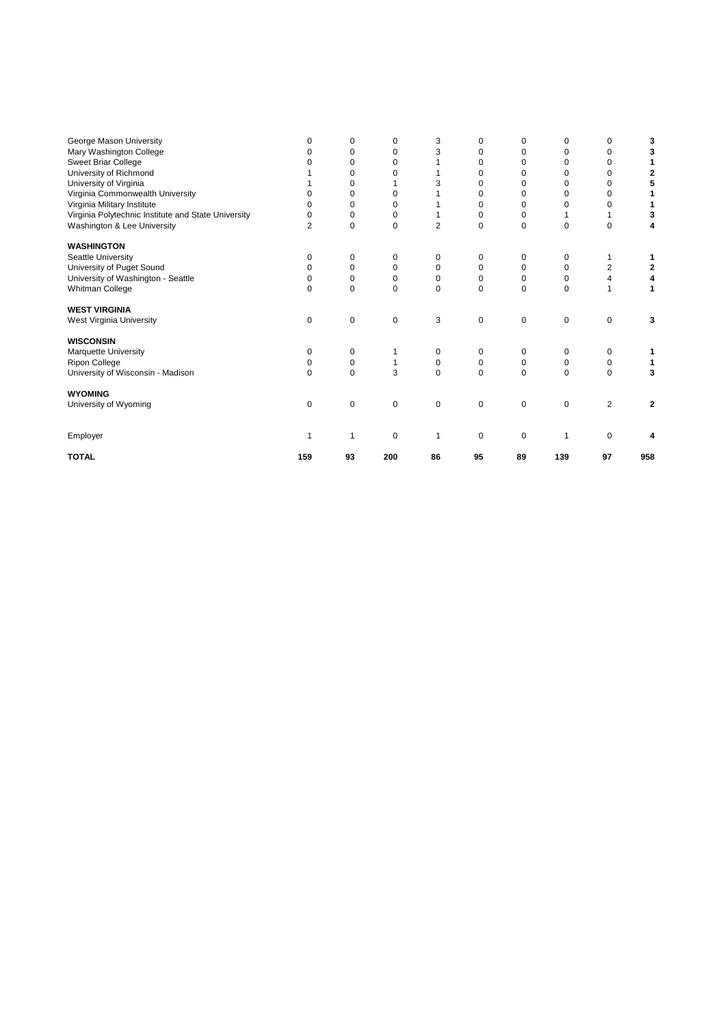| George Mason University<br>Mary Washington College<br>Sweet Briar College<br>University of Richmond<br>University of Virginia<br>Virginia Commonwealth University | 0<br>O<br>0              | 0<br>$\Omega$<br>0<br>0<br>$\Omega$<br>0 | 0<br>$\Omega$<br>$\Omega$<br>0<br>$\Omega$ | 3<br>3<br>3      | 0<br>$\Omega$<br>0<br>$\Omega$<br>$\Omega$<br>$\Omega$ | 0<br>$\Omega$<br>O<br>0<br>O<br>0 | 0<br>$\Omega$<br>0<br>0<br>$\Omega$<br>0 | 0<br>$\Omega$<br>0<br>0<br>$\Omega$<br>$\Omega$ | 3<br>3<br>2<br>5 |
|-------------------------------------------------------------------------------------------------------------------------------------------------------------------|--------------------------|------------------------------------------|--------------------------------------------|------------------|--------------------------------------------------------|-----------------------------------|------------------------------------------|-------------------------------------------------|------------------|
| Virginia Military Institute<br>Virginia Polytechnic Institute and State University<br>Washington & Lee University                                                 | o<br>0<br>$\overline{2}$ | 0<br>0<br>0                              | $\Omega$<br>0<br>0                         | $\overline{2}$   | $\Omega$<br>0<br>0                                     | O<br>0<br>$\Omega$                | 0<br>0                                   | $\Omega$<br>$\mathbf 0$                         |                  |
| <b>WASHINGTON</b>                                                                                                                                                 |                          |                                          |                                            |                  |                                                        |                                   |                                          |                                                 |                  |
| Seattle University<br>University of Puget Sound                                                                                                                   | 0<br>0                   | 0<br>0                                   | 0<br>$\Omega$                              | $\mathbf 0$<br>0 | 0<br>0                                                 | 0<br>$\Omega$                     | 0<br>$\Omega$                            | 1<br>$\overline{2}$                             | 2                |
| University of Washington - Seattle<br>Whitman College                                                                                                             | 0<br>$\Omega$            | 0<br>$\Omega$                            | 0<br>$\Omega$                              | 0<br>$\Omega$    | 0<br>0                                                 | 0<br>$\Omega$                     | 0<br>$\Omega$                            | 4<br>1                                          | 1                |
| <b>WEST VIRGINIA</b><br>West Virginia University                                                                                                                  | 0                        | 0                                        | 0                                          | 3                | 0                                                      | 0                                 | 0                                        | 0                                               | 3                |
| <b>WISCONSIN</b>                                                                                                                                                  |                          |                                          |                                            |                  |                                                        |                                   |                                          |                                                 |                  |
| Marquette University<br><b>Ripon College</b>                                                                                                                      | 0<br>0                   | 0<br>0                                   |                                            | 0<br>$\mathbf 0$ | 0<br>0                                                 | $\Omega$<br>0                     | 0<br>0                                   | 0<br>0                                          |                  |
| University of Wisconsin - Madison                                                                                                                                 | 0                        | 0                                        | 3                                          | $\Omega$         | 0                                                      | $\Omega$                          | 0                                        | $\mathbf 0$                                     | 3                |
| <b>WYOMING</b><br>University of Wyoming                                                                                                                           | 0                        | 0                                        | 0                                          | $\mathbf 0$      | 0                                                      | 0                                 | 0                                        | $\overline{2}$                                  | $\mathbf{2}$     |
| Employer                                                                                                                                                          | 1                        | 1                                        | 0                                          | 1                | 0                                                      | 0                                 | 1                                        | 0                                               |                  |
| <b>TOTAL</b>                                                                                                                                                      | 159                      | 93                                       | 200                                        | 86               | 95                                                     | 89                                | 139                                      | 97                                              | 958              |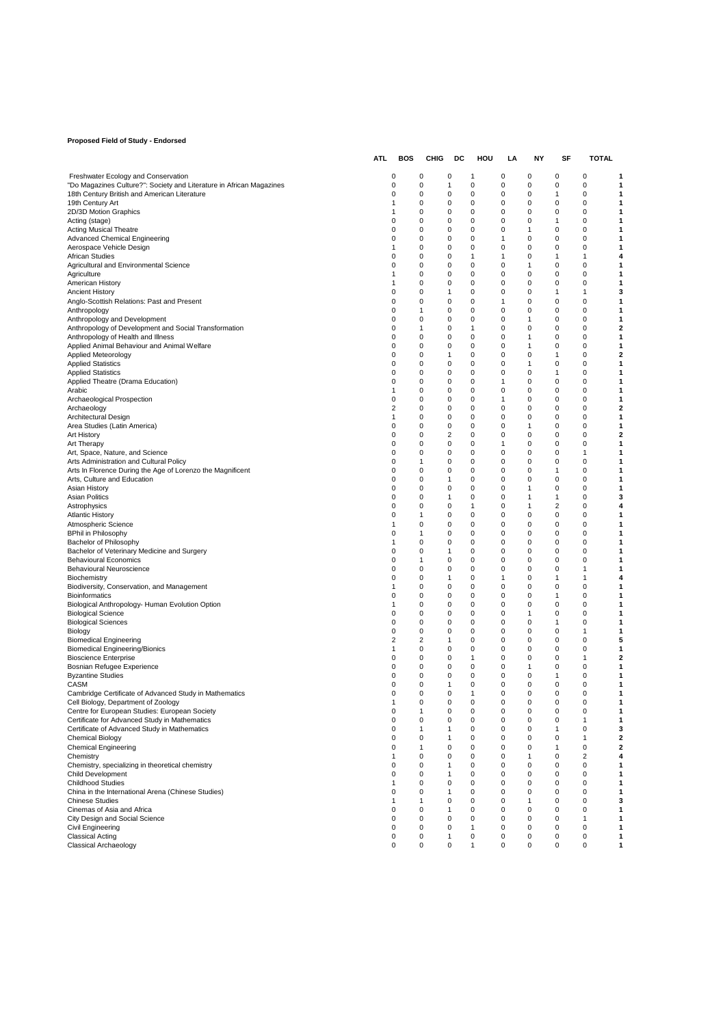#### **Proposed Field of Study - Endorsed**

|                                                                                                       | ATL | BOS    | CHIG     | DC           | HOU              | LA     | NΥ       | SF             | <b>TOTAL</b>               |                |
|-------------------------------------------------------------------------------------------------------|-----|--------|----------|--------------|------------------|--------|----------|----------------|----------------------------|----------------|
| Freshwater Ecology and Conservation                                                                   |     | 0      | 0        | 0            | 1                | 0      | 0        | 0              | 0                          |                |
| "Do Magazines Culture?": Society and Literature in African Magazines                                  |     | 0      | 0        | 1            | 0                | 0      | 0        | 0              | 0                          | 1              |
| 18th Century British and American Literature                                                          |     | 0      | 0        | 0            | 0                | 0      | 0        | 1              | 0                          | 1              |
| 19th Century Art                                                                                      |     | 1      | 0        | 0            | 0                | 0      | 0        | 0              | 0                          | 1              |
| 2D/3D Motion Graphics<br>Acting (stage)                                                               |     | 1<br>0 | 0<br>0   | 0<br>0       | 0<br>0           | 0<br>0 | 0<br>0   | 0<br>1         | 0<br>0                     | 1              |
| Acting Musical Theatre                                                                                |     | 0      | 0        | 0            | 0                | 0      | 1        | 0              | 0                          | 1              |
| <b>Advanced Chemical Engineering</b>                                                                  |     | 0      | 0        | 0            | $\mathbf 0$      | 1      | 0        | 0              | 0                          | 1              |
| Aerospace Vehicle Design                                                                              |     | 1      | 0        | 0            | 0                | 0      | 0        | 0              | 0                          | 1              |
| African Studies<br>Agricultural and Environmental Science                                             |     | 0<br>0 | 0<br>0   | 0<br>0       | 1<br>0           | 1<br>0 | 0<br>1   | 1<br>0         | 1<br>0                     | 1              |
| Agriculture                                                                                           |     | 1      | 0        | 0            | 0                | 0      | 0        | 0              | 0                          | 1              |
| American History                                                                                      |     | 1      | 0        | 0            | 0                | 0      | 0        | 0              | 0                          | 1              |
| <b>Ancient History</b>                                                                                |     | 0      | 0        | 1            | 0                | 0      | 0        | 1              | 1                          | 3              |
| Anglo-Scottish Relations: Past and Present                                                            |     | 0      | 0        | 0            | 0                | 1      | 0        | 0              | 0                          | 1              |
| Anthropology<br>Anthropology and Development                                                          |     | 0<br>0 | 1<br>0   | 0<br>0       | 0<br>0           | 0<br>0 | 0<br>1   | 0<br>0         | 0<br>$\mathbf 0$           | 1<br>1         |
| Anthropology of Development and Social Transformation                                                 |     | 0      | 1        | 0            | 1                | 0      | 0        | 0              | 0                          | 2              |
| Anthropology of Health and Illness                                                                    |     | 0      | 0        | 0            | 0                | 0      | 1        | 0              | 0                          |                |
| Applied Animal Behaviour and Animal Welfare                                                           |     | 0      | 0        | 0            | 0                | 0      | 1        | 0              | 0                          | 1              |
| Applied Meteorology                                                                                   |     | 0      | 0        | 1            | 0                | 0      | 0        | 1              | 0                          | 2              |
| <b>Applied Statistics</b><br><b>Applied Statistics</b>                                                |     | 0<br>0 | 0<br>0   | 0<br>0       | 0<br>0           | 0<br>0 | 1<br>0   | 0<br>1         | 0<br>0                     | 1<br>1         |
| Applied Theatre (Drama Education)                                                                     |     | 0      | 0        | 0            | 0                | 1      | 0        | 0              | 0                          | 1              |
| Arabic                                                                                                |     | 1      | 0        | 0            | 0                | 0      | 0        | 0              | $\mathbf 0$                | 1              |
| Archaeological Prospection                                                                            |     | 0      | 0        | 0            | 0                | 1      | 0        | 0              | $\mathbf 0$                | 1              |
| Archaeology                                                                                           |     | 2      | 0        | 0            | 0                | 0      | 0        | 0              | 0                          | 2              |
| Architectural Design<br>Area Studies (Latin America)                                                  |     | 1<br>0 | 0<br>0   | 0<br>0       | 0<br>0           | 0<br>0 | 0<br>1   | 0<br>0         | 0<br>0                     | 1              |
| Art History                                                                                           |     | 0      | 0        | 2            | 0                | 0      | 0        | 0              | 0                          | $\overline{2}$ |
| Art Therapy                                                                                           |     | 0      | 0        | 0            | 0                | 1      | 0        | 0              | 0                          | 1              |
| Art, Space, Nature, and Science                                                                       |     | 0      | 0        | 0            | 0                | 0      | 0        | 0              | 1                          | 1              |
| Arts Administration and Cultural Policy<br>Arts In Florence During the Age of Lorenzo the Magnificent |     | 0<br>0 | 1<br>0   | 0<br>0       | 0<br>0           | 0<br>0 | 0<br>0   | 0<br>1         | $\mathbf 0$<br>$\mathbf 0$ | 1<br>1         |
| Arts, Culture and Education                                                                           |     | 0      | 0        | 1            | 0                | 0      | 0        | 0              | 0                          | 1              |
| Asian History                                                                                         |     | 0      | 0        | 0            | 0                | 0      | 1        | 0              | 0                          | 1              |
| <b>Asian Politics</b>                                                                                 |     | 0      | 0        | 1            | 0                | 0      | 1        | 1              | 0                          | 3              |
| Astrophysics                                                                                          |     | 0      | 0        | 0            | 1                | 0      | 1        | $\overline{2}$ | 0                          | 4              |
| <b>Atlantic History</b><br>Atmospheric Science                                                        |     | 0<br>1 | 1<br>0   | 0<br>0       | 0<br>0           | 0<br>0 | 0<br>0   | 0<br>0         | 0<br>0                     | 1<br>1         |
| <b>BPhil in Philosophy</b>                                                                            |     | 0      | 1        | 0            | 0                | 0      | 0        | 0              | 0                          | 1              |
| Bachelor of Philosophy                                                                                |     | 1      | 0        | 0            | 0                | 0      | 0        | 0              | $\mathbf 0$                | 1              |
| Bachelor of Veterinary Medicine and Surgery                                                           |     | 0      | 0        | $\mathbf{1}$ | $\mathbf 0$      | 0      | 0        | 0              | 0                          | 1              |
| <b>Behavioural Economics</b>                                                                          |     | 0      | 1        | 0            | 0                | 0<br>0 | 0<br>0   | 0              | 0                          | 1              |
| Behavioural Neuroscience<br>Biochemistry                                                              |     | 0<br>0 | 0<br>0   | 0<br>1       | 0<br>0           | 1      | 0        | 0<br>1         | 1<br>1                     | 4              |
| Biodiversity, Conservation, and Management                                                            |     | 1      | 0        | 0            | 0                | 0      | 0        | 0              | 0                          | 1              |
| <b>Bioinformatics</b>                                                                                 |     | 0      | 0        | 0            | 0                | 0      | 0        | 1              | 0                          | 1              |
| Biological Anthropology- Human Evolution Option                                                       |     | 1      | 0        | 0            | $\mathbf 0$      | 0      | 0        | 0              | 0                          | 1              |
| <b>Biological Science</b><br><b>Biological Sciences</b>                                               |     | 0<br>0 | 0<br>0   | 0<br>0       | 0<br>$\mathbf 0$ | 0<br>0 | 1<br>0   | 0<br>1         | 0<br>$\mathbf 0$           | 1<br>1         |
| Biology                                                                                               |     | 0      | 0        | 0            | 0                | 0      | 0        | 0              | 1                          | 1              |
| <b>Biomedical Engineering</b>                                                                         |     | 2      | 2        | 1            | 0                | 0      | 0        | 0              | 0                          | 5              |
| <b>Biomedical Engineering/Bionics</b>                                                                 |     | 1      | 0        | 0            | 0                | 0      | 0        | 0              | 0                          | 1              |
| <b>Bioscience Enterprise</b><br>Bosnian Refugee Experience                                            |     | 0<br>0 | 0<br>0   | 0<br>0       | 1<br>0           | 0<br>0 | 0<br>1   | 0<br>0         | 1<br>0                     | 2<br>1         |
| <b>Byzantine Studies</b>                                                                              |     | 0      | 0        | 0            | 0                | 0      | 0        | 1              | 0                          | 1              |
| CASM                                                                                                  |     | 0      | 0        | $\mathbf{1}$ | $\mathbf 0$      | 0      | 0        | 0              | 0                          | 1              |
| Cambridge Certificate of Advanced Study in Mathematics                                                |     | O      | $\Omega$ | $\Omega$     | $\mathbf{1}$     | 0      | $\Omega$ | O              | U                          |                |
| Cell Biology, Department of Zoology<br>Centre for European Studies: European Society                  |     | 1      | 0        | 0            | 0                | 0      | 0<br>0   | 0              | 0<br>0                     |                |
| Certificate for Advanced Study in Mathematics                                                         |     | 0<br>0 | 1<br>0   | 0<br>0       | 0<br>0           | 0<br>0 | 0        | 0<br>0         | 1                          |                |
| Certificate of Advanced Study in Mathematics                                                          |     | 0      | 1        | 1            | 0                | 0      | 0        | 1              | 0                          | 3              |
| Chemical Biology                                                                                      |     | 0      | 0        | 1            | 0                | 0      | 0        | 0              | 1                          | $\overline{2}$ |
| <b>Chemical Engineering</b>                                                                           |     | 0      | 1        | 0            | 0                | 0      | 0        | 1              | 0                          | 2              |
| Chemistry<br>Chemistry, specializing in theoretical chemistry                                         |     | 1<br>0 | 0<br>0   | 0<br>1       | 0<br>0           | 0<br>0 | 1<br>0   | 0<br>0         | 2<br>0                     | 4<br>1         |
| Child Development                                                                                     |     | 0      | 0        | 1            | 0                | 0      | 0        | 0              | 0                          | 1              |
| <b>Childhood Studies</b>                                                                              |     | 1      | 0        | 0            | 0                | 0      | 0        | 0              | 0                          |                |
| China in the International Arena (Chinese Studies)                                                    |     | 0      | 0        | 1            | 0                | 0      | 0        | 0              | 0                          | 1              |
| Chinese Studies                                                                                       |     | 1      | 1        | 0            | 0                | 0      | 1        | 0              | 0                          | 3              |
| Cinemas of Asia and Africa<br>City Design and Social Science                                          |     | 0<br>0 | 0<br>0   | 1<br>0       | 0<br>0           | 0<br>0 | 0<br>0   | 0<br>0         | 0<br>1                     | 1<br>1         |
| Civil Engineering                                                                                     |     | 0      | 0        | 0            | 1                | 0      | 0        | 0              | 0                          | 1              |
| <b>Classical Acting</b>                                                                               |     | 0      | 0        | 1            | 0                | 0      | 0        | 0              | 0                          | 1              |
| <b>Classical Archaeology</b>                                                                          |     | 0      | 0        | $\mathbf 0$  | 1                | 0      | 0        | 0              | 0                          | 1              |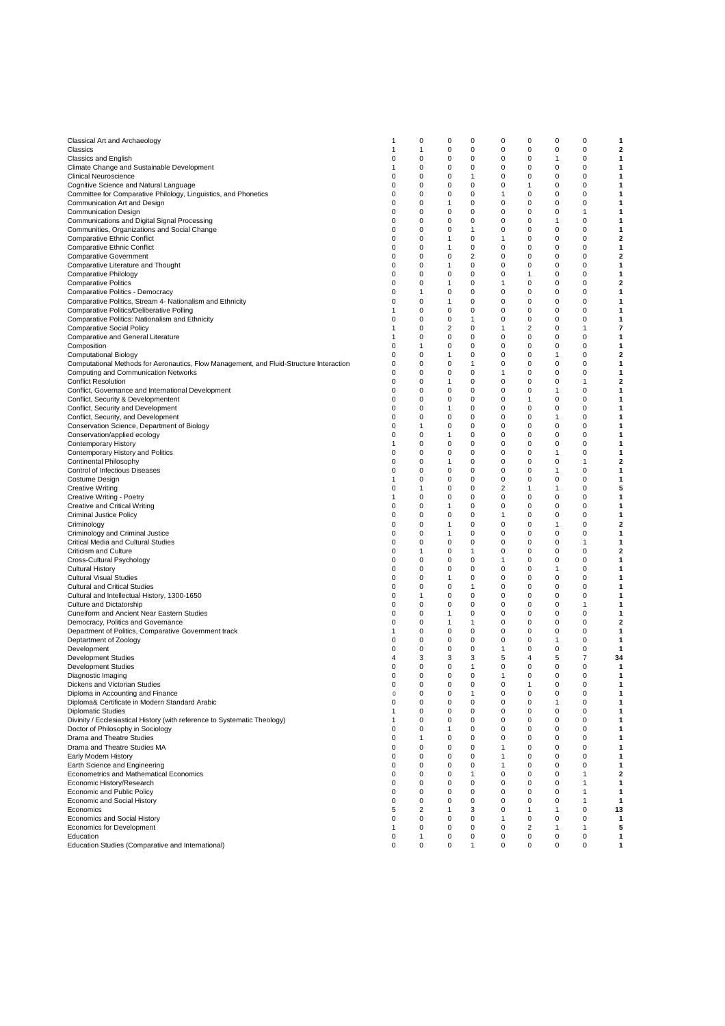| Classical Art and Archaeology                                                           | 1 | 0        | 0            | 0              | 0            | 0              | 0 | 0              | 1  |
|-----------------------------------------------------------------------------------------|---|----------|--------------|----------------|--------------|----------------|---|----------------|----|
| Classics                                                                                | 1 | 1        | 0            | 0              | 0            | 0              | 0 | 0              | 2  |
| <b>Classics and English</b>                                                             | 0 | 0        | 0            | 0              | 0            | 0              | 1 | 0              | 1  |
| Climate Change and Sustainable Development                                              | 1 | 0        | 0            | 0              | 0            | 0              | 0 | 0              | 1  |
|                                                                                         |   |          |              |                |              |                |   |                |    |
| <b>Clinical Neuroscience</b>                                                            | 0 | 0        | $\mathbf 0$  | 1              | $\mathbf 0$  | 0              | 0 | $\mathbf 0$    | 1  |
| Cognitive Science and Natural Language                                                  | 0 | 0        | 0            | 0              | 0            | 1              | 0 | $\mathbf 0$    | 1  |
| Committee for Comparative Philology, Linguistics, and Phonetics                         | 0 | 0        | $\mathbf 0$  | 0              | $\mathbf{1}$ | 0              | 0 | $\mathbf 0$    | 1  |
|                                                                                         | 0 | 0        | $\mathbf{1}$ | 0              | 0            | 0              | 0 | 0              | 1  |
| Communication Art and Design                                                            |   |          |              |                |              |                |   |                |    |
| <b>Communication Design</b>                                                             | 0 | 0        | 0            | 0              | $\mathbf 0$  | 0              | 0 | $\mathbf{1}$   | 1  |
| Communications and Digital Signal Processing                                            | 0 | 0        | 0            | 0              | 0            | 0              | 1 | 0              | 1  |
| Communities, Organizations and Social Change                                            | 0 | 0        | 0            | 1              | 0            | 0              | 0 | 0              | 1  |
|                                                                                         |   |          |              |                |              |                |   | 0              |    |
| <b>Comparative Ethnic Conflict</b>                                                      | 0 | 0        | 1            | 0              | 1            | 0              | 0 |                | 2  |
| <b>Comparative Ethnic Conflict</b>                                                      | 0 | 0        | 1            | 0              | 0            | 0              | 0 | 0              | 1  |
| <b>Comparative Government</b>                                                           | 0 | 0        | $\mathbf 0$  | $\overline{2}$ | $\mathbf 0$  | 0              | 0 | $\mathbf 0$    | 2  |
| Comparative Literature and Thought                                                      | 0 | 0        | 1            | 0              | 0            | $\pmb{0}$      | 0 | $\mathbf 0$    | 1  |
|                                                                                         |   |          |              |                |              |                |   |                |    |
| Comparative Philology                                                                   | 0 | 0        | 0            | 0              | $\mathbf 0$  | 1              | 0 | 0              | 1  |
| <b>Comparative Politics</b>                                                             | 0 | 0        | $\mathbf{1}$ | 0              | $\mathbf{1}$ | 0              | 0 | 0              | 2  |
| Comparative Politics - Democracy                                                        | 0 | 1        | 0            | 0              | 0            | 0              | 0 | 0              | 1  |
| Comparative Politics, Stream 4- Nationalism and Ethnicity                               | 0 | 0        | $\mathbf{1}$ | 0              | 0            | 0              | 0 | 0              | 1  |
|                                                                                         |   |          |              |                |              |                |   |                |    |
| Comparative Politics/Deliberative Polling                                               | 1 | 0        | 0            | 0              | 0            | 0              | 0 | 0              | 1  |
| Comparative Politics: Nationalism and Ethnicity                                         | 0 | 0        | 0            | $\mathbf{1}$   | 0            | 0              | 0 | $\mathbf 0$    | 1  |
| <b>Comparative Social Policy</b>                                                        | 1 | 0        | 2            | 0              | 1            | 2              | 0 | 1              | 7  |
|                                                                                         | 1 | 0        | $\mathbf 0$  | 0              | $\mathbf 0$  | 0              | 0 | $\mathbf 0$    | 1  |
| Comparative and General Literature                                                      |   |          |              |                |              |                |   |                |    |
| Composition                                                                             | 0 | 1        | 0            | 0              | 0            | 0              | 0 | 0              | 1  |
| <b>Computational Biology</b>                                                            | 0 | 0        | $\mathbf{1}$ | 0              | 0            | 0              | 1 | 0              | 2  |
| Computational Methods for Aeronautics, Flow Management, and Fluid-Structure Interaction | 0 | 0        | $\mathbf 0$  | 1              | 0            | 0              | 0 | 0              | 1  |
|                                                                                         |   |          |              |                |              |                |   |                |    |
| Computing and Communication Networks                                                    | 0 | 0        | 0            | 0              | 1            | 0              | 0 | 0              | 1  |
| <b>Conflict Resolution</b>                                                              | 0 | 0        | $\mathbf{1}$ | 0              | 0            | 0              | 0 | 1              | 2  |
| Conflict, Governance and International Development                                      | 0 | 0        | 0            | 0              | 0            | 0              | 1 | 0              | 1  |
|                                                                                         |   | 0        |              | 0              |              |                |   | $\mathbf 0$    |    |
| Conflict, Security & Developmentent                                                     | 0 |          | 0            |                | 0            | 1              | 0 |                | 1  |
| Conflict, Security and Development                                                      | 0 | 0        | 1            | 0              | 0            | 0              | 0 | 0              | 1  |
| Conflict, Security, and Development                                                     | 0 | 0        | $\mathbf 0$  | 0              | $\mathbf 0$  | 0              | 1 | $\mathbf 0$    | 1  |
| Conservation Science, Department of Biology                                             | 0 | 1        | 0            | 0              | 0            | 0              | 0 | 0              | 1  |
|                                                                                         |   |          |              |                |              |                |   |                |    |
| Conservation/applied ecology                                                            | 0 | 0        | $\mathbf{1}$ | 0              | $\mathbf 0$  | 0              | 0 | 0              | 1  |
| <b>Contemporary History</b>                                                             | 1 | 0        | $\mathbf 0$  | 0              | 0            | 0              | 0 | 0              | 1  |
| Contemporary History and Politics                                                       | 0 | 0        | 0            | 0              | 0            | 0              | 1 | 0              | 1  |
| Continental Philosophy                                                                  | 0 | 0        | 1            | 0              | 0            | 0              | 0 | 1              | 2  |
|                                                                                         |   |          |              |                |              |                |   |                |    |
| Control of Infectious Diseases                                                          | 0 | 0        | 0            | 0              | 0            | 0              | 1 | 0              | 1  |
| Costume Design                                                                          | 1 | 0        | $\mathbf 0$  | 0              | $\mathbf 0$  | 0              | 0 | $\mathbf 0$    | 1  |
| <b>Creative Writing</b>                                                                 | 0 | 1        | $\mathbf 0$  | 0              | 2            | 1              | 1 | $\mathbf 0$    | 5  |
|                                                                                         | 1 | $\Omega$ | 0            | 0              | 0            | 0              | 0 | 0              | 1  |
| Creative Writing - Poetry                                                               |   |          |              |                |              |                |   |                |    |
| Creative and Critical Writing                                                           | 0 | 0        | $\mathbf{1}$ | 0              | $\mathbf 0$  | 0              | 0 | 0              | 1  |
| <b>Criminal Justice Policy</b>                                                          | 0 | 0        | 0            | 0              | 1            | 0              | 0 | 0              | 1  |
| Criminology                                                                             | 0 | 0        | 1            | 0              | 0            | 0              | 1 | $\mathbf 0$    | 2  |
|                                                                                         |   |          |              |                |              |                |   |                |    |
| Criminology and Criminal Justice                                                        | 0 | 0        | 1            | 0              | 0            | 0              | 0 | 0              | 1  |
| Critical Media and Cultural Studies                                                     | 0 | 0        | 0            | 0              | 0            | 0              | 0 | 1              | 1  |
| Criticism and Culture                                                                   | 0 | 1        | 0            | 1              | 0            | 0              | 0 | 0              | 2  |
| Cross-Cultural Psychology                                                               | 0 | 0        | $\mathbf 0$  | 0              | $\mathbf{1}$ | 0              | 0 | $\mathbf 0$    | 1  |
|                                                                                         |   |          |              |                |              |                |   |                |    |
| <b>Cultural History</b>                                                                 | 0 | 0        | 0            | 0              | 0            | 0              | 1 | $\mathbf 0$    | 1  |
| <b>Cultural Visual Studies</b>                                                          | 0 | 0        | $\mathbf{1}$ | 0              | 0            | 0              | 0 | 0              | 1  |
| <b>Cultural and Critical Studies</b>                                                    | 0 | 0        | $\mathbf 0$  | 1              | 0            | 0              | 0 | 0              | 1  |
| Cultural and Intellectual History, 1300-1650                                            | 0 | 1        | 0            | 0              | 0            | 0              | 0 | 0              | 1  |
|                                                                                         |   |          |              |                |              |                |   |                |    |
| Culture and Dictatorship                                                                | 0 | 0        | $\mathbf 0$  | 0              | 0            | 0              | 0 | 1              | 1  |
| Cuneiform and Ancient Near Eastern Studies                                              | 0 | 0        | 1            | 0              | 0            | 0              | 0 | 0              | 1  |
| Democracy, Politics and Governance                                                      | 0 | 0        | 1            | 1              | 0            | 0              | 0 | 0              | 2  |
| Department of Politics, Comparative Government track                                    | 1 | 0        | 0            | 0              | 0            | 0              | 0 | 0              | 1  |
|                                                                                         |   |          |              |                |              |                |   |                |    |
| Deptartment of Zoology                                                                  | 0 | 0        | $\mathbf 0$  | 0              | $\mathbf 0$  | 0              | 1 | $\mathbf 0$    | 1  |
| Development                                                                             | 0 | 0        | 0            | 0              | $\mathbf{1}$ | 0              | 0 | 0              | 1  |
| <b>Development Studies</b>                                                              | 4 | 3        | 3            | 3              | 5            | 4              | 5 | $\overline{7}$ | 34 |
|                                                                                         | 0 | 0        | 0            | 1              | 0            | 0              | 0 | 0              | 1  |
| <b>Development Studies</b>                                                              |   |          |              |                |              |                |   |                |    |
| Diagnostic Imaging                                                                      | 0 | 0        | 0            | 0              | 1            | 0              | 0 | $\Omega$       | 1  |
| Dickens and Victorian Studies                                                           | 0 | 0        | 0            | 0              | 0            | 1              | 0 | 0              | 1  |
| Diploma in Accounting and Finance                                                       | 0 | 0        | 0            | 1              | 0            | 0              | 0 | 0              | 1  |
|                                                                                         |   | 0        | $\mathbf 0$  | 0              | 0            | 0              |   | $\mathbf 0$    | 1  |
| Diploma& Certificate in Modern Standard Arabic                                          | 0 |          |              |                |              |                | 1 |                |    |
| <b>Diplomatic Studies</b>                                                               | 1 | 0        | 0            | 0              | 0            | 0              | 0 | 0              | 1  |
| Divinity / Ecclesiastical History (with reference to Systematic Theology)               | 1 | 0        | $\mathbf 0$  | 0              | $\mathbf 0$  | 0              | 0 | $\mathbf 0$    | 1  |
| Doctor of Philosophy in Sociology                                                       | 0 | 0        | $\mathbf{1}$ | 0              | 0            | 0              | 0 | 0              | 1  |
|                                                                                         |   |          |              |                |              |                |   |                |    |
| Drama and Theatre Studies                                                               | 0 | 1        | $\mathbf 0$  | 0              | $\mathbf 0$  | 0              | 0 | 0              | 1  |
| Drama and Theatre Studies MA                                                            | 0 | 0        | 0            | 0              | 1            | 0              | 0 | 0              | 1  |
| Early Modern History                                                                    | 0 | 0        | 0            | 0              | 1            | 0              | 0 | 0              | 1  |
| Earth Science and Engineering                                                           | 0 | 0        | 0            | 0              | 1            | 0              | 0 | 0              | 1  |
|                                                                                         |   |          |              |                |              |                |   |                |    |
| Econometrics and Mathematical Economics                                                 | 0 | 0        | 0            | 1              | 0            | 0              | 0 | 1              | 2  |
| Economic History/Research                                                               | 0 | 0        | $\mathbf 0$  | 0              | 0            | 0              | 0 | $\mathbf{1}$   | 1  |
| Economic and Public Policy                                                              | 0 | 0        | $\mathbf 0$  | 0              | 0            | 0              | 0 | $\mathbf{1}$   | 1  |
|                                                                                         | 0 | 0        | 0            | 0              | 0            | 0              | 0 | 1              | 1  |
| Economic and Social History                                                             |   |          |              |                |              |                |   |                |    |
| Economics                                                                               | 5 | 2        | $\mathbf{1}$ | 3              | $\mathbf 0$  | 1              | 1 | $\mathbf 0$    | 13 |
| Economics and Social History                                                            | 0 | 0        | 0            | 0              | 1            | 0              | 0 | 0              | 1  |
| Economics for Development                                                               | 1 | 0        | 0            | 0              | 0            | $\overline{2}$ | 1 | $\mathbf{1}$   | 5  |
| Education                                                                               | 0 | 1        | 0            | 0              | 0            | 0              | 0 | 0              | 1  |
|                                                                                         |   |          |              |                |              |                |   |                |    |
| Education Studies (Comparative and International)                                       | 0 | 0        | 0            | 1              | 0            | 0              | 0 | 0              | 1  |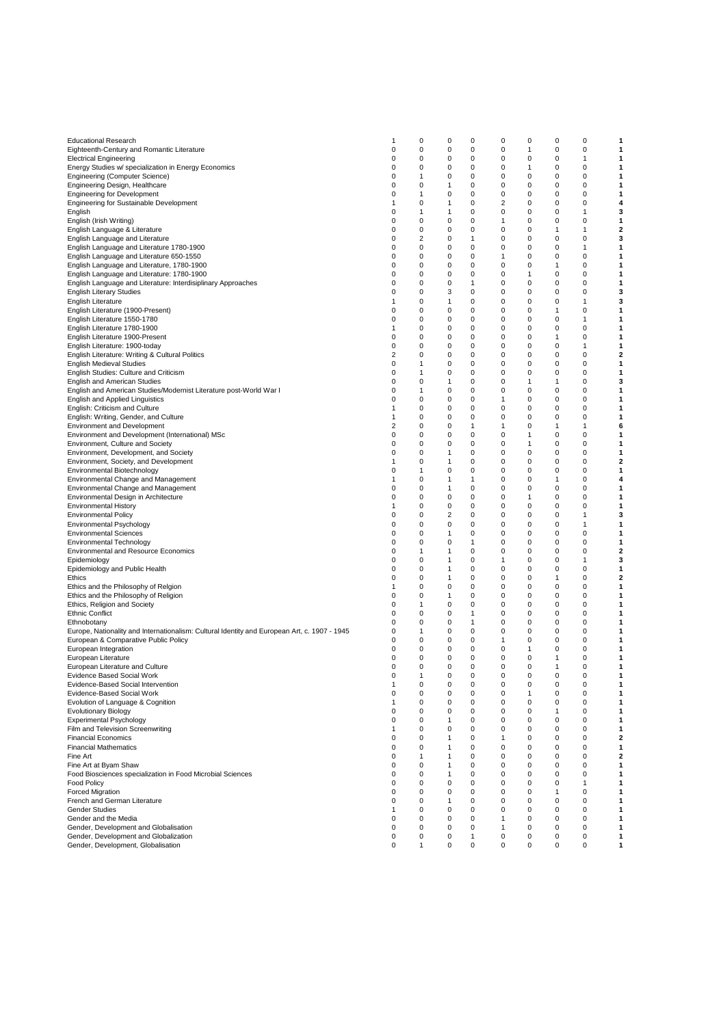| <b>Educational Research</b>                                                                  | -1             | 0 | 0            | 0 | 0        | 0        | 0        | 0            | 1 |
|----------------------------------------------------------------------------------------------|----------------|---|--------------|---|----------|----------|----------|--------------|---|
| Eighteenth-Century and Romantic Literature                                                   | 0              | 0 | $\mathbf 0$  | 0 | 0        | 1        | 0        | 0            | 1 |
| <b>Electrical Engineering</b>                                                                | 0              | 0 | 0            | 0 | 0        | 0        | 0        | $\mathbf{1}$ | 1 |
| Energy Studies w/ specialization in Energy Economics                                         | 0              | 0 | 0            | 0 | 0        | 1        | 0        | $\mathbf 0$  | 1 |
| <b>Engineering (Computer Science)</b>                                                        | 0              | 1 | 0            | 0 | 0        | 0        | 0        | 0            | 1 |
| Engineering Design, Healthcare                                                               | 0              | 0 | 1            | 0 | 0        | 0        | 0        | 0            | 1 |
|                                                                                              |                |   |              | 0 |          |          |          |              |   |
| <b>Engineering for Development</b>                                                           | 0              | 1 | 0            |   | 0        | 0        | 0        | 0            | 1 |
| <b>Engineering for Sustainable Development</b>                                               | 1              | 0 | 1            | 0 | 2        | 0        | 0        | 0            | 4 |
| English                                                                                      | 0              | 1 | 1            | 0 | 0        | 0        | 0        | 1            | 3 |
| English (Irish Writing)                                                                      | 0              | 0 | 0            | 0 | 1        | 0        | 0        | 0            | 1 |
| English Language & Literature                                                                | 0              | 0 | 0            | 0 | 0        | 0        | 1        | $\mathbf{1}$ | 2 |
| English Language and Literature                                                              | 0              | 2 | 0            | 1 | 0        | 0        | 0        | 0            | 3 |
| English Language and Literature 1780-1900                                                    | 0              | 0 | 0            | 0 | 0        | 0        | 0        | $\mathbf{1}$ | 1 |
| English Language and Literature 650-1550                                                     | 0              | 0 | 0            | 0 | 1        | 0        | 0        | 0            | 1 |
| English Language and Literature, 1780-1900                                                   | 0              | 0 | 0            | 0 | 0        | 0        | 1        | 0            | 1 |
|                                                                                              |                |   |              |   |          |          |          |              |   |
| English Language and Literature: 1780-1900                                                   | 0              | 0 | 0            | 0 | 0        | 1        | 0        | 0            | 1 |
| English Language and Literature: Interdisiplinary Approaches                                 | 0              | 0 | 0            | 1 | 0        | 0        | 0        | 0            | 1 |
| <b>English Literary Studies</b>                                                              | 0              | 0 | 3            | 0 | 0        | 0        | 0        | $\mathbf 0$  | 3 |
| English Literature                                                                           | 1              | 0 | 1            | 0 | 0        | 0        | 0        | $\mathbf{1}$ | 3 |
| English Literature (1900-Present)                                                            | 0              | 0 | 0            | 0 | 0        | 0        | 1        | 0            | 1 |
| English Literature 1550-1780                                                                 | 0              | 0 | 0            | 0 | 0        | 0        | 0        | $\mathbf{1}$ | 1 |
| English Literature 1780-1900                                                                 | 1              | 0 | 0            | 0 | 0        | 0        | 0        | 0            | 1 |
| English Literature 1900-Present                                                              | 0              | 0 | 0            | 0 | 0        | 0        | 1        | 0            | 1 |
|                                                                                              | 0              | 0 | 0            | 0 | 0        | 0        | 0        | 1            | 1 |
| English Literature: 1900-today                                                               |                |   |              |   |          |          |          |              |   |
| English Literature: Writing & Cultural Politics                                              | 2              | 0 | 0            | 0 | 0        | 0        | 0        | 0            | 2 |
| <b>English Medieval Studies</b>                                                              | 0              | 1 | 0            | 0 | 0        | 0        | 0        | 0            | 1 |
| English Studies: Culture and Criticism                                                       | 0              | 1 | 0            | 0 | 0        | 0        | 0        | $\mathbf 0$  | 1 |
| <b>English and American Studies</b>                                                          | 0              | 0 | 1            | 0 | 0        | 1        | 1        | 0            | 3 |
| English and American Studies/Modernist Literature post-World War I                           | 0              | 1 | 0            | 0 | 0        | 0        | 0        | 0            | 1 |
| English and Applied Linguistics                                                              | 0              | 0 | 0            | 0 | 1        | 0        | 0        | $\mathbf 0$  | 1 |
| English: Criticism and Culture                                                               | 1              | 0 | 0            | 0 | 0        | 0        | 0        | 0            | 1 |
|                                                                                              | 1              |   | 0            |   | 0        | 0        |          |              |   |
| English: Writing, Gender, and Culture                                                        |                | 0 |              | 0 |          |          | 0        | 0            | 1 |
| <b>Environment and Development</b>                                                           | $\overline{2}$ | 0 | 0            | 1 | 1        | 0        | 1        | 1            | 6 |
| Environment and Development (International) MSc                                              | 0              | 0 | 0            | 0 | 0        | 1        | 0        | 0            | 1 |
| Environment, Culture and Society                                                             | 0              | 0 | 0            | 0 | 0        | 1        | 0        | 0            | 1 |
| Environment, Development, and Society                                                        | 0              | 0 | $\mathbf{1}$ | 0 | 0        | 0        | 0        | $\mathbf 0$  | 1 |
| Environment, Society, and Development                                                        | 1              | 0 | 1            | 0 | 0        | 0        | 0        | 0            | 2 |
| Environmental Biotechnology                                                                  | 0              | 1 | 0            | 0 | 0        | 0        | 0        | $\mathbf 0$  | 1 |
| Environmental Change and Management                                                          | 1              | 0 | 1            | 1 | 0        | 0        | 1        | 0            | 4 |
|                                                                                              | 0              | 0 | 1            | 0 | 0        | 0        | 0        | 0            | 1 |
| Environmental Change and Management                                                          |                |   |              |   |          |          |          |              |   |
| Environmental Design in Architecture                                                         | 0              | 0 | 0            | 0 | 0        | 1        | 0        | 0            | 1 |
| <b>Environmental History</b>                                                                 | 1              | 0 | 0            | 0 | 0        | 0        | 0        | 0            | 1 |
| <b>Environmental Policy</b>                                                                  | 0              | 0 | 2            | 0 | 0        | 0        | 0        | $\mathbf{1}$ | 3 |
| Environmental Psychology                                                                     | 0              | 0 | 0            | 0 | 0        | 0        | 0        | $\mathbf{1}$ | 1 |
| <b>Environmental Sciences</b>                                                                | 0              | 0 | 1            | 0 | 0        | 0        | 0        | $\mathbf 0$  | 1 |
| <b>Environmental Technology</b>                                                              | 0              | 0 | 0            | 1 | 0        | 0        | 0        | 0            | 1 |
| <b>Environmental and Resource Economics</b>                                                  | 0              | 1 | 1            | 0 | 0        | 0        | 0        | $\mathbf 0$  | 2 |
| Epidemiology                                                                                 | 0              | 0 | 1            | 0 | 1        | 0        | 0        | 1            | 3 |
|                                                                                              | 0              | 0 | 1            | 0 | 0        | 0        | 0        | 0            | 1 |
| Epidemiology and Public Health                                                               |                |   |              |   |          |          |          |              |   |
| Ethics                                                                                       | 0              | 0 | 1            | 0 | 0        | 0        | 1        | 0            | 2 |
| Ethics and the Philosophy of Relgion                                                         | 1              | 0 | 0            | 0 | 0        | 0        | 0        | 0            | 1 |
| Ethics and the Philosophy of Religion                                                        | 0              | 0 | 1            | 0 | 0        | 0        | 0        | $\mathbf 0$  | 1 |
| Ethics, Religion and Society                                                                 | 0              | 1 | 0            | 0 | 0        | 0        | 0        | 0            | 1 |
| <b>Ethnic Conflict</b>                                                                       | 0              | 0 | 0            | 1 | 0        | 0        | 0        | $\mathbf 0$  | 1 |
| Ethnobotany                                                                                  | 0              | 0 | 0            | 1 | 0        | 0        | 0        | 0            | 1 |
| Europe, Nationality and Internationalism: Cultural Identity and European Art, c. 1907 - 1945 | 0              | 1 | 0            | 0 | 0        | 0        | 0        | 0            | 1 |
| European & Comparative Public Policy                                                         | 0              | 0 | $\mathbf 0$  | 0 | 1        | 0        | 0        | 0            | 1 |
| European Integration                                                                         | 0              | 0 | 0            | 0 | 0        | 1        | 0        | 0            | 1 |
| European Literature                                                                          | 0              | 0 | 0            | 0 |          |          | 1        | 0            | 1 |
|                                                                                              |                |   |              |   | 0        | 0        |          |              |   |
| European Literature and Culture                                                              | 0              | 0 | 0            | 0 | 0        | 0        | 1        | 0            | 1 |
| Evidence Based Social Work                                                                   | $\Omega$       | 1 | $\Omega$     | O | $\Omega$ | $\Omega$ | $\Omega$ | $\Omega$     | 1 |
| Evidence-Based Social Intervention                                                           | 1              | 0 | 0            | 0 | 0        | 0        | 0        | $\mathbf 0$  | 1 |
| Evidence-Based Social Work                                                                   | 0              | 0 | 0            | 0 | 0        | 1        | 0        | $\mathbf 0$  | 1 |
| Evolution of Language & Cognition                                                            | 1              | 0 | 0            | 0 | 0        | 0        | 0        | 0            | 1 |
| <b>Evolutionary Biology</b>                                                                  | 0              | 0 | 0            | 0 | 0        | 0        | 1        | 0            | 1 |
| <b>Experimental Psychology</b>                                                               | 0              | 0 | 1            | 0 | 0        | 0        | 0        | 0            | 1 |
| Film and Television Screenwriting                                                            | 1              | 0 | 0            | 0 | 0        | 0        | 0        | 0            | 1 |
|                                                                                              |                |   |              |   |          |          |          |              | 2 |
| <b>Financial Economics</b>                                                                   | 0              | 0 | 1            | 0 | 1        | 0        | 0        | 0            |   |
| <b>Financial Mathematics</b>                                                                 | 0              | 0 | 1            | 0 | 0        | 0        | 0        | 0            | 1 |
| Fine Art                                                                                     | 0              | 1 | $\mathbf{1}$ | 0 | 0        | 0        | 0        | $\mathbf 0$  | 2 |
| Fine Art at Byam Shaw                                                                        | 0              | 0 | 1            | 0 | 0        | 0        | 0        | 0            | 1 |
| Food Biosciences specialization in Food Microbial Sciences                                   | 0              | 0 | 1            | 0 | 0        | 0        | 0        | $\mathbf 0$  | 1 |
| <b>Food Policy</b>                                                                           | 0              | 0 | 0            | 0 | 0        | 0        | 0        | 1            | 1 |
| <b>Forced Migration</b>                                                                      | 0              | 0 | 0            | 0 | 0        | 0        | 1        | 0            | 1 |
| French and German Literature                                                                 | 0              | 0 | 1            | 0 | 0        | 0        | 0        | 0            | 1 |
| <b>Gender Studies</b>                                                                        | 1              | 0 | 0            | 0 | 0        | 0        | 0        | 0            | 1 |
| Gender and the Media                                                                         | $\Omega$       | 0 | 0            | 0 | 1        | 0        | 0        | $\mathbf 0$  | 1 |
| Gender, Development and Globalisation                                                        |                |   | 0            |   |          |          |          |              |   |
|                                                                                              | 0              | 0 |              | 0 | 1        | 0        | 0        | 0            | 1 |
| Gender, Development and Globalization                                                        | 0              | 0 | 0            | 1 | 0        | 0        | 0        | 0            | 1 |
| Gender, Development, Globalisation                                                           | 0              | 1 | 0            | 0 | 0        | 0        | 0        | 0            | 1 |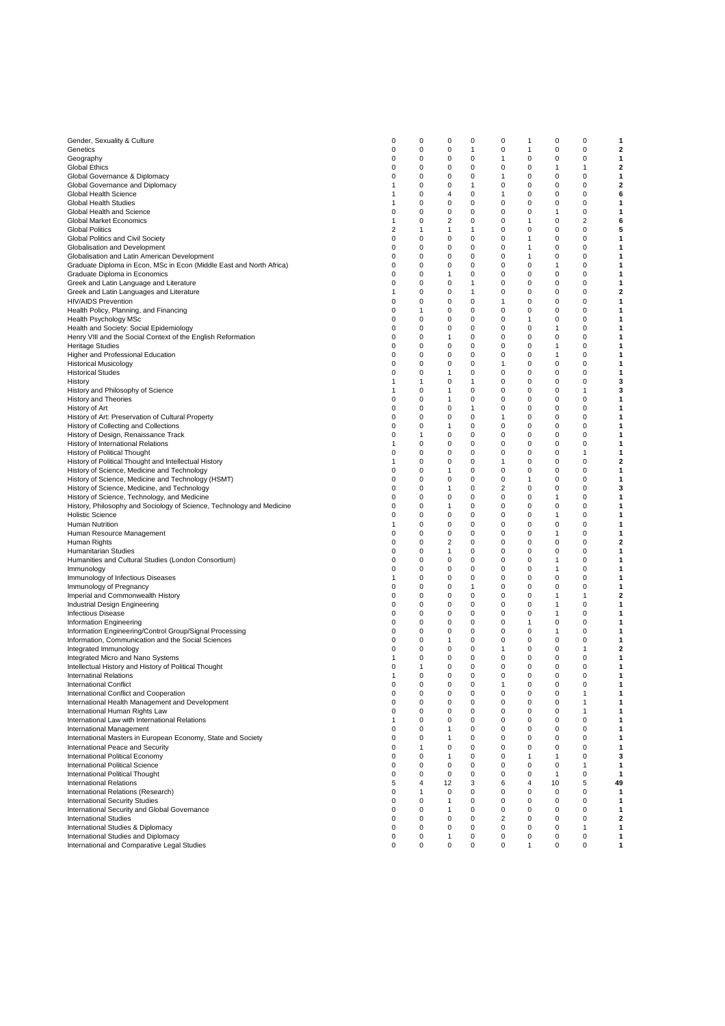| Gender, Sexuality & Culture                                           | 0 | 0            | 0              | 0           | 0            | 1        | 0            | 0           | 1  |
|-----------------------------------------------------------------------|---|--------------|----------------|-------------|--------------|----------|--------------|-------------|----|
| Genetics                                                              | 0 | 0            | 0              | 1           | 0            | 1        | $\mathbf 0$  | 0           | 2  |
|                                                                       |   |              |                |             |              |          |              |             |    |
| Geography                                                             | 0 | 0            | 0              | 0           | 1            | 0        | 0            | 0           | 1  |
| <b>Global Ethics</b>                                                  | 0 | 0            | 0              | 0           | 0            | 0        | 1            | 1           | 2  |
| Global Governance & Diplomacy                                         | 0 | 0            | 0              | 0           | 1            | 0        | 0            | 0           | 1  |
| Global Governance and Diplomacy                                       | 1 | 0            | 0              | 1           | 0            | 0        | 0            | 0           | 2  |
|                                                                       |   |              |                |             |              |          |              |             |    |
| Global Health Science                                                 | 1 | 0            | $\overline{4}$ | $\mathbf 0$ | $\mathbf{1}$ | 0        | $\mathbf 0$  | 0           | 6  |
| Global Health Studies                                                 | 1 | 0            | 0              | 0           | 0            | 0        | 0            | 0           | 1  |
| Global Health and Science                                             | 0 | 0            | $\mathbf 0$    | $\mathbf 0$ | $\mathbf 0$  | 0        | $\mathbf{1}$ | $\mathbf 0$ | 1  |
| <b>Global Market Economics</b>                                        | 1 | 0            | $\overline{2}$ | 0           | 0            | 1        | 0            | 2           | 6  |
|                                                                       |   |              |                |             |              |          |              |             |    |
| <b>Global Politics</b>                                                | 2 | $\mathbf{1}$ | $\mathbf{1}$   | 1           | 0            | 0        | $\mathbf 0$  | $\mathbf 0$ | 5  |
| Global Politics and Civil Society                                     | 0 | 0            | 0              | 0           | 0            | 1        | 0            | 0           | 1  |
| Globalisation and Development                                         | 0 | 0            | 0              | 0           | 0            | 1        | 0            | 0           | 1  |
|                                                                       |   |              | 0              |             |              | 1        |              | 0           |    |
| Globalisation and Latin American Development                          | 0 | 0            |                | 0           | 0            |          | 0            |             | 1  |
| Graduate Diploma in Econ, MSc in Econ (Middle East and North Africa)  | 0 | 0            | 0              | 0           | 0            | 0        | 1            | 0           | 1  |
| Graduate Diploma in Economics                                         | 0 | 0            | $\mathbf{1}$   | $\mathbf 0$ | 0            | $\Omega$ | $\mathbf 0$  | 0           | 1  |
| Greek and Latin Language and Literature                               | 0 | 0            | 0              | 1           | 0            | 0        | 0            | 0           | 1  |
|                                                                       |   |              |                |             |              |          |              |             |    |
| Greek and Latin Languages and Literature                              | 1 | 0            | 0              | 1           | 0            | 0        | 0            | 0           | 2  |
| <b>HIV/AIDS Prevention</b>                                            | 0 | 0            | $\mathbf 0$    | 0           | 1            | 0        | 0            | 0           | 1  |
| Health Policy, Planning, and Financing                                | 0 | 1            | 0              | 0           | 0            | 0        | 0            | 0           | 1  |
|                                                                       | 0 | 0            | 0              | 0           | 0            | 1        | 0            | 0           |    |
| Health Psychology MSc                                                 |   |              |                |             |              |          |              |             | 1  |
| Health and Society: Social Epidemiology                               | 0 | 0            | 0              | 0           | 0            | 0        | 1            | 0           | 1  |
| Henry VIII and the Social Context of the English Reformation          | 0 | 0            | $\mathbf{1}$   | 0           | 0            | 0        | 0            | 0           | 1  |
| <b>Heritage Studies</b>                                               | 0 | 0            | 0              | 0           | 0            | 0        | 1            | 0           | 1  |
|                                                                       |   |              |                |             |              | $\Omega$ |              |             |    |
| Higher and Professional Education                                     | 0 | 0            | $\mathbf 0$    | $\mathbf 0$ | 0            |          | $\mathbf{1}$ | 0           | 1  |
| <b>Historical Musicology</b>                                          | 0 | 0            | 0              | 0           | 1            | 0        | 0            | 0           | 1  |
| <b>Historical Studes</b>                                              | 0 | 0            | $\mathbf{1}$   | 0           | 0            | 0        | 0            | 0           | 1  |
|                                                                       | 1 | 1            | $\mathbf 0$    | 1           | 0            | 0        | $\mathbf 0$  | 0           | 3  |
| History                                                               |   |              |                |             |              |          |              |             |    |
| History and Philosophy of Science                                     | 1 | 0            | 1              | 0           | 0            | 0        | 0            | 1           | 3  |
| <b>History and Theories</b>                                           | 0 | 0            | $\mathbf{1}$   | 0           | 0            | 0        | 0            | 0           | 1  |
| History of Art                                                        | 0 | 0            | 0              | 1           | 0            | 0        | 0            | 0           | 1  |
|                                                                       |   |              |                |             |              |          |              |             |    |
| History of Art: Preservation of Cultural Property                     | 0 | 0            | 0              | 0           | 1            | 0        | 0            | 0           | 1  |
| History of Collecting and Collections                                 | 0 | 0            | 1              | 0           | 0            | 0        | 0            | 0           | 1  |
| History of Design, Renaissance Track                                  | 0 | $\mathbf{1}$ | $\mathbf 0$    | $\mathbf 0$ | 0            | $\Omega$ | $\mathbf 0$  | 0           | 1  |
| History of International Relations                                    | 1 | 0            | 0              | 0           | 0            | 0        | 0            | $\mathbf 0$ | 1  |
|                                                                       |   |              |                |             |              |          |              |             |    |
| History of Political Thought                                          | 0 | 0            | $\mathbf 0$    | $\mathbf 0$ | 0            | 0        | $\mathbf 0$  | 1           | 1  |
| History of Political Thought and Intellectual History                 | 1 | 0            | 0              | 0           | 1            | 0        | 0            | 0           | 2  |
| History of Science, Medicine and Technology                           | 0 | 0            | 1              | 0           | 0            | 0        | 0            | 0           | 1  |
| History of Science, Medicine and Technology (HSMT)                    | 0 | 0            | 0              | 0           | 0            | 1        | 0            | 0           | 1  |
|                                                                       |   |              |                |             |              |          |              |             |    |
| History of Science, Medicine, and Technology                          | 0 | 0            | 1              | 0           | 2            | 0        | 0            | 0           | 3  |
| History of Science, Technology, and Medicine                          | 0 | 0            | $\mathbf 0$    | 0           | 0            | 0        | 1            | 0           | 1  |
| History, Philosophy and Sociology of Science, Technology and Medicine | 0 | 0            | $\mathbf{1}$   | 0           | 0            | 0        | 0            | 0           | 1  |
| <b>Holistic Science</b>                                               | 0 | 0            | $\mathbf 0$    | 0           | 0            | 0        | $\mathbf{1}$ | 0           | 1  |
|                                                                       |   | 0            |                |             |              |          |              | $\mathbf 0$ |    |
| Human Nutrition                                                       | 1 |              | $\mathbf 0$    | 0           | 0            | 0        | 0            |             | 1  |
| Human Resource Management                                             | 0 | 0            | $\mathbf 0$    | 0           | 0            | 0        | $\mathbf{1}$ | 0           | 1  |
| Human Rights                                                          | 0 | 0            | $\overline{2}$ | 0           | 0            | 0        | 0            | 0           | 2  |
| Humanitarian Studies                                                  | 0 | 0            | 1              | 0           | 0            | 0        | 0            | 0           | 1  |
| Humanities and Cultural Studies (London Consortium)                   |   | 0            | 0              | 0           | 0            | 0        | 1            | 0           | 1  |
|                                                                       | 0 |              |                |             |              |          |              |             |    |
| Immunology                                                            | 0 | 0            | 0              | 0           | 0            | 0        | 1            | 0           | 1  |
| Immunology of Infectious Diseases                                     | 1 | 0            | $\mathbf 0$    | $\mathbf 0$ | 0            | 0        | 0            | 0           | 1  |
| Immunology of Pregnancy                                               | 0 | 0            | 0              | 1           | 0            | 0        | $\mathbf 0$  | 0           | 1  |
| Imperial and Commonwealth History                                     | 0 | 0            | $\mathbf 0$    | 0           | 0            | 0        | 1            | 1           | 2  |
|                                                                       |   |              |                |             |              |          |              |             |    |
| Industrial Design Engineering                                         | 0 | 0            | $\mathbf 0$    | 0           | 0            | 0        | $\mathbf{1}$ | $\mathbf 0$ | 1  |
| <b>Infectious Disease</b>                                             | 0 | 0            | 0              | 0           | 0            | 0        | 1            | 0           | 1  |
| Information Engineering                                               | 0 | 0            | 0              | 0           | 0            | 1        | 0            | 0           | 1  |
|                                                                       |   |              |                |             |              |          |              |             |    |
| Information Engineering/Control Group/Signal Processing               | 0 | 0            | 0              | 0           | 0            | 0        | 1            | 0           | 1  |
| Information, Communication and the Social Sciences                    | 0 | 0            | $\mathbf{1}$   | $\mathbf 0$ | 0            | 0        | 0            | 0           | 1  |
| Integrated Immunology                                                 | 0 | 0            | 0              | 0           | 1            | 0        | 0            | 1           | 2  |
| Integrated Micro and Nano Systems                                     | 1 | 0            | $\mathbf 0$    | $\mathbf 0$ | 0            | 0        | $\mathbf 0$  | $\mathbf 0$ | 1  |
|                                                                       |   |              |                |             |              |          |              |             |    |
| Intellectual History and History of Political Thought                 | 0 | 1            | $\mathbf 0$    | 0           | 0            | 0        | $\mathbf 0$  | 0           | 1  |
| <b>Internatinal Relations</b>                                         | 1 | 0            | $\Omega$       | O           | 0            | $\Omega$ | 0            | $\Omega$    | 1  |
| <b>International Conflict</b>                                         | 0 | 0            | $\mathbf 0$    | 0           | 1            | 0        | 0            | 0           | 1  |
| International Conflict and Cooperation                                | 0 | 0            | 0              | 0           | 0            | 0        | 0            | 1           | 1  |
|                                                                       |   |              |                |             |              |          |              |             |    |
| International Health Management and Development                       | 0 | 0            | 0              | 0           | 0            | 0        | 0            | 1           | 1  |
| International Human Rights Law                                        | 0 | 0            | 0              | 0           | 0            | 0        | 0            | 1           | 1  |
| International Law with International Relations                        | 1 | 0            | 0              | 0           | 0            | 0        | 0            | 0           | 1  |
| International Management                                              | 0 | 0            | $\mathbf{1}$   | 0           | 0            | 0        | 0            | 0           | 1  |
|                                                                       |   |              |                |             |              |          |              |             |    |
| International Masters in European Economy, State and Society          | 0 | 0            | $\mathbf{1}$   | $\mathbf 0$ | 0            | 0        | 0            | 0           | 1  |
| International Peace and Security                                      | 0 | 1            | $\mathbf 0$    | $\mathbf 0$ | 0            | 0        | 0            | 0           | 1  |
| International Political Economy                                       | 0 | $\mathbf 0$  | $\mathbf{1}$   | $\mathbf 0$ | 0            | 1        | 1            | 0           | 3  |
| <b>International Political Science</b>                                | 0 | 0            | 0              | 0           | 0            | 0        | 0            | 1           | 1  |
|                                                                       |   |              |                |             |              |          |              |             |    |
| International Political Thought                                       | 0 | 0            | 0              | 0           | 0            | 0        | 1            | 0           | 1  |
| <b>International Relations</b>                                        | 5 | 4            | 12             | 3           | 6            | 4        | 10           | 5           | 49 |
| International Relations (Research)                                    | 0 | 1            | 0              | 0           | 0            | 0        | 0            | 0           | 1  |
| <b>International Security Studies</b>                                 | 0 | 0            | $\mathbf{1}$   | $\mathbf 0$ | 0            | 0        | 0            | 0           | 1  |
|                                                                       | 0 | 0            | $\mathbf{1}$   | 0           | $\mathbf 0$  | 0        | 0            | 0           |    |
| International Security and Global Governance                          |   |              |                |             |              |          |              |             | 1  |
| <b>International Studies</b>                                          | 0 | 0            | $\mathbf 0$    | $\mathbf 0$ | 2            | 0        | 0            | 0           | 2  |
| International Studies & Diplomacy                                     | 0 | 0            | $\mathbf 0$    | $\mathbf 0$ | 0            | 0        | 0            | 1           | 1  |
| International Studies and Diplomacy                                   | 0 | 0            | 1              | 0           | 0            | 0        | 0            | 0           | 1  |
| International and Comparative Legal Studies                           | 0 | 0            | $\mathbf 0$    | 0           | 0            | 1        | 0            | 0           | 1  |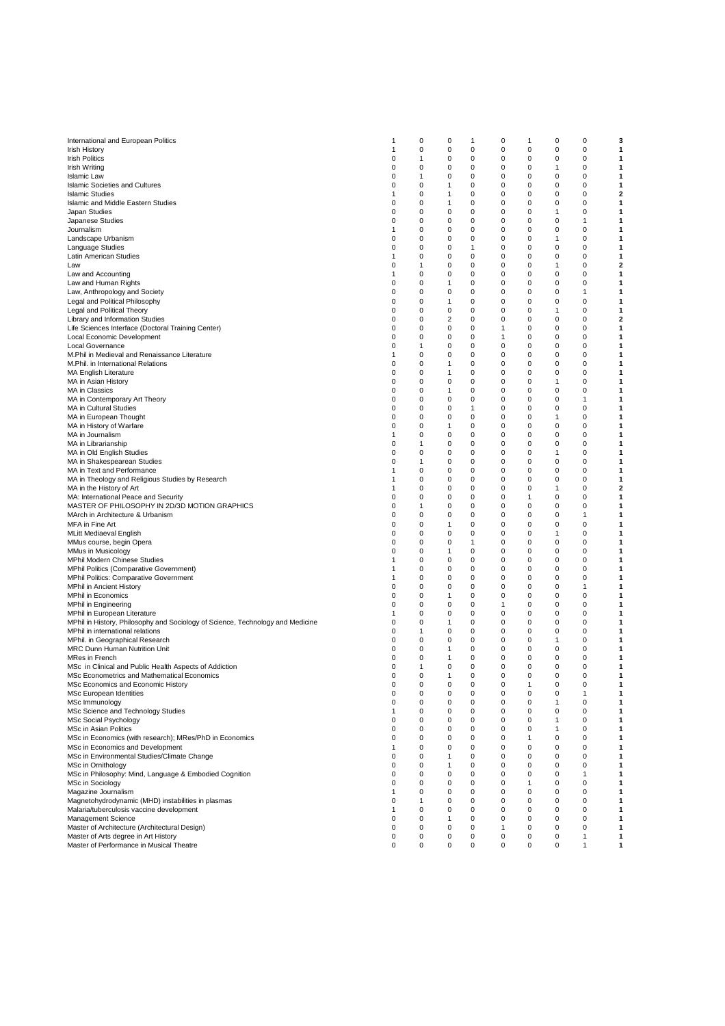| International and European Politics                                            | 1        | 0        | 0              | -1       | 0            | 1         | 0        | 0            | 3                       |
|--------------------------------------------------------------------------------|----------|----------|----------------|----------|--------------|-----------|----------|--------------|-------------------------|
| <b>Irish History</b>                                                           | 1        | 0        | 0              | 0        | 0            | 0         | 0        | 0            | 1                       |
|                                                                                |          |          |                |          |              |           |          |              |                         |
| <b>Irish Politics</b>                                                          | 0        | 1        | 0              | 0        | 0            | 0         | 0        | 0            | 1                       |
| Irish Writing                                                                  | 0        | 0        | 0              | 0        | 0            | 0         | 1        | 0            | 1                       |
| <b>Islamic Law</b>                                                             | 0        | 1        | 0              | 0        | 0            | 0         | 0        | 0            | 1                       |
| <b>Islamic Societies and Cultures</b>                                          | 0        | 0        | 1              | 0        | 0            | 0         | 0        | 0            | 1                       |
|                                                                                |          |          |                |          |              |           |          |              |                         |
| Islamic Studies                                                                | 1        | 0        | 1              | 0        | 0            | 0         | 0        | 0            | 2                       |
| Islamic and Middle Eastern Studies                                             | 0        | 0        | 1              | 0        | 0            | 0         | 0        | 0            | 1                       |
| Japan Studies                                                                  | 0        | 0        | 0              | 0        | 0            | $\pmb{0}$ | 1        | 0            | 1                       |
|                                                                                | 0        | 0        | 0              | 0        | 0            | 0         | 0        | 1            |                         |
| Japanese Studies                                                               |          |          |                |          |              |           |          |              | 1                       |
| Journalism                                                                     | 1        | 0        | $\mathbf 0$    | 0        | 0            | 0         | 0        | $\mathbf 0$  | 1                       |
| Landscape Urbanism                                                             | 0        | 0        | 0              | 0        | 0            | 0         | 1        | 0            | 1                       |
|                                                                                | 0        | 0        | 0              | 1        | 0            | 0         | 0        | 0            | 1                       |
| Language Studies                                                               |          |          |                |          |              |           |          |              |                         |
| Latin American Studies                                                         | 1        | 0        | 0              | 0        | 0            | 0         | 0        | 0            | 1                       |
| Law                                                                            | 0        | 1        | 0              | 0        | 0            | 0         | 1        | 0            | 2                       |
| Law and Accounting                                                             | 1        | 0        | 0              | 0        | 0            | 0         | 0        | 0            | 1                       |
|                                                                                |          |          |                |          |              |           |          |              |                         |
| Law and Human Rights                                                           | 0        | 0        | 1              | 0        | $\mathbf 0$  | 0         | 0        | $\mathbf 0$  | 1                       |
| Law, Anthropology and Society                                                  | 0        | 0        | 0              | 0        | 0            | 0         | 0        | 1            | 1                       |
| Legal and Political Philosophy                                                 | 0        | 0        | $\mathbf{1}$   | 0        | 0            | 0         | 0        | $\mathbf 0$  | 1                       |
|                                                                                |          |          |                |          |              |           |          |              |                         |
| Legal and Political Theory                                                     | 0        | 0        | 0              | 0        | 0            | 0         | 1        | 0            | 1                       |
| Library and Information Studies                                                | 0        | 0        | $\overline{2}$ | 0        | 0            | 0         | 0        | 0            | 2                       |
| Life Sciences Interface (Doctoral Training Center)                             | 0        | 0        | 0              | 0        | 1            | 0         | 0        | 0            | 1                       |
|                                                                                |          | 0        | 0              | 0        | 1            | 0         | 0        | 0            | 1                       |
| Local Economic Development                                                     | 0        |          |                |          |              |           |          |              |                         |
| Local Governance                                                               | 0        | 1        | $\mathbf 0$    | 0        | $\mathbf 0$  | 0         | 0        | $\mathbf 0$  | 1                       |
| M.Phil in Medieval and Renaissance Literature                                  | 1        | 0        | 0              | 0        | 0            | 0         | 0        | 0            | 1                       |
|                                                                                | 0        | 0        | $\mathbf{1}$   | 0        | $\mathbf 0$  | 0         | 0        | $\mathbf 0$  | 1                       |
| M.Phil. in International Relations                                             |          |          |                |          |              |           |          |              |                         |
| MA English Literature                                                          | 0        | 0        | $\mathbf{1}$   | 0        | 0            | 0         | 0        | 0            | 1                       |
| MA in Asian History                                                            | 0        | 0        | $\mathbf 0$    | 0        | $\mathbf 0$  | 0         | 1        | 0            | 1                       |
| MA in Classics                                                                 | 0        | 0        | 1              | 0        | 0            | 0         | 0        | 0            | 1                       |
|                                                                                |          |          |                |          |              |           |          |              |                         |
| MA in Contemporary Art Theory                                                  | 0        | 0        | 0              | 0        | 0            | 0         | 0        | 1            | 1                       |
| MA in Cultural Studies                                                         | 0        | 0        | 0              | 1        | 0            | 0         | 0        | 0            | 1                       |
| MA in European Thought                                                         | 0        | 0        | 0              | 0        | 0            | 0         | 1        | 0            | 1                       |
|                                                                                |          |          |                |          |              |           |          |              |                         |
| MA in History of Warfare                                                       | 0        | 0        | 1              | 0        | 0            | 0         | 0        | $\mathbf 0$  | 1                       |
| MA in Journalism                                                               | 1        | 0        | 0              | 0        | 0            | 0         | 0        | 0            | 1                       |
| MA in Librarianship                                                            | 0        | 1        | 0              | 0        | 0            | 0         | 0        | 0            | 1                       |
|                                                                                |          |          |                |          |              |           |          |              |                         |
| MA in Old English Studies                                                      | 0        | 0        | 0              | 0        | 0            | 0         | 1        | 0            | 1                       |
| MA in Shakespearean Studies                                                    | 0        | 1        | 0              | 0        | 0            | 0         | 0        | 0            | 1                       |
| MA in Text and Performance                                                     | 1        | 0        | 0              | 0        | 0            | 0         | 0        | 0            | 1                       |
|                                                                                |          |          |                |          |              |           | 0        |              |                         |
| MA in Theology and Religious Studies by Research                               | 1        | 0        | 0              | 0        | 0            | 0         |          | 0            | 1                       |
| MA in the History of Art                                                       | 1        | 0        | 0              | 0        | 0            | 0         | 1        | 0            | $\overline{\mathbf{2}}$ |
| MA: International Peace and Security                                           | 0        | 0        | 0              | 0        | 0            | 1         | 0        | 0            | 1                       |
|                                                                                |          | 1        | $\mathbf 0$    | 0        | $\mathbf 0$  | 0         | 0        | $\mathbf 0$  | 1                       |
| MASTER OF PHILOSOPHY IN 2D/3D MOTION GRAPHICS                                  | 0        |          |                |          |              |           |          |              |                         |
| MArch in Architecture & Urbanism                                               | 0        | 0        | 0              | 0        | 0            | 0         | 0        | $\mathbf{1}$ | 1                       |
| MFA in Fine Art                                                                | 0        | 0        | $\mathbf{1}$   | 0        | $\mathbf 0$  | 0         | 0        | $\mathbf 0$  | 1                       |
|                                                                                | 0        | 0        | 0              | 0        | 0            | 0         | 1        | 0            | 1                       |
| MLitt Mediaeval English                                                        |          |          |                |          |              |           |          |              |                         |
| MMus course, begin Opera                                                       | 0        | 0        | 0              | 1        | 0            | 0         | 0        | 0            | 1                       |
| MMus in Musicology                                                             | 0        | 0        | 1              | 0        | 0            | 0         | 0        | 0            | 1                       |
| MPhil Modern Chinese Studies                                                   | 1        | 0        | 0              | 0        | 0            | 0         | 0        | 0            | 1                       |
|                                                                                |          |          |                |          |              |           |          |              |                         |
| MPhil Politics (Comparative Government)                                        | 1        | 0        | 0              | 0        | 0            | 0         | 0        | 0            | 1                       |
| MPhil Politics: Comparative Government                                         | 1        | 0        | 0              | 0        | 0            | 0         | 0        | 0            | 1                       |
| <b>MPhil in Ancient History</b>                                                | 0        | 0        | $\mathbf 0$    | 0        | $\mathbf 0$  | 0         | 0        | $\mathbf{1}$ | 1                       |
| MPhil in Economics                                                             | 0        | 0        | $\mathbf{1}$   | 0        | 0            | 0         | 0        | 0            | 1                       |
|                                                                                |          |          |                |          |              |           |          |              |                         |
| <b>MPhil in Engineering</b>                                                    | 0        | 0        | 0              | 0        | 1            | 0         | 0        | 0            | 1                       |
| MPhil in European Literature                                                   | 1        | 0        | 0              | 0        | 0            | 0         | 0        | 0            | 1                       |
| MPhil in History, Philosophy and Sociology of Science, Technology and Medicine | 0        | 0        | 1              | 0        | 0            | 0         | 0        | 0            | 1                       |
|                                                                                |          |          |                |          |              |           |          |              |                         |
| MPhil in international relations                                               | 0        | 1        | 0              | 0        | 0            | 0         | 0        | 0            | 1                       |
| MPhil. in Geographical Research                                                | 0        | 0        | 0              | 0        | 0            | 0         | 1        | 0            | 1                       |
| MRC Dunn Human Nutrition Unit                                                  | 0        | 0        | 1              | 0        | 0            | 0         | 0        | 0            | 1                       |
| MRes in French                                                                 | 0        | 0        | 1              | 0        | 0            | 0         | 0        | 0            | 1                       |
|                                                                                |          |          |                |          |              |           |          |              |                         |
| MSc in Clinical and Public Health Aspects of Addiction                         | 0        | 1        | 0              | 0        | 0            | 0         | 0        | 0            | 1                       |
| MSc Econometrics and Mathematical Economics                                    | $\Omega$ | $\Omega$ | 1              | $\Omega$ | $\Omega$     | $\Omega$  | $\Omega$ | $\Omega$     | 1                       |
| MSc Economics and Economic History                                             | 0        | 0        | 0              | 0        | 0            | 1         | 0        | 0            | 1                       |
|                                                                                |          |          |                |          |              |           |          |              |                         |
| MSc European Identities                                                        | 0        | 0        | 0              | 0        | 0            | 0         | 0        | 1            | 1                       |
| MSc Immunology                                                                 | 0        | 0        | 0              | 0        | 0            | 0         | 1        | 0            | 1                       |
| MSc Science and Technology Studies                                             | 1        | 0        | 0              | 0        | 0            | 0         | 0        | 0            | 1                       |
| <b>MSc Social Psychology</b>                                                   | 0        | 0        | 0              | 0        | 0            | 0         | 1        | 0            | 1                       |
|                                                                                |          |          |                |          |              |           |          |              |                         |
| MSc in Asian Politics                                                          | 0        | 0        | $\mathbf 0$    | 0        | 0            | 0         | 1        | 0            | 1                       |
| MSc in Economics (with research); MRes/PhD in Economics                        | 0        | 0        | 0              | 0        | 0            | 1         | 0        | 0            | 1                       |
| MSc in Economics and Development                                               | 1        | 0        | 0              | 0        | 0            | 0         | 0        | 0            | 1                       |
|                                                                                |          |          |                |          |              |           |          |              |                         |
| MSc in Environmental Studies/Climate Change                                    | 0        | 0        | $\mathbf{1}$   | 0        | 0            | 0         | 0        | 0            | 1                       |
| MSc in Ornithology                                                             | 0        | 0        | $\mathbf{1}$   | 0        | 0            | 0         | 0        | 0            | 1                       |
| MSc in Philosophy: Mind, Language & Embodied Cognition                         | 0        | 0        | 0              | 0        | 0            | 0         | 0        | 1            | 1                       |
|                                                                                |          |          |                |          |              |           |          |              |                         |
| MSc in Sociology                                                               | 0        | 0        | 0              | 0        | 0            | 1         | 0        | 0            | 1                       |
| Magazine Journalism                                                            | 1        | 0        | 0              | 0        | 0            | 0         | 0        | 0            | 1                       |
| Magnetohydrodynamic (MHD) instabilities in plasmas                             | 0        | 1        | 0              | 0        | 0            | 0         | 0        | 0            | 1                       |
| Malaria/tuberculosis vaccine development                                       |          | 0        | $\mathbf 0$    | 0        | 0            | 0         | 0        | $\mathbf 0$  | 1                       |
|                                                                                | 1        |          |                |          |              |           |          |              |                         |
| <b>Management Science</b>                                                      | 0        | 0        | 1              | 0        | 0            | 0         | 0        | 0            | 1                       |
| Master of Architecture (Architectural Design)                                  | 0        | 0        | $\mathbf 0$    | 0        | $\mathbf{1}$ | 0         | 0        | 0            | 1                       |
| Master of Arts degree in Art History                                           | 0        | 0        | 0              | 0        | 0            | 0         | 0        | 1            | 1                       |
|                                                                                |          |          |                |          |              |           |          |              |                         |
| Master of Performance in Musical Theatre                                       | 0        | 0        | 0              | 0        | 0            | 0         | 0        | 1            | 1                       |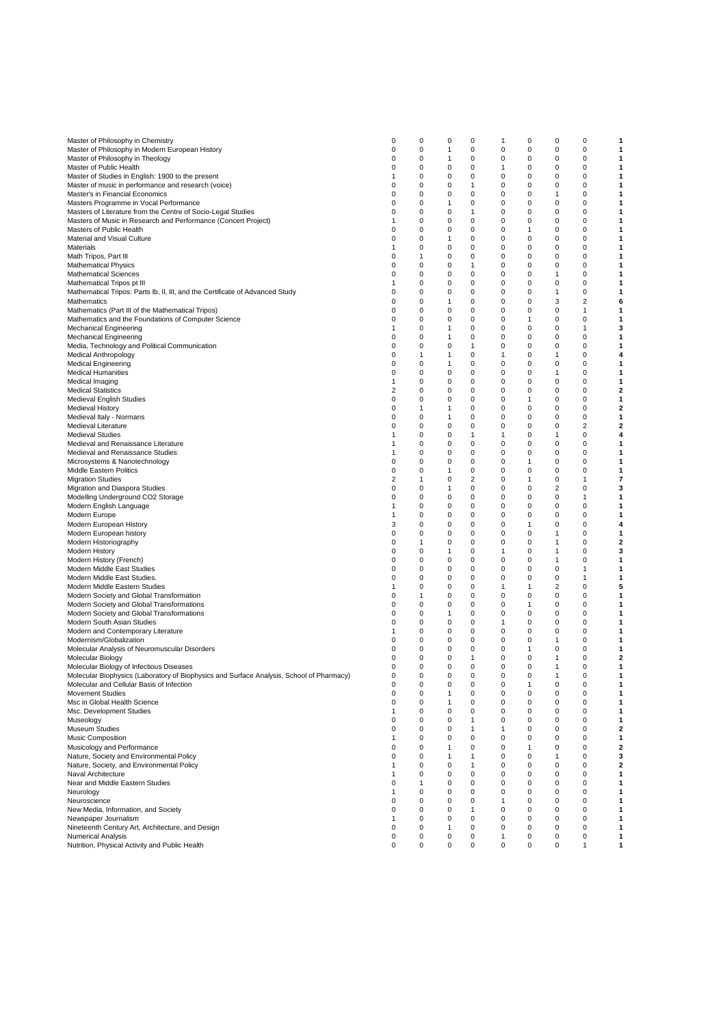| Master of Philosophy in Chemistry                                                        | 0 | 0           | 0            | 0            | 1            | 0 | 0 | 0 | 1 |
|------------------------------------------------------------------------------------------|---|-------------|--------------|--------------|--------------|---|---|---|---|
| Master of Philosophy in Modern European History                                          | 0 | 0           | 1            | 0            | 0            | 0 | 0 | 0 | 1 |
|                                                                                          |   | 0           |              |              |              |   |   |   |   |
| Master of Philosophy in Theology                                                         | 0 |             | 1            | 0            | 0            | 0 | 0 | 0 | 1 |
| Master of Public Health                                                                  | 0 | 0           | 0            | 0            | 1            | 0 | 0 | 0 | 1 |
| Master of Studies in English: 1900 to the present                                        | 1 | 0           | 0            | 0            | 0            | 0 | 0 | 0 | 1 |
| Master of music in performance and research (voice)                                      | 0 | 0           | 0            | 1            | 0            | 0 | 0 | 0 | 1 |
| Master's in Financial Economics                                                          | 0 | 0           | $\mathbf 0$  | 0            | 0            | 0 | 1 | 0 | 1 |
|                                                                                          |   |             |              |              |              |   |   |   |   |
| Masters Programme in Vocal Performance                                                   | 0 | 0           | 1            | 0            | 0            | 0 | 0 | 0 | 1 |
| Masters of Literature from the Centre of Socio-Legal Studies                             | 0 | $\mathbf 0$ | $\mathbf 0$  | 1            | 0            | 0 | 0 | 0 | 1 |
| Masters of Music in Research and Performance (Concert Project)                           | 1 | 0           | 0            | 0            | 0            | 0 | 0 | 0 | 1 |
| Masters of Public Health                                                                 | 0 | 0           | 0            | 0            | 0            | 1 | 0 | 0 | 1 |
| Material and Visual Culture                                                              | 0 | 0           | 1            | 0            | 0            | 0 | 0 | 0 | 1 |
|                                                                                          |   |             |              |              |              |   |   |   |   |
| Materials                                                                                | 1 | 0           | 0            | 0            | 0            | 0 | 0 | 0 | 1 |
| Math Tripos, Part III                                                                    | 0 | 1           | 0            | 0            | 0            | 0 | 0 | 0 | 1 |
| Mathematical Physics                                                                     | 0 | 0           | 0            | 1            | 0            | 0 | 0 | 0 | 1 |
| <b>Mathematical Sciences</b>                                                             | 0 | $\Omega$    | $\mathbf 0$  | 0            | 0            | 0 | 1 | 0 | 1 |
|                                                                                          |   |             |              |              |              |   |   |   |   |
| Mathematical Tripos pt III                                                               | 1 | 0           | $\mathbf 0$  | 0            | 0            | 0 | 0 | 0 | 1 |
| Mathematical Tripos: Parts Ib, II, III, and the Certificate of Advanced Study            | 0 | 0           | 0            | 0            | 0            | 0 | 1 | 0 | 1 |
| Mathematics                                                                              | 0 | 0           | 1            | 0            | 0            | 0 | 3 | 2 | 6 |
| Mathematics (Part III of the Mathematical Tripos)                                        | 0 | 0           | 0            | 0            | 0            | 0 | 0 | 1 | 1 |
| Mathematics and the Foundations of Computer Science                                      | 0 | 0           | 0            | 0            | 0            | 1 | 0 | 0 | 1 |
|                                                                                          |   |             |              |              |              |   |   |   |   |
| Mechanical Engineering                                                                   | 1 | 0           | 1            | 0            | 0            | 0 | 0 | 1 | 3 |
| Mechanical Engineering                                                                   | 0 | $\mathbf 0$ | $\mathbf{1}$ | 0            | 0            | 0 | 0 | 0 | 1 |
| Media, Technology and Political Communication                                            | 0 | $\Omega$    | $\mathbf 0$  | 1            | 0            | 0 | 0 | 0 | 1 |
| Medical Anthropology                                                                     | 0 | 1           | 1            | 0            | 1            | 0 | 1 | 0 | 4 |
|                                                                                          |   |             |              |              |              |   | 0 |   |   |
| Medical Engineering                                                                      | 0 | 0           | 1            | 0            | 0            | 0 |   | 0 | 1 |
| Medical Humanities                                                                       | 0 | 0           | 0            | 0            | 0            | 0 | 1 | 0 | 1 |
| Medical Imaging                                                                          | 1 | 0           | 0            | 0            | 0            | 0 | 0 | 0 | 1 |
| <b>Medical Statistics</b>                                                                | 2 | 0           | 0            | 0            | 0            | 0 | 0 | 0 | 2 |
|                                                                                          | 0 | $\Omega$    | 0            | 0            | 0            | 1 | 0 | 0 | 1 |
| Medieval English Studies                                                                 |   |             |              |              |              |   |   |   |   |
| Medieval History                                                                         | 0 | 1           | 1            | 0            | 0            | 0 | 0 | 0 | 2 |
| Medieval Italy - Normans                                                                 | 0 | $\Omega$    | $\mathbf{1}$ | 0            | 0            | 0 | 0 | 0 | 1 |
| Medieval Literature                                                                      | 0 | $\Omega$    | $\mathbf 0$  | 0            | 0            | 0 | 0 | 2 | 2 |
| <b>Medieval Studies</b>                                                                  | 1 | 0           | $\mathbf 0$  | 1            | $\mathbf{1}$ | 0 | 1 | 0 | 4 |
|                                                                                          |   |             |              |              |              |   |   |   |   |
| Medieval and Renaissance Literature                                                      | 1 | 0           | 0            | 0            | 0            | 0 | 0 | 0 | 1 |
| Medieval and Renaissance Studies                                                         | 1 | 0           | 0            | 0            | 0            | 0 | 0 | 0 | 1 |
| Microsystems & Nanotechnology                                                            | 0 | 0           | 0            | 0            | 0            | 1 | 0 | 0 | 1 |
| Middle Eastern Politics                                                                  | 0 | 0           | 1            | 0            | 0            | 0 | 0 | 0 | 1 |
|                                                                                          |   | 1           | $\mathbf 0$  | 2            | 0            | 1 | 0 |   |   |
| <b>Migration Studies</b>                                                                 | 2 |             |              |              |              |   |   | 1 | 7 |
| Migration and Diaspora Studies                                                           | 0 | 0           | 1            | 0            | 0            | 0 | 2 | 0 | 3 |
| Modelling Underground CO2 Storage                                                        | 0 | $\Omega$    | $\mathbf 0$  | 0            | 0            | 0 | 0 | 1 | 1 |
| Modern English Language                                                                  | 1 | $\Omega$    | 0            | 0            | 0            | 0 | 0 | 0 | 1 |
| Modern Europe                                                                            | 1 | 0           | 0            | 0            | 0            | 0 | 0 | 0 | 1 |
|                                                                                          |   |             |              |              |              |   |   |   |   |
| Modern European History                                                                  | 3 | 0           | 0            | 0            | 0            | 1 | 0 | 0 | 4 |
| Modern European history                                                                  | 0 | 0           | 0            | 0            | 0            | 0 | 1 | 0 | 1 |
| Modern Historiography                                                                    | 0 | 1           | 0            | 0            | 0            | 0 | 1 | 0 | 2 |
| <b>Modern History</b>                                                                    | 0 | 0           | 1            | 0            | 1            | 0 | 1 | 0 | 3 |
|                                                                                          | 0 | $\Omega$    | $\mathbf 0$  | 0            | $\mathbf 0$  | 0 | 1 | 0 | 1 |
| Modern History (French)                                                                  |   |             |              |              |              |   |   |   |   |
| Modern Middle East Studies                                                               | 0 | 0           | 0            | 0            | 0            | 0 | 0 | 1 | 1 |
| Modern Middle East Studies.                                                              | 0 | 0           | 0            | 0            | 0            | 0 | 0 | 1 | 1 |
| Modern Middle Eastern Studies                                                            | 1 | $\Omega$    | 0            | 0            | 1            | 1 | 2 | 0 | 5 |
| Modern Society and Global Transformation                                                 | 0 | 1           | 0            | 0            | 0            | 0 | 0 | 0 | 1 |
|                                                                                          |   |             |              |              |              |   |   |   |   |
| Modern Society and Global Transformations                                                | 0 | 0           | 0            | 0            | 0            | 1 | 0 | 0 | 1 |
| Modern Society and Global Transformations                                                | 0 | 0           | 1            | 0            | 0            | 0 | 0 | 0 | 1 |
| Modern South Asian Studies                                                               | 0 | 0           | 0            | 0            | 1            | 0 | 0 | 0 | 1 |
| Modern and Contemporary Literature                                                       | 1 | 0           | 0            | 0            | 0            | 0 | 0 | 0 | 1 |
| Modernism/Globalization                                                                  | 0 | 0           | $\mathbf 0$  | 0            | 0            | 0 | 1 | 0 | 1 |
|                                                                                          |   |             |              |              |              |   |   |   |   |
| Molecular Analysis of Neuromuscular Disorders                                            | 0 | 0           | $\mathbf 0$  | 0            | 0            | 1 | 0 | 0 | 1 |
| Molecular Biology                                                                        | 0 | $\mathbf 0$ | $\mathbf 0$  | 1            | 0            | 0 | 1 | 0 | 2 |
| Molecular Biology of Infectious Diseases                                                 | 0 | 0           | 0            | 0            | 0            | 0 | 1 | 0 | 1 |
| Molecular Biophysics (Laboratory of Biophysics and Surface Analysis, School of Pharmacy) | 0 | $\Omega$    | 0            | 0            | 0            | 0 | 1 | U | 1 |
| Molecular and Cellular Basis of Infection                                                | 0 | 0           | 0            | 0            | 0            | 1 | 0 | 0 | 1 |
|                                                                                          |   |             |              |              |              |   |   |   |   |
| <b>Movement Studies</b>                                                                  | 0 | $\mathbf 0$ | 1            | 0            | 0            | 0 | 0 | 0 | 1 |
| Msc in Global Health Science                                                             | 0 | 0           | 1            | 0            | 0            | 0 | 0 | 0 | 1 |
| Msc. Development Studies                                                                 | 1 | 0           | 0            | 0            | 0            | 0 | 0 | 0 | 1 |
| Museology                                                                                | 0 | 0           | 0            | $\mathbf{1}$ | 0            | 0 | 0 | 0 | 1 |
|                                                                                          |   |             |              | 1            | 1            |   |   |   |   |
| Museum Studies                                                                           | 0 | 0           | 0            |              |              | 0 | 0 | 0 | 2 |
| Music Composition                                                                        | 1 | 0           | 0            | 0            | 0            | 0 | 0 | 0 | 1 |
| Musicology and Performance                                                               | 0 | 0           | 1            | 0            | 0            | 1 | 0 | 0 | 2 |
| Nature, Society and Environmental Policy                                                 | 0 | 0           | 1            | 1            | 0            | 0 | 1 | 0 | 3 |
| Nature, Society, and Environmental Policy                                                | 1 | 0           | 0            | 1            | 0            | 0 | 0 | 0 | 2 |
|                                                                                          |   |             |              |              |              |   |   |   |   |
| Naval Architecture                                                                       | 1 | 0           | 0            | 0            | 0            | 0 | 0 | 0 | 1 |
| Near and Middle Eastern Studies                                                          | 0 | 1           | 0            | 0            | 0            | 0 | 0 | 0 | 1 |
| Neurology                                                                                | 1 | 0           | 0            | 0            | 0            | 0 | 0 | 0 | 1 |
| Neuroscience                                                                             | 0 | $\Omega$    | 0            | 0            | 1            | 0 | 0 | 0 | 1 |
|                                                                                          |   | 0           | 0            | 1            |              |   |   | 0 |   |
| New Media, Information, and Society                                                      | 0 |             |              |              | 0            | 0 | 0 |   | 1 |
| Newspaper Journalism                                                                     | 1 | 0           | 0            | 0            | 0            | 0 | 0 | 0 | 1 |
| Nineteenth Century Art, Architecture, and Design                                         | 0 | 0           | 1            | 0            | 0            | 0 | 0 | 0 | 1 |
| Numerical Analysis                                                                       | 0 | 0           | 0            | 0            | 1            | 0 | 0 | 0 | 1 |
| Nutrition, Physical Activity and Public Health                                           | 0 | 0           | 0            | 0            | 0            | 0 | 0 | 1 | 1 |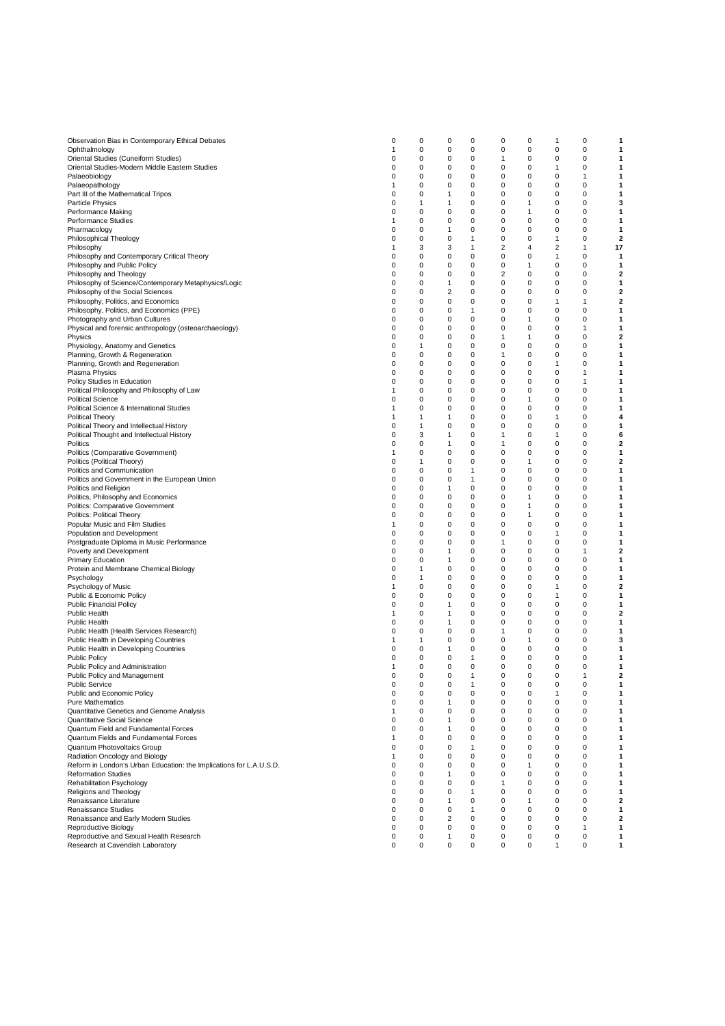| Observation Bias in Contemporary Ethical Debates                    | 0        | 0        | 0              | 0 | 0              | 0        | 1 | 0            | 1            |
|---------------------------------------------------------------------|----------|----------|----------------|---|----------------|----------|---|--------------|--------------|
| Ophthalmology                                                       | 1        | 0        | 0              | 0 | 0              | 0        | 0 | 0            | 1            |
|                                                                     |          |          |                |   |                |          |   |              |              |
| Oriental Studies (Cuneiform Studies)                                | 0        | 0        | 0              | 0 | 1              | 0        | 0 | 0            | 1            |
| Oriental Studies-Modern Middle Eastern Studies                      | 0        | 0        | 0              | 0 | 0              | 0        | 1 | $\mathbf 0$  | 1            |
| Palaeobiology                                                       | 0        | 0        | 0              | 0 | 0              | 0        | 0 | 1            | 1            |
| Palaeopathology                                                     | 1        | 0        | 0              | 0 | 0              | 0        | 0 | 0            | 1            |
| Part III of the Mathematical Tripos                                 | 0        | 0        | 1              | 0 | 0              | 0        | 0 | 0            | 1            |
|                                                                     |          |          |                |   |                |          |   |              |              |
| <b>Particle Physics</b>                                             | 0        | 1        | 1              | 0 | 0              | 1        | 0 | 0            | 3            |
| Performance Making                                                  | 0        | 0        | 0              | 0 | 0              | 1        | 0 | 0            | 1            |
| Performance Studies                                                 | 1        | 0        | 0              | 0 | 0              | 0        | 0 | 0            | 1            |
| Pharmacology                                                        | 0        | 0        | $\mathbf{1}$   | 0 | 0              | 0        | 0 | $\mathbf 0$  | 1            |
|                                                                     |          |          |                |   |                |          |   |              |              |
| Philosophical Theology                                              | 0        | 0        | 0              | 1 | 0              | 0        | 1 | 0            | $\mathbf{2}$ |
| Philosophy                                                          | 1        | 3        | 3              | 1 | $\overline{2}$ | 4        | 2 | $\mathbf{1}$ | 17           |
| Philosophy and Contemporary Critical Theory                         | 0        | 0        | 0              | 0 | 0              | 0        | 1 | 0            | 1            |
| Philosophy and Public Policy                                        | 0        | 0        | 0              | 0 | 0              | 1        | 0 | 0            | 1            |
|                                                                     |          |          |                |   |                |          |   |              |              |
| Philosophy and Theology                                             | 0        | 0        | 0              | 0 | $\overline{2}$ | 0        | 0 | 0            | 2            |
| Philosophy of Science/Contemporary Metaphysics/Logic                | 0        | 0        | 1              | 0 | 0              | 0        | 0 | 0            | 1            |
| Philosophy of the Social Sciences                                   | 0        | 0        | $\overline{2}$ | 0 | 0              | 0        | 0 | $\mathbf 0$  | 2            |
| Philosophy, Politics, and Economics                                 | 0        | 0        | 0              | 0 | 0              | 0        | 1 | $\mathbf{1}$ | 2            |
|                                                                     | 0        | 0        | 0              | 1 | 0              | 0        | 0 | $\mathbf 0$  | 1            |
| Philosophy, Politics, and Economics (PPE)                           |          |          |                |   |                |          |   |              |              |
| Photography and Urban Cultures                                      | 0        | 0        | 0              | 0 | 0              | 1        | 0 | 0            | 1            |
| Physical and forensic anthropology (osteoarchaeology)               | 0        | 0        | 0              | 0 | 0              | 0        | 0 | 1            | 1            |
| Physics                                                             | 0        | 0        | 0              | 0 | 1              | 1        | 0 | 0            | 2            |
| Physiology, Anatomy and Genetics                                    | 0        | 1        | 0              | 0 | 0              | 0        | 0 | 0            | 1            |
|                                                                     |          |          |                |   |                |          |   |              |              |
| Planning, Growth & Regeneration                                     | 0        | 0        | 0              | 0 | 1              | 0        | 0 | 0            | 1            |
| Planning, Growth and Regeneration                                   | 0        | 0        | 0              | 0 | 0              | 0        | 1 | 0            | 1            |
| Plasma Physics                                                      | 0        | 0        | 0              | 0 | 0              | 0        | 0 | $\mathbf{1}$ | 1            |
|                                                                     |          | 0        | 0              | 0 | 0              | 0        | 0 | $\mathbf{1}$ |              |
| Policy Studies in Education                                         | 0        |          |                |   |                |          |   |              | 1            |
| Political Philosophy and Philosophy of Law                          | 1        | 0        | 0              | 0 | 0              | 0        | 0 | $\mathbf 0$  | 1            |
| <b>Political Science</b>                                            | 0        | 0        | 0              | 0 | 0              | 1        | 0 | 0            | 1            |
| Political Science & International Studies                           | 1        | 0        | 0              | 0 | 0              | 0        | 0 | 0            | 1            |
| <b>Political Theory</b>                                             |          | 1        | 1              |   |                |          |   |              |              |
|                                                                     | 1        |          |                | 0 | 0              | 0        | 1 | 0            | 4            |
| Political Theory and Intellectual History                           | 0        | 1        | 0              | 0 | 0              | 0        | 0 | 0            | 1            |
| Political Thought and Intellectual History                          | 0        | 3        | $\mathbf{1}$   | 0 | 1              | 0        | 1 | 0            | 6            |
| Politics                                                            | 0        | 0        | 1              | 0 | 1              | 0        | 0 | 0            | 2            |
|                                                                     |          | 0        | $\mathbf 0$    | 0 | 0              | 0        | 0 | $\mathbf 0$  | 1            |
| Politics (Comparative Government)                                   | 1        |          |                |   |                |          |   |              |              |
| Politics (Political Theory)                                         | 0        | 1        | 0              | 0 | 0              | 1        | 0 | 0            | 2            |
| Politics and Communication                                          | 0        | 0        | 0              | 1 | 0              | 0        | 0 | $\mathbf 0$  | 1            |
| Politics and Government in the European Union                       | 0        | 0        | 0              | 1 | 0              | 0        | 0 | 0            | 1            |
| Politics and Religion                                               | 0        | 0        | 1              | 0 | 0              | 0        | 0 | 0            | 1            |
|                                                                     |          |          |                |   |                |          |   |              |              |
| Politics, Philosophy and Economics                                  | 0        | 0        | 0              | 0 | 0              | 1        | 0 | 0            | 1            |
| Politics: Comparative Government                                    | 0        | 0        | 0              | 0 | 0              | 1        | 0 | 0            | 1            |
| Politics: Political Theory                                          | 0        | 0        | 0              | 0 | 0              | 1        | 0 | $\mathbf 0$  | 1            |
| Popular Music and Film Studies                                      | 1        | 0        | 0              | 0 | 0              | 0        | 0 | 0            | 1            |
|                                                                     |          |          |                |   |                |          |   |              |              |
| Population and Development                                          | 0        | 0        | 0              | 0 | 0              | 0        | 1 | $\mathbf 0$  | 1            |
| Postgraduate Diploma in Music Performance                           | 0        | 0        | 0              | 0 | 1              | 0        | 0 | 0            | 1            |
| Poverty and Development                                             | 0        | 0        | $\mathbf{1}$   | 0 | 0              | 0        | 0 | 1            | $\mathbf{2}$ |
| <b>Primary Education</b>                                            | 0        | 0        | 1              | 0 | 0              | 0        | 0 | 0            | 1            |
|                                                                     |          |          |                |   |                |          |   |              |              |
| Protein and Membrane Chemical Biology                               | 0        | 1        | 0              | 0 | 0              | 0        | 0 | 0            | 1            |
| Psychology                                                          | 0        | 1        | 0              | 0 | 0              | 0        | 0 | 0            | 1            |
| Psychology of Music                                                 | 1        | 0        | 0              | 0 | 0              | 0        | 1 | 0            | 2            |
| Public & Economic Policy                                            | 0        | 0        | $\mathbf 0$    | 0 | 0              | 0        | 1 | $\mathbf 0$  | 1            |
| <b>Public Financial Policy</b>                                      | 0        | 0        | 1              | 0 | 0              | 0        | 0 | 0            | 1            |
|                                                                     |          |          |                |   |                |          |   |              |              |
| <b>Public Health</b>                                                | 1        | 0        | $\mathbf{1}$   | 0 | 0              | 0        | 0 | $\mathbf 0$  | 2            |
| <b>Public Health</b>                                                | 0        | 0        | $\mathbf{1}$   | 0 | 0              | 0        | 0 | 0            | 1            |
| Public Health (Health Services Research)                            | 0        | 0        | 0              | 0 | 1              | 0        | 0 | 0            | 1            |
| Public Health in Developing Countries                               | 1        | 1        | 0              | 0 | 0              | 1        | 0 | 0            | 3            |
|                                                                     | 0        | 0        | 1              | 0 | 0              | 0        | 0 | 0            | 1            |
| Public Health in Developing Countries                               |          |          |                |   |                |          |   |              |              |
| <b>Public Policy</b>                                                | 0        | 0        | 0              | 1 | 0              | 0        | 0 | 0            | 1            |
| Public Policy and Administration                                    | 1        | 0        | 0              | 0 | 0              | 0        | 0 | 0            | 1            |
| Public Policy and Management                                        | $\Omega$ | $\Omega$ | $\Omega$       | 1 | $\Omega$       | $\Omega$ | 0 | 1            | 2            |
| <b>Public Service</b>                                               | 0        | 0        | $\mathbf 0$    | 1 | $\mathbf 0$    | 0        | 0 | 0            | 1            |
|                                                                     |          |          |                |   |                |          |   |              |              |
| Public and Economic Policy                                          | 0        | 0        | 0              | 0 | 0              | 0        | 1 | $\mathbf 0$  | 1            |
| <b>Pure Mathematics</b>                                             | 0        | 0        | $\mathbf{1}$   | 0 | 0              | 0        | 0 | 0            | 1            |
| Quantitative Genetics and Genome Analysis                           | 1        | 0        | 0              | 0 | 0              | 0        | 0 | 0            | 1            |
| Quantitative Social Science                                         | 0        | 0        | $\mathbf{1}$   | 0 | 0              | 0        | 0 | 0            | 1            |
| Quantum Field and Fundamental Forces                                |          |          |                |   |                |          |   |              |              |
|                                                                     | 0        | 0        | 1              | 0 | 0              | 0        | 0 | 0            | 1            |
| Quantum Fields and Fundamental Forces                               | 1        | 0        | 0              | 0 | 0              | 0        | 0 | 0            | 1            |
| Quantum Photovoltaics Group                                         | 0        | 0        | 0              | 1 | 0              | 0        | 0 | 0            | 1            |
| Radiation Oncology and Biology                                      | 1        | 0        | 0              | 0 | 0              | $\Omega$ | 0 | $\mathbf 0$  | 1            |
| Reform in London's Urban Education: the Implications for L.A.U.S.D. |          | 0        |                |   |                |          | 0 |              |              |
|                                                                     | 0        |          | 0              | 0 | 0              | 1        |   | 0            | 1            |
| <b>Reformation Studies</b>                                          | 0        | 0        | $\mathbf{1}$   | 0 | 0              | 0        | 0 | $\mathbf 0$  | 1            |
| Rehabilitation Psychology                                           | 0        | 0        | 0              | 0 | 1              | 0        | 0 | 0            | 1            |
| Religions and Theology                                              | 0        | 0        | 0              | 1 | 0              | 0        | 0 | 0            | 1            |
| Renaissance Literature                                              | 0        | 0        | 1              | 0 | 0              | 1        | 0 | 0            | 2            |
|                                                                     |          |          |                |   |                |          |   |              |              |
| Renaissance Studies                                                 | 0        | 0        | 0              | 1 | 0              | 0        | 0 | 0            | 1            |
| Renaissance and Early Modern Studies                                | 0        | 0        | 2              | 0 | 0              | 0        | 0 | $\mathbf 0$  | 2            |
| Reproductive Biology                                                | 0        | 0        | $\mathbf 0$    | 0 | 0              | 0        | 0 | $\mathbf{1}$ | 1            |
| Reproductive and Sexual Health Research                             | 0        | 0        | 1              | 0 | 0              | 0        | 0 | $\mathbf 0$  | 1            |
|                                                                     |          |          |                |   |                |          |   |              |              |
| Research at Cavendish Laboratory                                    | 0        | 0        | 0              | 0 | 0              | 0        | 1 | 0            | 1            |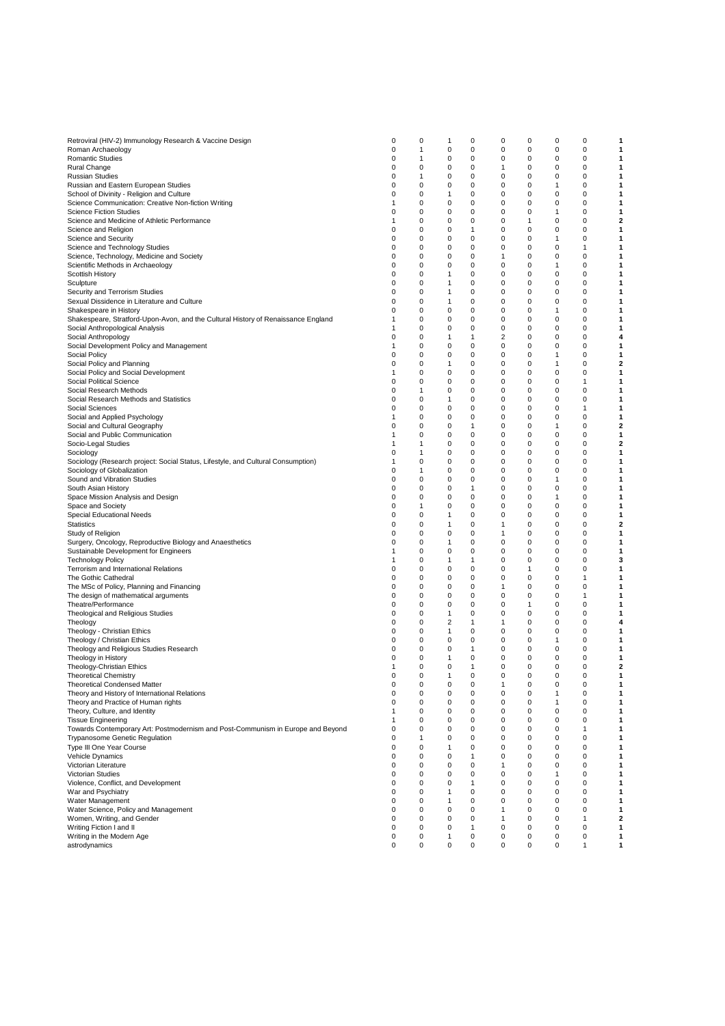| Retroviral (HIV-2) Immunology Research & Vaccine Design                           | 0 | 0            | 1              | 0 | 0 | 0            | 0            | 0            | 1                       |
|-----------------------------------------------------------------------------------|---|--------------|----------------|---|---|--------------|--------------|--------------|-------------------------|
|                                                                                   |   |              |                |   |   |              |              |              |                         |
| Roman Archaeology                                                                 | 0 | $\mathbf{1}$ | $\mathbf 0$    | 0 | 0 | 0            | 0            | 0            | 1                       |
| Romantic Studies                                                                  | 0 | 1            | 0              | 0 | 0 | 0            | 0            | 0            | 1                       |
| Rural Change                                                                      | 0 | 0            | 0              | 0 | 1 | 0            | 0            | 0            | 1                       |
| <b>Russian Studies</b>                                                            | 0 | 1            | 0              | 0 | 0 | 0            | 0            | 0            | 1                       |
|                                                                                   |   |              |                |   |   |              |              |              |                         |
| Russian and Eastern European Studies                                              | 0 | 0            | 0              | 0 | 0 | 0            | 1            | 0            | 1                       |
| School of Divinity - Religion and Culture                                         | 0 | 0            | 1              | 0 | 0 | 0            | 0            | 0            | 1                       |
| Science Communication: Creative Non-fiction Writing                               | 1 | 0            | 0              | 0 | 0 | 0            | 0            | 0            | 1                       |
|                                                                                   |   |              |                |   |   |              |              |              |                         |
| <b>Science Fiction Studies</b>                                                    | 0 | $\mathbf 0$  | 0              | 0 | 0 | 0            | 1            | 0            | 1                       |
| Science and Medicine of Athletic Performance                                      | 1 | 0            | 0              | 0 | 0 | 1            | 0            | 0            | 2                       |
| Science and Religion                                                              | 0 | 0            | $\mathbf 0$    | 1 | 0 | $\mathbf 0$  | 0            | 0            | 1                       |
|                                                                                   |   |              |                |   |   |              |              |              |                         |
| Science and Security                                                              | 0 | 0            | 0              | 0 | 0 | 0            | 1            | 0            | 1                       |
| Science and Technology Studies                                                    | 0 | 0            | 0              | 0 | 0 | 0            | 0            | 1            | 1                       |
| Science, Technology, Medicine and Society                                         | 0 | 0            | 0              | 0 | 1 | 0            | 0            | 0            | 1                       |
|                                                                                   |   |              |                |   |   |              |              |              |                         |
| Scientific Methods in Archaeology                                                 | 0 | 0            | 0              | 0 | 0 | 0            | 1            | 0            | 1                       |
| Scottish History                                                                  | 0 | $\mathbf 0$  | 1              | 0 | 0 | $\mathbf 0$  | 0            | 0            | 1                       |
| Sculpture                                                                         | 0 | 0            | 1              | 0 | 0 | 0            | 0            | 0            | 1                       |
|                                                                                   |   |              |                |   |   |              |              |              |                         |
| Security and Terrorism Studies                                                    | 0 | 0            | 1              | 0 | 0 | 0            | 0            | 0            | 1                       |
| Sexual Dissidence in Literature and Culture                                       | 0 | 0            | 1              | 0 | 0 | 0            | 0            | 0            | 1                       |
| Shakespeare in History                                                            | 0 | 0            | 0              | 0 | 0 | 0            | 1            | 0            | 1                       |
|                                                                                   |   |              |                |   |   |              |              |              |                         |
| Shakespeare, Stratford-Upon-Avon, and the Cultural History of Renaissance England | 1 | 0            | 0              | 0 | 0 | 0            | 0            | 0            | 1                       |
| Social Anthropological Analysis                                                   | 1 | 0            | 0              | 0 | 0 | 0            | 0            | 0            | 1                       |
| Social Anthropology                                                               | 0 | 0            | 1              | 1 | 2 | 0            | 0            | 0            | 4                       |
|                                                                                   |   |              |                |   |   |              |              |              |                         |
| Social Development Policy and Management                                          | 1 | 0            | 0              | 0 | 0 | 0            | 0            | 0            | 1                       |
| Social Policy                                                                     | 0 | $\mathbf 0$  | $\mathbf 0$    | 0 | 0 | 0            | 1            | 0            | 1                       |
| Social Policy and Planning                                                        | 0 | 0            | 1              | 0 | 0 | 0            | 1            | 0            | $\overline{\mathbf{2}}$ |
|                                                                                   |   |              |                |   |   |              |              |              |                         |
| Social Policy and Social Development                                              | 1 | 0            | 0              | 0 | 0 | 0            | 0            | 0            | 1                       |
| Social Political Science                                                          | 0 | $\mathbf 0$  | $\mathbf 0$    | 0 | 0 | 0            | 0            | 1            | 1                       |
| Social Research Methods                                                           | 0 | 1            | 0              | 0 | 0 | 0            | 0            | 0            | 1                       |
|                                                                                   |   |              |                |   |   |              |              |              |                         |
| Social Research Methods and Statistics                                            | 0 | 0            | 1              | 0 | 0 | 0            | 0            | 0            | 1                       |
| Social Sciences                                                                   | 0 | 0            | 0              | 0 | 0 | 0            | 0            | 1            | 1                       |
| Social and Applied Psychology                                                     | 1 | 0            | 0              | 0 | 0 | 0            | 0            | 0            | 1                       |
|                                                                                   |   |              |                |   |   |              |              |              |                         |
| Social and Cultural Geography                                                     | 0 | 0            | 0              | 1 | 0 | 0            | 1            | 0            | 2                       |
| Social and Public Communication                                                   | 1 | $\mathbf 0$  | $\mathbf 0$    | 0 | 0 | $\mathbf 0$  | 0            | 0            | 1                       |
| Socio-Legal Studies                                                               | 1 | 1            | 0              | 0 | 0 | 0            | 0            | 0            | $\overline{\mathbf{2}}$ |
|                                                                                   |   |              |                |   |   |              |              |              |                         |
| Sociology                                                                         | 0 | $\mathbf{1}$ | $\mathbf 0$    | 0 | 0 | 0            | 0            | 0            | 1                       |
| Sociology (Research project: Social Status, Lifestyle, and Cultural Consumption)  | 1 | 0            | 0              | 0 | 0 | 0            | 0            | 0            | 1                       |
| Sociology of Globalization                                                        | 0 | 1            | 0              | 0 | 0 | 0            | 0            | 0            | 1                       |
|                                                                                   |   |              |                |   |   |              |              |              |                         |
| Sound and Vibration Studies                                                       | 0 | 0            | 0              | 0 | 0 | 0            | $\mathbf{1}$ | 0            | 1                       |
| South Asian History                                                               | 0 | 0            | 0              | 1 | 0 | 0            | 0            | 0            | 1                       |
| Space Mission Analysis and Design                                                 | 0 | $\mathbf 0$  | 0              | 0 | 0 | 0            | $\mathbf{1}$ | 0            | 1                       |
|                                                                                   |   |              |                |   |   |              |              |              |                         |
| Space and Society                                                                 | 0 | 1            | 0              | 0 | 0 | 0            | 0            | 0            | 1                       |
| Special Educational Needs                                                         | 0 | 0            | 1              | 0 | 0 | 0            | 0            | 0            | 1                       |
| <b>Statistics</b>                                                                 | 0 | 0            | $\mathbf{1}$   | 0 | 1 | 0            | 0            | 0            | 2                       |
|                                                                                   |   |              |                |   |   |              |              |              |                         |
| Study of Religion                                                                 | 0 | 0            | 0              | 0 | 1 | 0            | 0            | 0            | 1                       |
| Surgery, Oncology, Reproductive Biology and Anaesthetics                          | 0 | 0            | 1              | 0 | 0 | 0            | 0            | 0            | 1                       |
| Sustainable Development for Engineers                                             | 1 | 0            | 0              | 0 | 0 | 0            | 0            | 0            | 1                       |
|                                                                                   |   |              |                |   |   | 0            | 0            | 0            | 3                       |
| <b>Technology Policy</b>                                                          | 1 | 0            | 1              | 1 | 0 |              |              |              |                         |
| Terrorism and International Relations                                             | 0 | 0            | 0              | 0 | 0 | 1            | 0            | 0            | 1                       |
| The Gothic Cathedral                                                              | 0 | 0            | 0              | 0 | 0 | 0            | 0            | 1            | 1                       |
|                                                                                   | 0 | 0            | 0              | 0 |   | 0            | 0            | 0            | 1                       |
| The MSc of Policy, Planning and Financing                                         |   |              |                |   | 1 |              |              |              |                         |
| The design of mathematical arguments                                              | 0 | 0            | 0              | 0 | 0 | 0            | 0            | $\mathbf{1}$ | 1                       |
| Theatre/Performance                                                               | 0 | 0            | $\mathbf 0$    | 0 | 0 | $\mathbf{1}$ | 0            | 0            | 1                       |
| Theological and Religious Studies                                                 | 0 | 0            | 1              | 0 | 0 | 0            | 0            | 0            | 1                       |
|                                                                                   |   |              |                |   |   |              |              |              |                         |
| Theology                                                                          | 0 | 0            | $\overline{2}$ | 1 | 1 | 0            | 0            | 0            | 4                       |
| Theology - Christian Ethics                                                       | 0 | 0            | 1              | 0 | 0 | 0            | 0            | 0            | 1                       |
| Theology / Christian Ethics                                                       | 0 | 0            | 0              | 0 | 0 | 0            | 1            | 0            | 1                       |
|                                                                                   |   |              |                |   |   |              |              |              |                         |
| Theology and Religious Studies Research                                           | 0 | 0            | 0              | 1 | 0 | 0            | 0            | 0            | 1                       |
| Theology in History                                                               | 0 | 0            | $\mathbf{1}$   | 0 | 0 | 0            | $\mathbf 0$  | 0            | 1                       |
| Theology-Christian Ethics                                                         | 1 | 0            | 0              | 1 | 0 | 0            | 0            | 0            | $\mathbf 2$             |
|                                                                                   |   |              |                |   |   |              |              |              |                         |
| <b>Theoretical Chemistry</b>                                                      | 0 | 0            | 1              | 0 | 0 | 0            | 0            | 0            | 1                       |
| <b>Theoretical Condensed Matter</b>                                               | 0 | 0            | 0              | 0 | 1 | 0            | 0            | 0            | 1                       |
| Theory and History of International Relations                                     | 0 | 0            | 0              | 0 | 0 | 0            | 1            | 0            | 1                       |
| Theory and Practice of Human rights                                               | 0 | 0            | 0              | 0 | 0 | 0            | 1            | 0            | 1                       |
|                                                                                   |   |              |                |   |   |              |              |              |                         |
| Theory, Culture, and Identity                                                     | 1 | 0            | 0              | 0 | 0 | 0            | 0            | 0            | 1                       |
| <b>Tissue Engineering</b>                                                         | 1 | 0            | 0              | 0 | 0 | 0            | 0            | 0            | 1                       |
| Towards Contemporary Art: Postmodernism and Post-Communism in Europe and Beyond   | 0 | 0            | 0              | 0 | 0 | 0            |              |              |                         |
|                                                                                   |   |              |                |   |   |              | 0            | 1            | 1                       |
| Trypanosome Genetic Regulation                                                    | 0 | $\mathbf{1}$ | $\mathbf 0$    | 0 | 0 | 0            | $\mathbf 0$  | 0            | 1                       |
| Type III One Year Course                                                          | 0 | 0            | 1              | 0 | 0 | 0            | 0            | 0            | 1                       |
|                                                                                   | 0 | $\mathbf 0$  | $\mathbf 0$    | 1 | 0 | 0            | 0            | 0            | 1                       |
| Vehicle Dynamics                                                                  |   |              |                |   |   |              |              |              |                         |
| Victorian Literature                                                              | 0 | 0            | 0              | 0 | 1 | 0            | 0            | 0            | 1                       |
| Victorian Studies                                                                 | 0 | 0            | 0              | 0 | 0 | 0            | 1            | 0            | 1                       |
| Violence, Conflict, and Development                                               | 0 | 0            | 0              | 1 | 0 | 0            | 0            | 0            | 1                       |
|                                                                                   |   |              |                |   |   |              |              |              |                         |
| War and Psychiatry                                                                | 0 | 0            | 1              | 0 | 0 | 0            | 0            | 0            | 1                       |
| Water Management                                                                  | 0 | $\mathbf 0$  | $\mathbf{1}$   | 0 | 0 | 0            | $\mathbf 0$  | 0            | 1                       |
| Water Science, Policy and Management                                              | 0 | 0            | 0              | 0 | 1 | 0            | 0            | 0            | 1                       |
|                                                                                   |   |              |                |   |   |              |              |              |                         |
| Women, Writing, and Gender                                                        | 0 | $\mathbf 0$  | $\mathbf 0$    | 0 | 1 | 0            | 0            | 1            | 2                       |
| Writing Fiction I and II                                                          | 0 | 0            | 0              | 1 | 0 | 0            | 0            | 0            | 1                       |
| Writing in the Modern Age                                                         | 0 | 0            | 1              | 0 | 0 | 0            | 0            | 0            | 1                       |
|                                                                                   |   |              |                |   |   |              |              |              |                         |
| astrodynamics                                                                     | 0 | 0            | 0              | 0 | 0 | 0            | 0            | 1            | 1                       |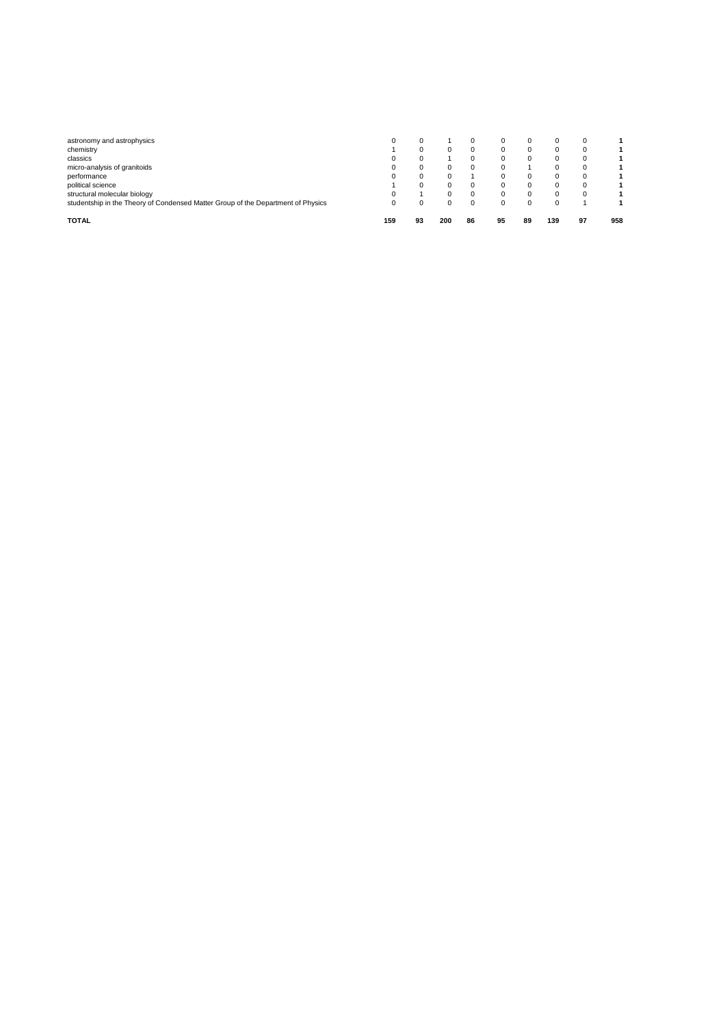| <b>TOTAL</b>                                                                     | 159 | 93 | 200 | 86       | 95 | 89 | 139 | 97 | 958 |
|----------------------------------------------------------------------------------|-----|----|-----|----------|----|----|-----|----|-----|
| studentship in the Theory of Condensed Matter Group of the Department of Physics |     |    |     |          |    |    |     |    |     |
| structural molecular biology                                                     |     |    |     | 0        |    |    |     |    |     |
| political science                                                                |     |    |     | $\Omega$ |    |    |     |    |     |
| performance                                                                      |     |    |     |          |    |    |     |    |     |
| micro-analysis of granitoids                                                     |     |    |     |          | 0  |    |     |    |     |
| classics                                                                         |     |    |     | O        |    |    |     |    |     |
| chemistry                                                                        |     |    |     | 0        |    |    |     |    |     |
| astronomy and astrophysics                                                       |     |    |     | U        | 0  |    |     |    |     |
|                                                                                  |     |    |     |          |    |    |     |    |     |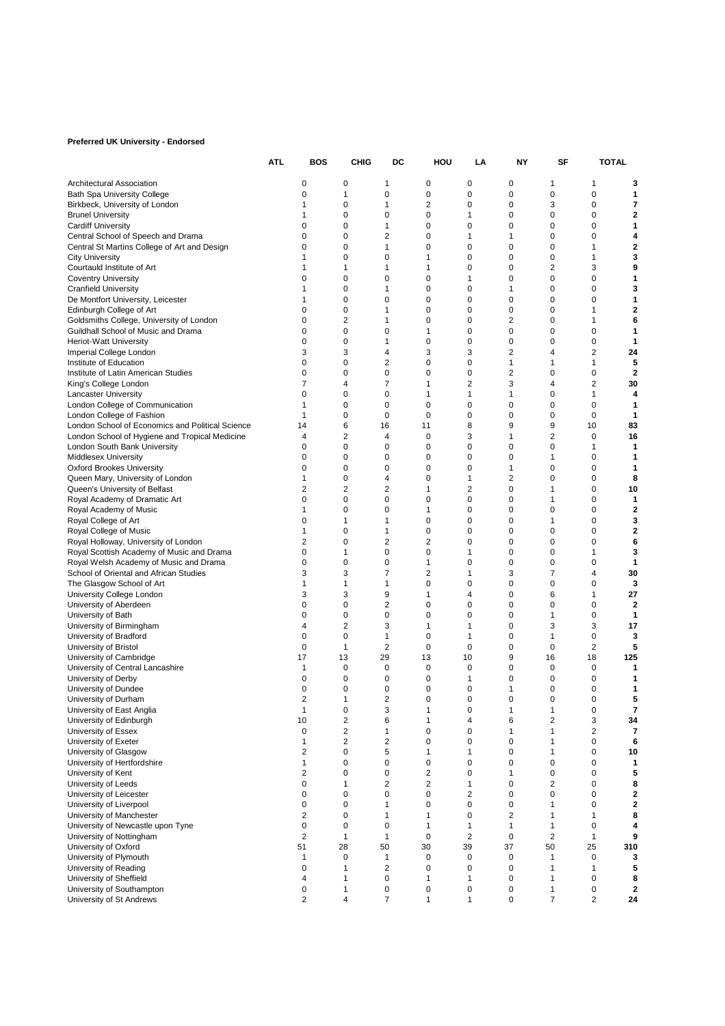## **Preferred UK University - Endorsed**

|                                                          | ATL                     | BOS                                       | CHIG                           | DC                      | HOU                 | LA                      | NΥ                  | SF                          | TOTAL                        |
|----------------------------------------------------------|-------------------------|-------------------------------------------|--------------------------------|-------------------------|---------------------|-------------------------|---------------------|-----------------------------|------------------------------|
| Architectural Association                                | 0                       | 0                                         | $\mathbf{1}$                   | 0                       | 0                   | 0                       | 1                   | 1                           | 3                            |
| <b>Bath Spa University College</b>                       | 0                       | 1                                         | 0                              | 0                       | 0                   | 0                       | 0                   | $\mathbf 0$                 | 1                            |
| Birkbeck, University of London                           | 1                       | 0                                         | $\mathbf{1}$                   | $\overline{c}$          | 0                   | 0                       | 3                   | $\mathbf 0$                 | 7                            |
| <b>Brunel University</b>                                 | 1                       | 0                                         | 0                              | 0                       | 1                   | 0                       | $\mathbf 0$         | 0                           | 2                            |
| <b>Cardiff University</b>                                | 0                       | 0                                         | $\mathbf{1}$                   | 0                       | 0                   | 0                       | 0                   | 0                           | 1                            |
| Central School of Speech and Drama                       | 0                       | 0                                         | $\overline{\mathbf{c}}$        | 0                       | 1                   | $\mathbf{1}$            | 0                   | 0                           | 4                            |
| Central St Martins College of Art and Design             | 0                       | 0                                         | 1                              | 0                       | 0                   | 0                       | 0                   | 1                           | 2                            |
| <b>City University</b>                                   | 1<br>1                  | 0                                         | $\mathbf 0$<br>$\mathbf{1}$    | 1<br>1                  | 0<br>0              | $\mathbf 0$<br>0        | 0<br>$\overline{2}$ | $\mathbf{1}$<br>3           | 3<br>9                       |
| Courtauld Institute of Art<br><b>Coventry University</b> | 0                       | 1<br>0                                    | $\mathbf 0$                    | 0                       | 1                   | 0                       | 0                   | 0                           | 1                            |
| <b>Cranfield University</b>                              | 1                       | 0                                         | 1                              | 0                       | 0                   | 1                       | $\mathbf 0$         | 0                           | 3                            |
| De Montfort University, Leicester                        | 1                       | 0                                         | $\mathbf 0$                    | 0                       | 0                   | 0                       | $\mathbf 0$         | 0                           | 1                            |
| Edinburgh College of Art                                 | 0                       | 0                                         | 1                              | 0                       | 0                   | 0                       | 0                   | 1                           | 2                            |
| Goldsmiths College, University of London                 | 0                       | 2                                         | $\mathbf 1$                    | 0                       | 0                   | $\overline{2}$          | 0                   | 1                           | 6                            |
| Guildhall School of Music and Drama                      | 0                       | 0                                         | $\mathbf 0$                    | 1                       | 0                   | 0                       | 0                   | 0                           | 1                            |
| <b>Heriot-Watt University</b>                            | 0                       | 0                                         | 1                              | 0                       | 0                   | 0                       | 0                   | $\mathbf 0$                 | 1                            |
| Imperial College London                                  | 3                       | 3                                         | $\overline{4}$                 | 3                       | 3                   | $\overline{2}$          | 4                   | $\overline{2}$              | 24                           |
| Institute of Education                                   | 0                       | 0                                         | 2                              | 0                       | 0                   | 1                       | 1                   | $\mathbf{1}$                | 5                            |
| Institute of Latin American Studies                      | $\mathbf 0$<br>7        | 0<br>4                                    | 0<br>$\overline{7}$            | 0<br>1                  | 0<br>$\overline{2}$ | $\overline{2}$<br>3     | 0<br>4              | 0<br>$\overline{2}$         | $\mathbf{2}$<br>30           |
| King's College London<br><b>Lancaster University</b>     | 0                       | 0                                         | $\mathbf 0$                    | 1                       | 1                   | $\mathbf{1}$            | 0                   | $\mathbf{1}$                | 4                            |
| London College of Communication                          | 1                       | 0                                         | 0                              | 0                       | 0                   | 0                       | 0                   | 0                           | 1                            |
| London College of Fashion                                | 1                       | 0                                         | $\mathbf 0$                    | 0                       | 0                   | 0                       | 0                   | 0                           | 1                            |
| London School of Economics and Political Science         | 14                      | 6                                         | 16                             | 11                      | 8                   | 9                       | 9                   | 10                          | 83                           |
| London School of Hygiene and Tropical Medicine           | 4                       | $\overline{c}$                            | $\overline{4}$                 | 0                       | 3                   | $\mathbf{1}$            | $\overline{2}$      | 0                           | 16                           |
| London South Bank University                             | 0                       | 0                                         | $\mathbf 0$                    | 0                       | 0                   | 0                       | 0                   | $\mathbf{1}$                | 1                            |
| <b>Middlesex University</b>                              | 0                       | 0                                         | 0                              | 0                       | 0                   | 0                       | 1                   | 0                           | 1                            |
| <b>Oxford Brookes University</b>                         | 0                       | 0                                         | $\mathbf 0$                    | 0                       | 0                   | 1                       | 0                   | 0                           | 1                            |
| Queen Mary, University of London                         | 1                       | $\mathbf 0$                               | 4                              | $\overline{0}$          | 1                   | $\overline{2}$          | 0                   | $\mathbf 0$                 | 8                            |
| Queen's University of Belfast                            | 2                       | 2                                         | 2                              | 1                       | 2                   | 0                       | 1                   | 0                           | 10                           |
| Royal Academy of Dramatic Art                            | 0<br>1                  | 0<br>0                                    | 0<br>$\mathbf 0$               | 0                       | 0<br>0              | 0<br>0                  | 1<br>0              | 0<br>0                      | 1<br>2                       |
| Royal Academy of Music<br>Royal College of Art           | 0                       | 1                                         | 1                              | 1<br>0                  | 0                   | $\mathbf 0$             | 1                   | 0                           | 3                            |
| Royal College of Music                                   | 1                       | 0                                         | $\mathbf{1}$                   | 0                       | 0                   | 0                       | 0                   | 0                           | 2                            |
| Royal Holloway, University of London                     | 2                       | 0                                         | $\overline{2}$                 | $\overline{2}$          | 0                   | 0                       | 0                   | 0                           | 6                            |
| Royal Scottish Academy of Music and Drama                | 0                       | 1                                         | 0                              | 0                       | 1                   | 0                       | $\mathbf 0$         | 1                           | 3                            |
| Royal Welsh Academy of Music and Drama                   | 0                       | $\mathbf 0$                               | $\mathbf 0$                    | 1                       | 0                   | 0                       | $\mathbf 0$         | 0                           | 1                            |
| School of Oriental and African Studies                   | 3                       | 3                                         | $\overline{7}$                 | 2                       | 1                   | 3                       | 7                   | $\overline{4}$              | 30                           |
| The Glasgow School of Art                                | 1                       | 1                                         | 1                              | 0                       | 0                   | 0                       | 0                   | 0                           | 3                            |
| University College London                                | 3                       | 3                                         | 9                              | 1                       | 4                   | 0                       | 6                   | 1                           | 27                           |
| University of Aberdeen                                   | 0                       | 0                                         | $\overline{\mathbf{c}}$        | 0                       | 0                   | 0                       | 0                   | $\mathbf 0$                 | $\mathbf{2}$                 |
| University of Bath                                       | 0<br>4                  | 0<br>2                                    | 0<br>3                         | 0<br>1                  | 0<br>1              | 0<br>0                  | 1<br>3              | 0<br>3                      | 1<br>17                      |
| University of Birmingham<br>University of Bradford       | 0                       | 0                                         | $\mathbf{1}$                   | 0                       | 1                   | 0                       | 1                   | 0                           | з                            |
| University of Bristol                                    | $\mathbf 0$             | 1                                         | $\overline{2}$                 | $\mathbf 0$             | 0                   | 0                       | $\mathbf 0$         | $\overline{2}$              | 5                            |
| University of Cambridge                                  | 17                      | 13                                        | 29                             | 13                      | 10                  | 9                       | 16                  | 18                          | 125                          |
| University of Central Lancashire                         | 1                       | 0                                         | $\mathbf 0$                    | 0                       | 0                   | 0                       | 0                   | 0                           | 1                            |
| University of Derby                                      | 0                       | 0                                         | 0                              | 0                       | 1                   | 0                       | 0                   | 0                           | 1                            |
| University of Dundee                                     | 0                       | 0                                         | 0                              | 0                       | 0                   | 1                       | 0                   | 0                           | 1                            |
| University of Durham                                     | $\overline{2}$          | 1                                         | $\overline{2}$                 | 0                       | 0                   | $\mathbf 0$             | $\mathbf 0$         | $\mathbf 0$                 | 5                            |
| University of East Anglia                                | 1                       | 0                                         | 3                              | 1                       | 0                   | 1                       | 1                   | 0                           | 7                            |
| University of Edinburgh                                  | 10                      | 2                                         | 6                              | 1                       | 4                   | 6                       | 2                   | 3                           | 34                           |
| University of Essex                                      | $\mathbf 0$<br>1        | $\overline{\mathbf{c}}$<br>$\overline{2}$ | $\mathbf{1}$<br>$\overline{2}$ | 0<br>0                  | 0<br>$\mathbf 0$    | 1<br>0                  | 1<br>1              | $\overline{2}$<br>$\pmb{0}$ | $\overline{\mathbf{r}}$<br>6 |
| University of Exeter<br>University of Glasgow            | $\overline{2}$          | 0                                         | 5                              | 1                       | 1                   | 0                       | 1                   | 0                           | 10                           |
| University of Hertfordshire                              | 1                       | 0                                         | $\mathbf 0$                    | 0                       | 0                   | 0                       | 0                   | 0                           | 1                            |
| University of Kent                                       | $\overline{\mathbf{c}}$ | 0                                         | 0                              | $\overline{\mathbf{c}}$ | 0                   | 1                       | $\mathbf 0$         | $\mathbf 0$                 | 5                            |
| University of Leeds                                      | 0                       | 1                                         | $\overline{2}$                 | $\overline{c}$          | 1                   | $\mathbf 0$             | 2                   | 0                           | 8                            |
| University of Leicester                                  | 0                       | 0                                         | $\mathbf 0$                    | $\pmb{0}$               | 2                   | 0                       | $\mathbf 0$         | 0                           | 2                            |
| University of Liverpool                                  | $\mathbf 0$             | 0                                         | $\mathbf{1}$                   | 0                       | 0                   | 0                       | 1                   | 0                           | 2                            |
| University of Manchester                                 | $\overline{2}$          | 0                                         | $\mathbf{1}$                   | 1                       | 0                   | $\overline{\mathbf{c}}$ | 1                   | 1                           | 8                            |
| University of Newcastle upon Tyne                        | $\mathbf 0$             | 0                                         | $\mathbf 0$                    | 1                       | $\mathbf{1}$        | $\mathbf{1}$            | $\mathbf{1}$        | 0                           | 4                            |
| University of Nottingham                                 | $\overline{2}$          | $\mathbf{1}$                              | $\mathbf{1}$                   | 0                       | 2                   | $\mathbf 0$             | $\overline{2}$      | $\mathbf{1}$                | 9                            |
| University of Oxford                                     | 51<br>1                 | 28<br>0                                   | 50<br>$\mathbf{1}$             | 30<br>0                 | 39<br>0             | 37<br>0                 | 50<br>1             | 25<br>$\mathbf 0$           | 310<br>3                     |
| University of Plymouth<br>University of Reading          | $\mathbf 0$             | 1                                         | $\overline{2}$                 | 0                       | $\mathbf 0$         | 0                       | 1                   | $\mathbf{1}$                | 5                            |
| University of Sheffield                                  | 4                       | 1                                         | $\mathbf 0$                    | 1                       | 1                   | $\mathbf 0$             | 1                   | 0                           | 8                            |
| University of Southampton                                | 0                       | 1                                         | $\mathbf 0$                    | 0                       | 0                   | 0                       | 1                   | 0                           | 2                            |
| University of St Andrews                                 | 2                       | 4                                         | $\overline{7}$                 | 1                       | 1                   | 0                       | $\overline{7}$      | $\overline{2}$              | 24                           |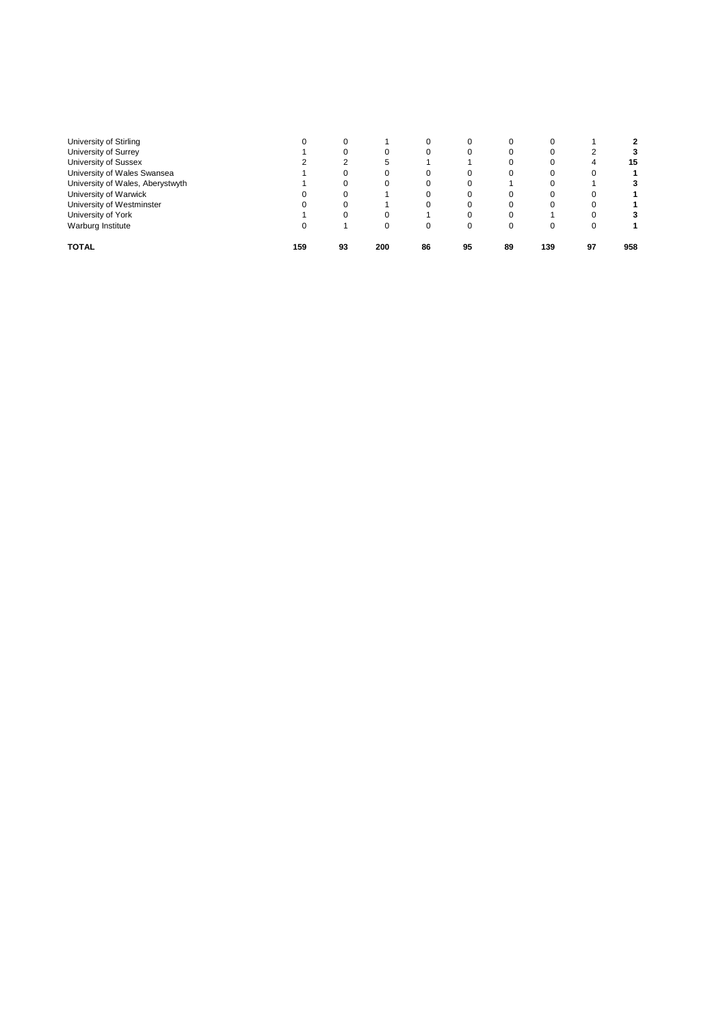| University of Stirling           |     |    |     |    |    |    |     |    |     |
|----------------------------------|-----|----|-----|----|----|----|-----|----|-----|
| University of Surrey             |     |    |     |    | 0  |    |     |    |     |
| University of Sussex             |     |    |     |    |    |    |     | 4  | 15  |
| University of Wales Swansea      |     |    |     |    | 0  |    |     |    |     |
| University of Wales, Aberystwyth |     |    |     |    |    |    |     |    |     |
| University of Warwick            |     |    |     |    |    |    |     |    |     |
| University of Westminster        |     |    |     |    |    |    |     |    |     |
| University of York               |     |    |     |    | 0  |    |     |    |     |
| Warburg Institute                |     |    |     |    | 0  |    |     |    |     |
| <b>TOTAL</b>                     | 159 | 93 | 200 | 86 | 95 | 89 | 139 | 97 | 958 |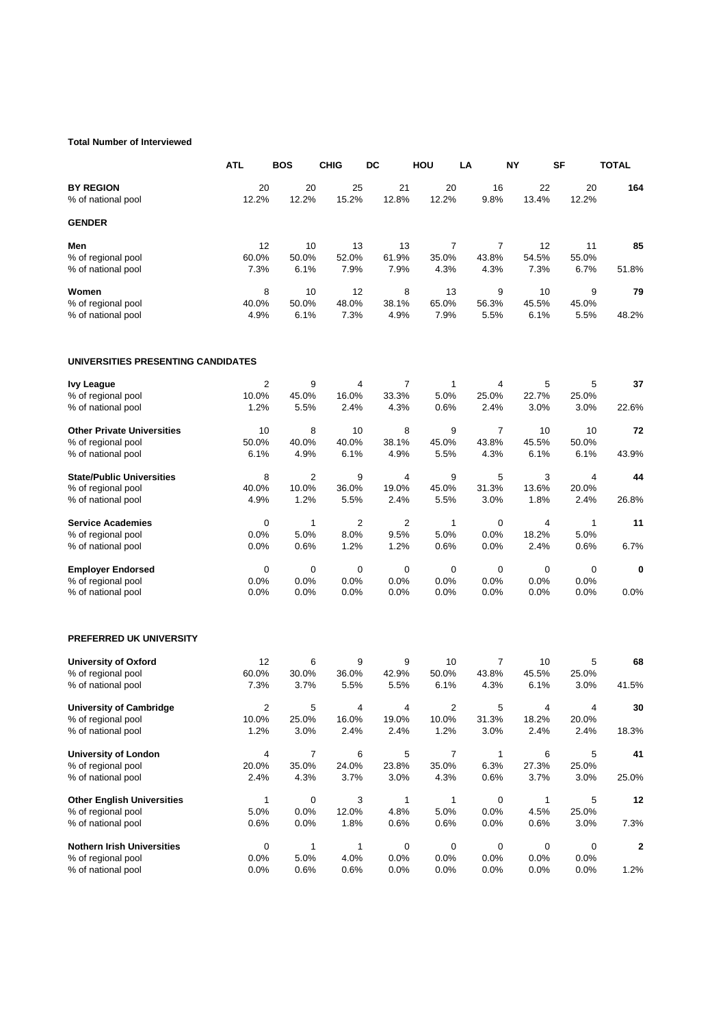## **Total Number of Interviewed**

|                                        | <b>ATL</b>  | <b>BOS</b>  | <b>CHIG</b>    | DC             | HOU         | LA         | ΝY          | SF          | TOTAL |
|----------------------------------------|-------------|-------------|----------------|----------------|-------------|------------|-------------|-------------|-------|
| <b>BY REGION</b><br>% of national pool | 20<br>12.2% | 20<br>12.2% | 25<br>15.2%    | 21<br>12.8%    | 20<br>12.2% | 16<br>9.8% | 22<br>13.4% | 20<br>12.2% | 164   |
| <b>GENDER</b>                          |             |             |                |                |             |            |             |             |       |
| Men                                    | 12          | 10          | 13             | 13             | 7           | 7          | 12          | 11          | 85    |
| % of regional pool                     | 60.0%       | 50.0%       | 52.0%          | 61.9%          | 35.0%       | 43.8%      | 54.5%       | 55.0%       |       |
| % of national pool                     | 7.3%        | 6.1%        | 7.9%           | 7.9%           | 4.3%        | 4.3%       | 7.3%        | 6.7%        | 51.8% |
| Women                                  | 8           | 10          | 12             | 8              | 13          | 9          | 10          | 9           | 79    |
| % of regional pool                     | 40.0%       | 50.0%       | 48.0%          | 38.1%          | 65.0%       | 56.3%      | 45.5%       | 45.0%       |       |
| % of national pool                     | 4.9%        | 6.1%        | 7.3%           | 4.9%           | 7.9%        | 5.5%       | 6.1%        | 5.5%        | 48.2% |
| UNIVERSITIES PRESENTING CANDIDATES     |             |             |                |                |             |            |             |             |       |
| <b>Ivy League</b>                      | 2           | 9           | $\overline{4}$ | 7              | 1           | 4          | 5           | 5           | 37    |
| % of regional pool                     | 10.0%       | 45.0%       | 16.0%          | 33.3%          | 5.0%        | 25.0%      | 22.7%       | 25.0%       |       |
| % of national pool                     | 1.2%        | 5.5%        | 2.4%           | 4.3%           | 0.6%        | 2.4%       | 3.0%        | 3.0%        | 22.6% |
| <b>Other Private Universities</b>      | 10          | 8           | 10             | 8              | 9           | 7          | 10          | 10          | 72    |
| % of regional pool                     | 50.0%       | 40.0%       | 40.0%          | 38.1%          | 45.0%       | 43.8%      | 45.5%       | 50.0%       |       |
| % of national pool                     | 6.1%        | 4.9%        | 6.1%           | 4.9%           | 5.5%        | 4.3%       | 6.1%        | 6.1%        | 43.9% |
| <b>State/Public Universities</b>       | 8           | 2           | 9              | 4              | 9           | 5          | 3           | 4           | 44    |
| % of regional pool                     | 40.0%       | 10.0%       | 36.0%          | 19.0%          | 45.0%       | 31.3%      | 13.6%       | 20.0%       |       |
| % of national pool                     | 4.9%        | 1.2%        | 5.5%           | 2.4%           | 5.5%        | 3.0%       | 1.8%        | 2.4%        | 26.8% |
| <b>Service Academies</b>               | 0           | 1           | $\overline{2}$ | $\overline{2}$ | 1           | 0          | 4           | 1           | 11    |
| % of regional pool                     | 0.0%        | 5.0%        | 8.0%           | 9.5%           | 5.0%        | 0.0%       | 18.2%       | 5.0%        |       |
| % of national pool                     | 0.0%        | 0.6%        | 1.2%           | 1.2%           | 0.6%        | $0.0\%$    | 2.4%        | 0.6%        | 6.7%  |
| <b>Employer Endorsed</b>               | 0           | 0           | 0              | 0              | 0           | 0          | 0           | 0           | 0     |
| % of regional pool                     | 0.0%        | 0.0%        | 0.0%           | 0.0%           | 0.0%        | 0.0%       | 0.0%        | 0.0%        |       |
| % of national pool                     | 0.0%        | $0.0\%$     | 0.0%           | 0.0%           | 0.0%        | 0.0%       | 0.0%        | 0.0%        | 0.0%  |
| <b>PREFERRED UK UNIVERSITY</b>         |             |             |                |                |             |            |             |             |       |
| <b>University of Oxford</b>            | 12          | 6           | 9              | 9              | 10          | 7          | 10          | 5           | 68    |
| % of regional pool                     | 60.0%       | 30.0%       | 36.0%          | 42.9%          | 50.0%       | 43.8%      | 45.5%       | 25.0%       |       |
| % of national pool                     | 7.3%        | 3.7%        | 5.5%           | 5.5%           | 6.1%        | 4.3%       | 6.1%        | 3.0%        | 41.5% |
| <b>University of Cambridge</b>         | 2           | 5           | 4              | 4              | 2           | 5          | 4           | 4           | 30    |
| % of regional pool                     | 10.0%       | 25.0%       | 16.0%          | 19.0%          | 10.0%       | 31.3%      | 18.2%       | 20.0%       |       |
| % of national pool                     | 1.2%        | 3.0%        | 2.4%           | 2.4%           | 1.2%        | 3.0%       | 2.4%        | 2.4%        | 18.3% |
| <b>University of London</b>            | 4           | 7           | 6              | 5              | 7           | 1          | 6           | 5           | 41    |
| % of regional pool                     | 20.0%       | 35.0%       | 24.0%          | 23.8%          | 35.0%       | 6.3%       | 27.3%       | 25.0%       |       |
| % of national pool                     | 2.4%        | 4.3%        | 3.7%           | 3.0%           | 4.3%        | 0.6%       | 3.7%        | 3.0%        | 25.0% |
| <b>Other English Universities</b>      | 1           | 0           | 3              | 1              | $\mathbf 1$ | 0          | 1           | 5           | 12    |
| % of regional pool                     | 5.0%        | 0.0%        | 12.0%          | 4.8%           | 5.0%        | 0.0%       | 4.5%        | 25.0%       |       |
| % of national pool                     | 0.6%        | 0.0%        | 1.8%           | 0.6%           | 0.6%        | 0.0%       | 0.6%        | 3.0%        | 7.3%  |
| <b>Nothern Irish Universities</b>      | 0           | 1           | $\mathbf{1}$   | 0              | 0           | 0          | 0           | 0           | 2     |
| % of regional pool                     | 0.0%        | 5.0%        | 4.0%           | 0.0%           | 0.0%        | 0.0%       | 0.0%        | 0.0%        |       |
| % of national pool                     | 0.0%        | 0.6%        | 0.6%           | 0.0%           | 0.0%        | 0.0%       | 0.0%        | 0.0%        | 1.2%  |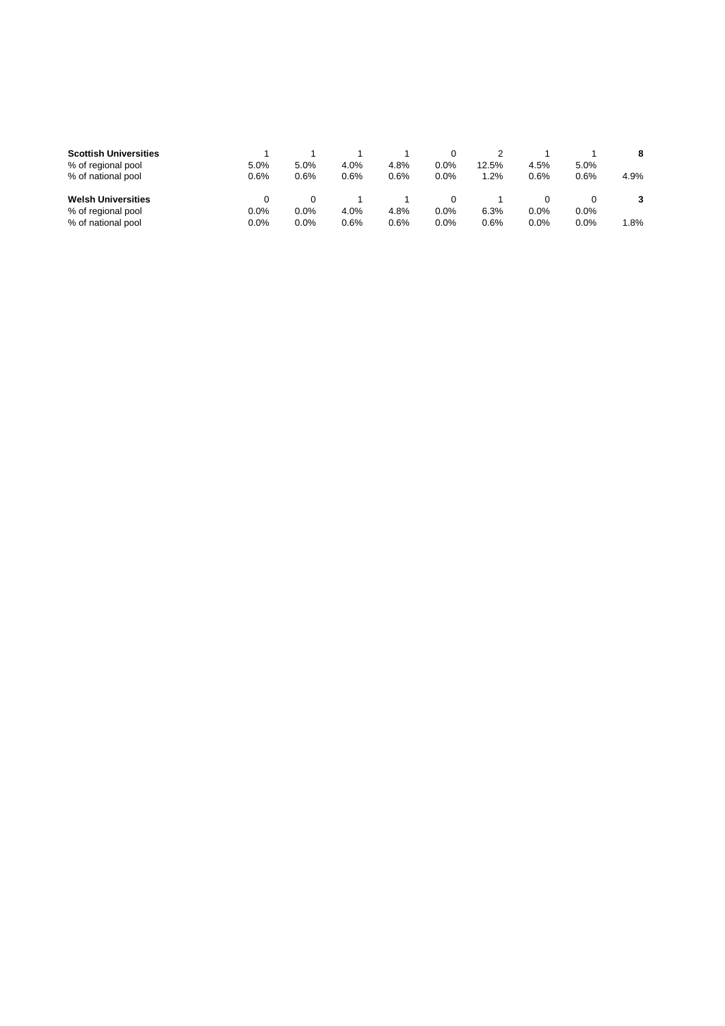| <b>Scottish Universities</b> |      |      |      |      |         |         |      |      | 8    |
|------------------------------|------|------|------|------|---------|---------|------|------|------|
| % of regional pool           | 5.0% | 5.0% | 4.0% | 4.8% | $0.0\%$ | 12.5%   | 4.5% | 5.0% |      |
| % of national pool           | 0.6% | 0.6% | 0.6% | 0.6% | 0.0%    | $1.2\%$ | 0.6% | 0.6% | 4.9% |
|                              |      |      |      |      |         |         |      |      |      |
| <b>Welsh Universities</b>    |      |      |      |      |         |         |      |      |      |
| % of regional pool           | 0.0% | 0.0% | 4.0% | 4.8% | 0.0%    | 6.3%    | 0.0% | 0.0% |      |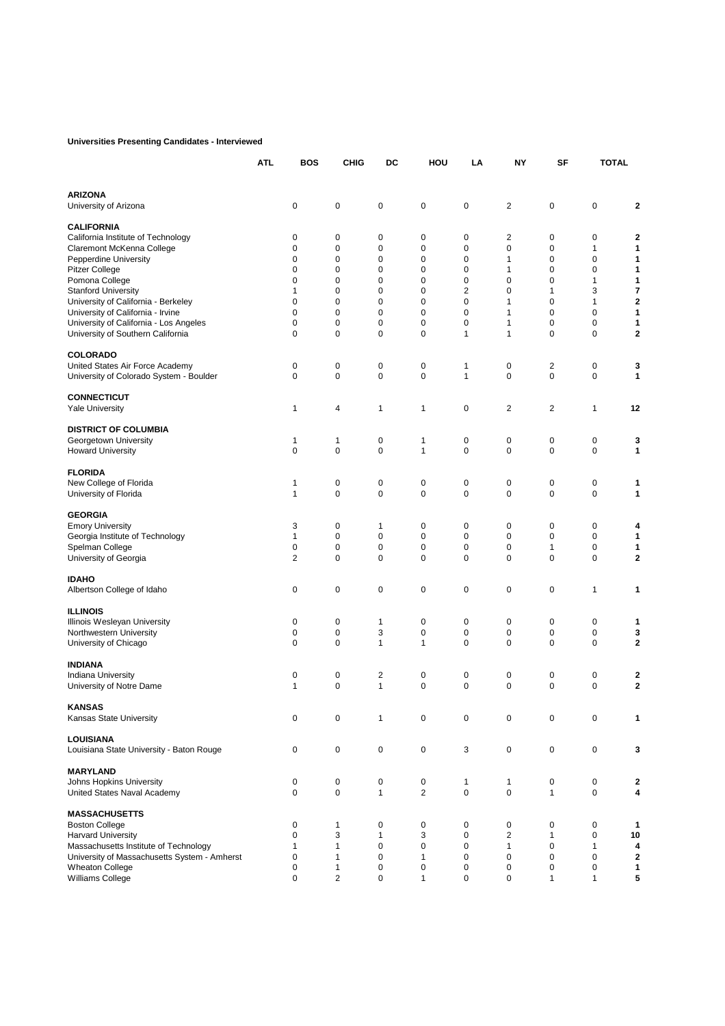#### **Universities Presenting Candidates - Interviewed**

|                                              | <b>ATL</b> | <b>BOS</b>   | <b>CHIG</b>  | DC | HOU            | LA                      | <b>NY</b>      | SF                      | <b>TOTAL</b> |                |
|----------------------------------------------|------------|--------------|--------------|----|----------------|-------------------------|----------------|-------------------------|--------------|----------------|
| <b>ARIZONA</b><br>University of Arizona      |            | 0            | 0            | 0  | 0              | 0                       | 2              | 0                       | 0            | 2              |
| <b>CALIFORNIA</b>                            |            |              |              |    |                |                         |                |                         |              |                |
| California Institute of Technology           |            | 0            | 0            | 0  | 0              | 0                       | 2              | 0                       | 0            | 2              |
| Claremont McKenna College                    |            | 0            | 0            | 0  | 0              | 0                       | $\mathbf 0$    | 0                       | 1            | 1              |
| Pepperdine University                        |            | 0            | 0            | 0  | 0              | 0                       | $\mathbf{1}$   | 0                       | 0            | 1              |
| <b>Pitzer College</b>                        |            | 0            | 0            | 0  | 0              | 0                       | 1              | 0                       | 0            | 1              |
| Pomona College                               |            | 0            | 0            | 0  | $\mathbf 0$    | 0                       | $\pmb{0}$      | 0                       | 1            | 1              |
| <b>Stanford University</b>                   |            | $\mathbf{1}$ | 0            | 0  | 0              | $\overline{\mathbf{c}}$ | $\mathbf 0$    | $\mathbf{1}$            | 3            | 7              |
| University of California - Berkeley          |            | 0            | 0            | 0  | $\mathbf 0$    | 0                       | 1              | $\mathbf 0$             | 1            | $\overline{a}$ |
| University of California - Irvine            |            | 0            | 0            | 0  | 0              | 0                       | 1              | 0                       | 0            | 1              |
| University of California - Los Angeles       |            | 0            | 0            | 0  | 0              | 0                       | 1              | 0                       | 0            | 1              |
| University of Southern California            |            | 0            | 0            | 0  | 0              | 1                       | 1              | 0                       | 0            | 2              |
| <b>COLORADO</b>                              |            |              |              |    |                |                         |                |                         |              |                |
| United States Air Force Academy              |            | 0            | 0            | 0  | $\pmb{0}$      | 1                       | $\pmb{0}$      | $\overline{\mathbf{c}}$ | $\mathbf 0$  | 3              |
| University of Colorado System - Boulder      |            | 0            | 0            | 0  | $\mathbf 0$    | 1                       | $\mathbf 0$    | $\mathbf 0$             | $\mathbf 0$  | 1              |
| <b>CONNECTICUT</b>                           |            |              |              |    |                |                         |                |                         |              |                |
| <b>Yale University</b>                       |            | $\mathbf{1}$ | 4            | 1  | 1              | 0                       | 2              | 2                       | 1            | 12             |
| <b>DISTRICT OF COLUMBIA</b>                  |            |              |              |    |                |                         |                |                         |              |                |
| Georgetown University                        |            | 1            | 1            | 0  | 1              | 0                       | $\pmb{0}$      | 0                       | $\mathbf 0$  | 3              |
| <b>Howard University</b>                     |            | 0            | 0            | 0  | 1              | 0                       | $\pmb{0}$      | 0                       | 0            | 1              |
| <b>FLORIDA</b>                               |            |              |              |    |                |                         |                |                         |              |                |
| New College of Florida                       |            | 1            | 0            | 0  | 0              | 0                       | 0              | 0                       | 0            | 1              |
| University of Florida                        |            | $\mathbf{1}$ | $\mathbf 0$  | 0  | $\mathbf 0$    | 0                       | $\pmb{0}$      | 0                       | $\mathbf 0$  | 1              |
| <b>GEORGIA</b>                               |            |              |              |    |                |                         |                |                         |              |                |
| <b>Emory University</b>                      |            | 3            | 0            | 1  | 0              | 0                       | 0              | 0                       | 0            | 4              |
| Georgia Institute of Technology              |            | $\mathbf{1}$ | 0            | 0  | 0              | 0                       | 0              | 0                       | 0            | 1              |
| Spelman College                              |            | 0            | 0            | 0  | 0              | 0                       | 0              | 1                       | 0            | 1              |
| University of Georgia                        |            | 2            | 0            | 0  | $\mathbf 0$    | 0                       | $\mathbf 0$    | $\mathbf 0$             | 0            | 2              |
| <b>IDAHO</b>                                 |            |              |              |    |                |                         |                |                         |              |                |
| Albertson College of Idaho                   |            | 0            | 0            | 0  | 0              | 0                       | 0              | 0                       | 1            | 1              |
| <b>ILLINOIS</b>                              |            |              |              |    |                |                         |                |                         |              |                |
| Illinois Wesleyan University                 |            | 0            | 0            | 1  | 0              | 0                       | 0              | 0                       | 0            | 1              |
| Northwestern University                      |            | 0            | 0            | 3  | 0              | 0                       | $\pmb{0}$      | 0                       | $\mathbf 0$  | 3              |
| University of Chicago                        |            | $\mathbf 0$  | $\mathbf 0$  | 1  | 1              | 0                       | $\mathbf 0$    | $\mathbf 0$             | $\mathbf 0$  | 2              |
| <b>INDIANA</b>                               |            |              |              |    |                |                         |                |                         |              |                |
| Indiana University                           |            | 0            | 0            | 2  | 0              | 0                       | 0              | 0                       | 0            | 2              |
| University of Notre Dame                     |            | $\mathbf{1}$ | $\mathbf 0$  | 1  | $\mathbf 0$    | 0                       | $\mathbf 0$    | $\mathbf 0$             | 0            | $\overline{a}$ |
| KANSAS                                       |            |              |              |    |                |                         |                |                         |              |                |
| Kansas State University                      |            | 0            | 0            | 1  | $\mathbf 0$    | 0                       | 0              | 0                       | 0            | 1              |
| <b>LOUISIANA</b>                             |            |              |              |    |                |                         |                |                         |              |                |
| Louisiana State University - Baton Rouge     |            | 0            | $\pmb{0}$    | 0  | 0              | 3                       | $\pmb{0}$      | 0                       | 0            | 3              |
| <b>MARYLAND</b>                              |            |              |              |    |                |                         |                |                         |              |                |
| Johns Hopkins University                     |            | 0            | 0            | 0  | 0              | 1                       | $\mathbf{1}$   | 0                       | 0            | 2              |
| United States Naval Academy                  |            | 0            | 0            | 1  | $\overline{c}$ | 0                       | 0              | $\mathbf{1}$            | 0            | 4              |
| <b>MASSACHUSETTS</b>                         |            |              |              |    |                |                         |                |                         |              |                |
| <b>Boston College</b>                        |            | 0            | 1            | 0  | 0              | 0                       | 0              | 0                       | 0            | 1              |
| <b>Harvard University</b>                    |            | $\mathbf 0$  | 3            | 1  | 3              | 0                       | $\overline{2}$ | $\mathbf{1}$            | $\mathbf 0$  | 10             |
| Massachusetts Institute of Technology        |            | $\mathbf{1}$ | $\mathbf{1}$ | 0  | $\mathbf 0$    | 0                       | $\mathbf{1}$   | 0                       | $\mathbf{1}$ | 4              |
| University of Massachusetts System - Amherst |            | 0            | 1            | 0  | 1              | 0                       | $\pmb{0}$      | 0                       | 0            | 2              |
| Wheaton College                              |            | 0            | 1            | 0  | 0              | 0                       | 0              | 0                       | 0            | 1              |
| Williams College                             |            | 0            | 2            | 0  | 1              | 0                       | 0              | 1                       | 1            | 5              |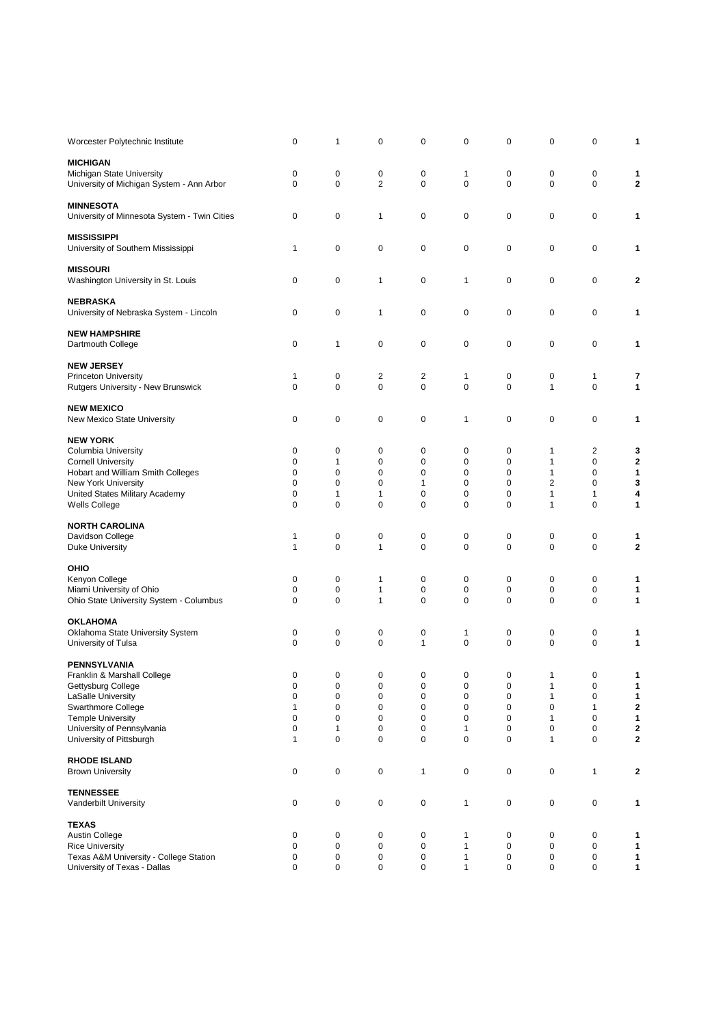| Worcester Polytechnic Institute                          | 0                      | 1                | 0                | 0                | 0           | 0      | 0            | 0            | 1                          |
|----------------------------------------------------------|------------------------|------------------|------------------|------------------|-------------|--------|--------------|--------------|----------------------------|
| <b>MICHIGAN</b>                                          |                        |                  |                  |                  |             |        |              |              |                            |
| Michigan State University                                | 0                      | 0                | 0                | 0                | 1           | 0      | 0            | 0            | 1                          |
| University of Michigan System - Ann Arbor                | 0                      | $\mathbf 0$      | $\overline{2}$   | 0                | $\mathbf 0$ | 0      | 0            | 0            | $\boldsymbol{2}$           |
| <b>MINNESOTA</b>                                         |                        |                  |                  |                  |             |        |              |              |                            |
| University of Minnesota System - Twin Cities             | 0                      | 0                | 1                | $\mathbf 0$      | 0           | 0      | 0            | 0            | 1                          |
|                                                          |                        |                  |                  |                  |             |        |              |              |                            |
| <b>MISSISSIPPI</b><br>University of Southern Mississippi | 1                      | 0                | 0                | 0                | 0           | 0      | 0            | 0            | 1                          |
|                                                          |                        |                  |                  |                  |             |        |              |              |                            |
| <b>MISSOURI</b>                                          |                        |                  |                  |                  |             |        |              |              |                            |
| Washington University in St. Louis                       | 0                      | 0                | 1                | $\mathbf 0$      | 1           | 0      | 0            | $\mathbf 0$  | 2                          |
| <b>NEBRASKA</b>                                          |                        |                  |                  |                  |             |        |              |              |                            |
| University of Nebraska System - Lincoln                  | 0                      | 0                | 1                | 0                | 0           | 0      | 0            | 0            | 1                          |
| <b>NEW HAMPSHIRE</b>                                     |                        |                  |                  |                  |             |        |              |              |                            |
| Dartmouth College                                        | 0                      | 1                | 0                | 0                | 0           | 0      | 0            | 0            | 1                          |
| <b>NEW JERSEY</b>                                        |                        |                  |                  |                  |             |        |              |              |                            |
| <b>Princeton University</b>                              | 1                      | 0                | 2                | 2                | 1           | 0      | 0            | 1            | 7                          |
| Rutgers University - New Brunswick                       | 0                      | $\mathbf 0$      | 0                | 0                | 0           | 0      | $\mathbf{1}$ | 0            | 1                          |
| <b>NEW MEXICO</b>                                        |                        |                  |                  |                  |             |        |              |              |                            |
| New Mexico State University                              | 0                      | 0                | 0                | 0                | 1           | 0      | 0            | $\mathbf 0$  | 1                          |
|                                                          |                        |                  |                  |                  |             |        |              |              |                            |
| <b>NEW YORK</b><br><b>Columbia University</b>            | 0                      | 0                | 0                | 0                | 0           | 0      | 1            | 2            | 3                          |
| <b>Cornell University</b>                                | 0                      | 1                | 0                | 0                | 0           | 0      | 1            | 0            | $\mathbf 2$                |
| Hobart and William Smith Colleges                        | $\mathbf 0$            | $\mathbf 0$      | 0                | 0                | $\mathbf 0$ | 0      | 1            | 0            | 1                          |
| New York University                                      | $\mathbf 0$            | $\mathbf 0$      | 0                | 1                | 0           | 0      | 2            | 0            | 3                          |
| United States Military Academy                           | 0                      | $\mathbf{1}$     | 1                | 0                | 0           | 0      | $\mathbf{1}$ | 1            | 4                          |
| Wells College                                            | 0                      | $\mathbf 0$      | 0                | 0                | 0           | 0      | 1            | 0            | 1                          |
| <b>NORTH CAROLINA</b>                                    |                        |                  |                  |                  |             |        |              |              |                            |
| Davidson College                                         | 1                      | 0                | 0                | 0                | 0           | 0      | 0            | 0            | 1                          |
| Duke University                                          | $\mathbf{1}$           | 0                | $\mathbf{1}$     | $\mathbf 0$      | 0           | 0      | $\mathbf 0$  | 0            | $\bf{2}$                   |
| OHIO                                                     |                        |                  |                  |                  |             |        |              |              |                            |
| Kenyon College                                           | 0                      | 0                | $\mathbf{1}$     | 0                | 0           | 0      | 0            | 0            | 1                          |
| Miami University of Ohio                                 | 0                      | 0                | 1                | 0                | 0           | 0      | 0            | 0            | 1                          |
| Ohio State University System - Columbus                  | 0                      | $\mathbf 0$      | $\mathbf{1}$     | $\mathbf 0$      | 0           | 0      | 0            | 0            | 1                          |
| <b>OKLAHOMA</b>                                          |                        |                  |                  |                  |             |        |              |              |                            |
| Oklahoma State University System                         | 0                      | 0                | 0                | 0                | 1           | 0      | 0            | 0            | 1                          |
| University of Tulsa                                      | $\mathbf 0$            | 0                | $\mathbf 0$      | 1                | $\pmb{0}$   | 0      | 0            | 0            | 1                          |
| <b>PENNSYLVANIA</b>                                      |                        |                  |                  |                  |             |        |              |              |                            |
| Franklin & Marshall College                              | 0                      | 0                | 0                | $\Omega$         | $\Omega$    | 0      | 1            | 0            |                            |
| Gettysburg College                                       | $\pmb{0}$              | 0                | $\pmb{0}$        | $\pmb{0}$        | $\pmb{0}$   | 0      | 1            | 0            | 1                          |
| LaSalle University                                       | $\pmb{0}$              | 0                | $\mathbf 0$      | $\mathbf 0$      | 0           | 0      | 1            | $\mathbf 0$  | 1                          |
| Swarthmore College                                       | 1                      | 0                | $\mathbf 0$      | $\mathbf 0$      | 0           | 0      | 0            | $\mathbf{1}$ | $\mathbf 2$                |
| <b>Temple University</b><br>University of Pennsylvania   | $\pmb{0}$<br>$\pmb{0}$ | 0                | 0                | 0                | 0<br>1      | 0<br>0 | 1<br>0       | 0<br>0       | 1                          |
| University of Pittsburgh                                 | $\mathbf{1}$           | 1<br>$\mathbf 0$ | 0<br>$\mathbf 0$ | 0<br>$\mathbf 0$ | $\mathbf 0$ | 0      | 1            | $\mathbf 0$  | $\mathbf 2$<br>$\mathbf 2$ |
|                                                          |                        |                  |                  |                  |             |        |              |              |                            |
| <b>RHODE ISLAND</b><br><b>Brown University</b>           | 0                      | 0                | $\pmb{0}$        | $\mathbf{1}$     | 0           | 0      | 0            | $\mathbf{1}$ | $\mathbf 2$                |
|                                                          |                        |                  |                  |                  |             |        |              |              |                            |
| <b>TENNESSEE</b>                                         |                        |                  |                  |                  |             |        |              |              |                            |
| Vanderbilt University                                    | 0                      | 0                | $\pmb{0}$        | $\pmb{0}$        | 1           | 0      | 0            | $\pmb{0}$    | 1                          |
| <b>TEXAS</b>                                             |                        |                  |                  |                  |             |        |              |              |                            |
| Austin College                                           | 0                      | 0                | 0                | $\mathbf 0$      | 1           | 0      | 0            | 0            | 1                          |
| <b>Rice University</b>                                   | $\pmb{0}$              | 0                | $\pmb{0}$        | 0                | 1           | 0      | 0            | 0            | 1                          |
| Texas A&M University - College Station                   | 0                      | 0                | 0                | 0                | 1           | 0      | 0            | 0            | 1                          |
| University of Texas - Dallas                             | 0                      | 0                | $\pmb{0}$        | 0                | 1           | 0      | 0            | $\mathbf 0$  | 1                          |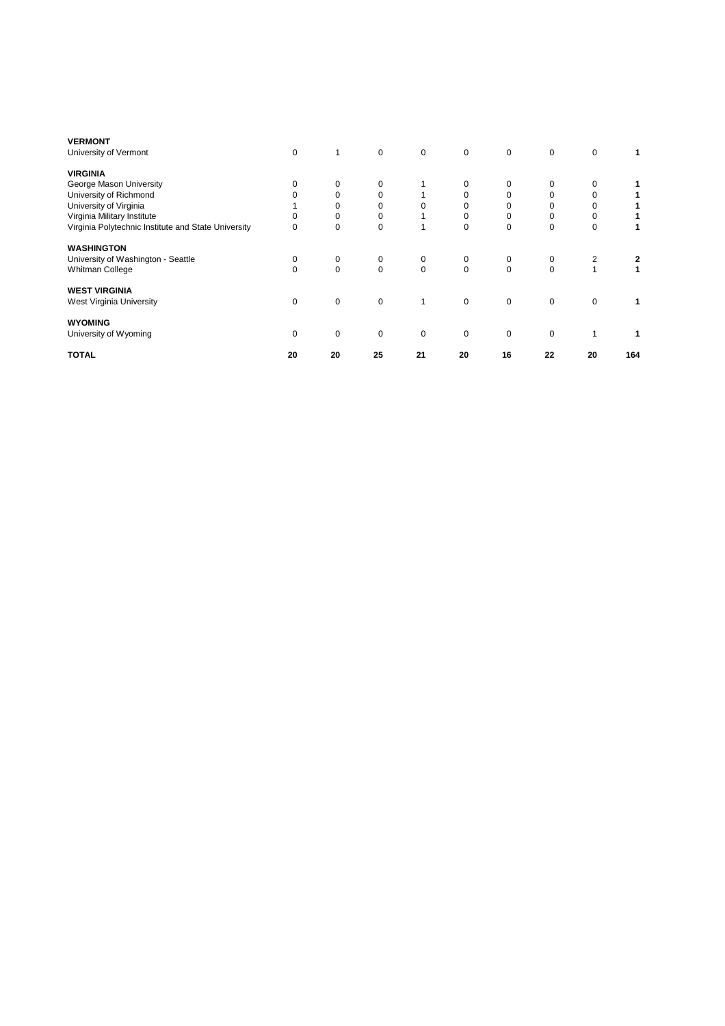| <b>VERMONT</b>                                      |          |             |             |             |             |             |          |             |     |
|-----------------------------------------------------|----------|-------------|-------------|-------------|-------------|-------------|----------|-------------|-----|
| University of Vermont                               | 0        | 1           | 0           | 0           | $\mathbf 0$ | 0           | 0        | 0           |     |
| <b>VIRGINIA</b>                                     |          |             |             |             |             |             |          |             |     |
| George Mason University                             | $\Omega$ | 0           | 0           |             | 0           | 0           | 0        | 0           |     |
| University of Richmond                              |          | 0           | 0           |             |             | 0           | 0        | 0           |     |
| University of Virginia                              |          | 0           | 0           | $\Omega$    |             | 0           | 0        | 0           |     |
| Virginia Military Institute                         | $\Omega$ | 0           | 0           |             |             | 0           | 0        | 0           |     |
| Virginia Polytechnic Institute and State University | 0        | 0           | 0           | 1           | 0           | 0           | $\Omega$ | 0           |     |
| <b>WASHINGTON</b>                                   |          |             |             |             |             |             |          |             |     |
| University of Washington - Seattle                  | 0        | 0           | 0           | 0           | 0           | 0           | 0        | 2           | 2   |
| Whitman College                                     | $\Omega$ | $\mathbf 0$ | $\Omega$    | $\mathbf 0$ | $\Omega$    | $\mathbf 0$ | $\Omega$ |             |     |
| <b>WEST VIRGINIA</b>                                |          |             |             |             |             |             |          |             |     |
| West Virginia University                            | 0        | $\mathbf 0$ | $\mathbf 0$ | 1           | $\mathbf 0$ | $\mathbf 0$ | $\Omega$ | $\mathbf 0$ |     |
| <b>WYOMING</b>                                      |          |             |             |             |             |             |          |             |     |
| University of Wyoming                               | $\Omega$ | 0           | 0           | 0           | 0           | $\mathbf 0$ | $\Omega$ |             |     |
| <b>TOTAL</b>                                        | 20       | 20          | 25          | 21          | 20          | 16          | 22       | 20          | 164 |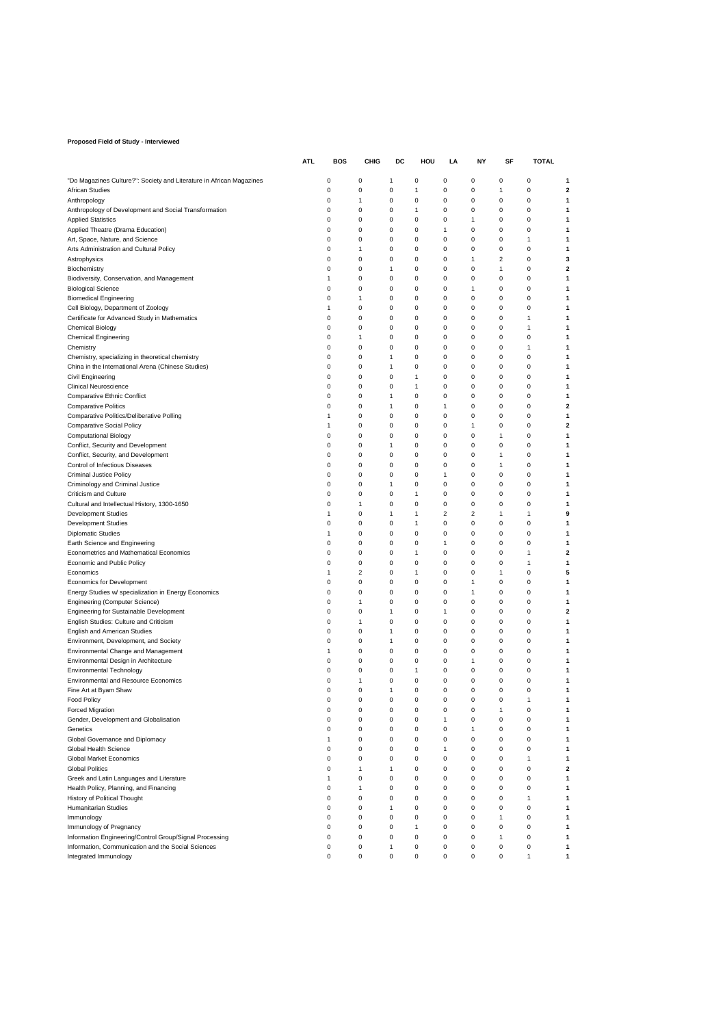#### **Proposed Field of Study - Interviewed**

|                                                                                         | <b>ATL</b> | BOS          | CHIG                    | DC     | HOU               | LA                      | ΝY                      | SF     | TOTAL       |                         |
|-----------------------------------------------------------------------------------------|------------|--------------|-------------------------|--------|-------------------|-------------------------|-------------------------|--------|-------------|-------------------------|
|                                                                                         |            | 0            | 0                       | 1      | 0                 | 0                       | 0                       | 0      | 0           | 1                       |
| "Do Magazines Culture?": Society and Literature in African Magazines<br>African Studies |            | 0            | 0                       | 0      | $\mathbf{1}$      | 0                       | 0                       | 1      | 0           | $\overline{\mathbf{2}}$ |
| Anthropology                                                                            |            | 0            | 1                       | 0      | 0                 | 0                       | 0                       | 0      | 0           | 1                       |
| Anthropology of Development and Social Transformation                                   |            | 0            | 0                       | 0      | $\mathbf{1}$      | 0                       | 0                       | 0      | 0           | 1                       |
| <b>Applied Statistics</b>                                                               |            | 0            | 0                       | 0      | 0                 | 0                       | 1                       | 0      | 0           | 1                       |
| Applied Theatre (Drama Education)                                                       |            | 0            | 0                       | 0      | 0                 | $\mathbf{1}$            | 0                       | 0      | 0           | 1                       |
| Art, Space, Nature, and Science                                                         |            | 0            | 0                       | 0      | 0                 | 0                       | 0                       | 0      | 1           | 1                       |
| Arts Administration and Cultural Policy                                                 |            | 0            | 1                       | 0      | 0                 | 0                       | 0                       | 0      | 0           | 1                       |
| Astrophysics                                                                            |            | 0            | 0                       | 0      | 0                 | $\mathbf 0$             | 1                       | 2      | 0           | 3                       |
| Biochemistry<br>Biodiversity, Conservation, and Management                              |            | 0<br>1       | 0<br>0                  | 1<br>0 | 0<br>0            | 0<br>0                  | 0<br>0                  | 1<br>0 | 0<br>0      | $\mathbf 2$<br>1        |
| <b>Biological Science</b>                                                               |            | 0            | 0                       | 0      | 0                 | 0                       | 1                       | 0      | 0           | 1                       |
| <b>Biomedical Engineering</b>                                                           |            | 0            | 1                       | 0      | 0                 | 0                       | 0                       | 0      | 0           | 1                       |
| Cell Biology, Department of Zoology                                                     |            | $\mathbf{1}$ | 0                       | 0      | 0                 | 0                       | 0                       | 0      | 0           | 1                       |
| Certificate for Advanced Study in Mathematics                                           |            | 0            | 0                       | 0      | 0                 | 0                       | 0                       | 0      | 1           | 1                       |
| <b>Chemical Biology</b>                                                                 |            | 0            | 0                       | 0      | 0                 | 0                       | 0                       | 0      | 1           | 1                       |
| <b>Chemical Engineering</b>                                                             |            | 0            | 1                       | 0      | 0                 | 0                       | 0                       | 0      | 0           | 1                       |
| Chemistry                                                                               |            | 0            | 0                       | 0      | 0                 | 0                       | 0                       | 0      | 1           | 1                       |
| Chemistry, specializing in theoretical chemistry                                        |            | 0            | 0                       | 1      | 0                 | 0                       | 0                       | 0      | 0           | 1                       |
| China in the International Arena (Chinese Studies)                                      |            | 0            | 0                       | 1      | 0                 | 0                       | 0                       | 0      | 0           | 1                       |
| Civil Engineering                                                                       |            | 0<br>0       | 0                       | 0      | $\mathbf{1}$      | 0                       | 0<br>0                  | 0<br>0 | 0           | 1<br>1                  |
| <b>Clinical Neuroscience</b><br><b>Comparative Ethnic Conflict</b>                      |            | 0            | 0<br>0                  | 0<br>1 | 1<br>0            | 0<br>0                  | 0                       | 0      | 0<br>0      | 1                       |
| <b>Comparative Politics</b>                                                             |            | 0            | 0                       | 1      | 0                 | $\mathbf{1}$            | 0                       | 0      | 0           | $\mathbf 2$             |
| Comparative Politics/Deliberative Polling                                               |            | 1            | 0                       | 0      | 0                 | 0                       | 0                       | 0      | 0           | 1                       |
| <b>Comparative Social Policy</b>                                                        |            | 1            | 0                       | 0      | 0                 | 0                       | 1                       | 0      | 0           | 2                       |
| <b>Computational Biology</b>                                                            |            | 0            | 0                       | 0      | 0                 | 0                       | 0                       | 1      | 0           | 1                       |
| Conflict, Security and Development                                                      |            | 0            | 0                       | 1      | 0                 | 0                       | 0                       | 0      | $\mathbf 0$ | 1                       |
| Conflict, Security, and Development                                                     |            | 0            | 0                       | 0      | 0                 | 0                       | 0                       | 1      | 0           | 1                       |
| Control of Infectious Diseases                                                          |            | 0            | 0                       | 0      | 0                 | 0                       | 0                       | 1      | 0           | 1                       |
| <b>Criminal Justice Policy</b>                                                          |            | 0            | 0                       | 0      | 0                 | $\mathbf{1}$            | 0                       | 0      | $\mathbf 0$ | 1                       |
| Criminology and Criminal Justice                                                        |            | 0            | 0                       | 1      | 0                 | 0                       | 0                       | 0      | 0           | 1                       |
| Criticism and Culture<br>Cultural and Intellectual History, 1300-1650                   |            | 0<br>0       | 0<br>1                  | 0<br>0 | $\mathbf{1}$<br>0 | 0<br>0                  | 0<br>0                  | 0<br>0 | 0<br>0      | 1<br>1                  |
| <b>Development Studies</b>                                                              |            | $\mathbf{1}$ | 0                       | 1      | $\mathbf{1}$      | $\overline{\mathbf{c}}$ | $\overline{\mathbf{c}}$ | 1      | 1           | 9                       |
| <b>Development Studies</b>                                                              |            | 0            | 0                       | 0      | $\mathbf{1}$      | 0                       | 0                       | 0      | 0           | 1                       |
| <b>Diplomatic Studies</b>                                                               |            | 1            | 0                       | 0      | 0                 | 0                       | 0                       | 0      | 0           | 1                       |
| Earth Science and Engineering                                                           |            | 0            | 0                       | 0      | 0                 | 1                       | 0                       | 0      | 0           | 1                       |
| Econometrics and Mathematical Economics                                                 |            | 0            | 0                       | 0      | $\mathbf{1}$      | 0                       | 0                       | 0      | 1           | $\mathbf 2$             |
| Economic and Public Policy                                                              |            | 0            | 0                       | 0      | 0                 | 0                       | 0                       | 0      | 1           | 1                       |
| Economics                                                                               |            | 1            | $\overline{\mathbf{c}}$ | 0      | 1                 | 0                       | 0                       | 1      | 0           | 5                       |
| <b>Economics for Development</b>                                                        |            | 0            | 0                       | 0      | 0                 | 0                       | 1                       | 0      | 0           | 1                       |
| Energy Studies w/ specialization in Energy Economics                                    |            | 0            | 0                       | 0      | 0                 | 0                       | 1                       | 0      | 0           | 1                       |
| Engineering (Computer Science)<br>Engineering for Sustainable Development               |            | 0<br>0       | 1<br>0                  | 0<br>1 | 0<br>0            | 0<br>1                  | 0<br>0                  | 0<br>0 | 0<br>0      | 1<br>$\mathbf 2$        |
| English Studies: Culture and Criticism                                                  |            | 0            | 1                       | 0      | 0                 | 0                       | 0                       | 0      | 0           | 1                       |
| <b>English and American Studies</b>                                                     |            | 0            | 0                       | 1      | 0                 | 0                       | 0                       | 0      | 0           | 1                       |
| Environment, Development, and Society                                                   |            | 0            | 0                       | 1      | 0                 | 0                       | 0                       | 0      | 0           | 1                       |
| Environmental Change and Management                                                     |            | 1            | 0                       | 0      | 0                 | 0                       | 0                       | 0      | 0           | 1                       |
| Environmental Design in Architecture                                                    |            | 0            | 0                       | 0      | 0                 | 0                       | 1                       | 0      | $\mathbf 0$ | 1                       |
| <b>Environmental Technology</b>                                                         |            | 0            | 0                       | 0      | $\mathbf{1}$      | 0                       | 0                       | 0      | 0           | 1                       |
| <b>Environmental and Resource Economics</b>                                             |            | 0            | 1                       | 0      | 0                 | 0                       | 0                       | 0      | 0           | 1                       |
| Fine Art at Byam Shaw                                                                   |            | 0            | 0                       | 1      | 0                 | $\mathbf 0$             | 0                       | 0      | 0           | 1                       |
| <b>Food Policy</b>                                                                      |            | $\mathbf 0$  | 0                       | 0      | $\mathbf 0$       | $\mathbf 0$             | 0                       | 0      | 1           | 1                       |
| Forced Migration<br>Gender, Development and Globalisation                               |            | 0<br>0       | 0<br>0                  | 0<br>0 | 0<br>0            | 0<br>$\mathbf{1}$       | 0<br>0                  | 1<br>0 | 0<br>0      | 1<br>1                  |
| Genetics                                                                                |            | 0            | 0                       | 0      | 0                 | 0                       | 1                       | 0      | 0           | 1                       |
| Global Governance and Diplomacy                                                         |            | $\mathbf{1}$ | 0                       | 0      | 0                 | 0                       | 0                       | 0      | 0           | 1                       |
| Global Health Science                                                                   |            | 0            | 0                       | 0      | 0                 | 1                       | 0                       | 0      | 0           | 1                       |
| Global Market Economics                                                                 |            | 0            | 0                       | 0      | 0                 | 0                       | 0                       | 0      | 1           | 1                       |
| <b>Global Politics</b>                                                                  |            | 0            | 1                       | 1      | 0                 | 0                       | 0                       | 0      | $\mathbf 0$ | $\mathbf 2$             |
| Greek and Latin Languages and Literature                                                |            | 1            | 0                       | 0      | 0                 | 0                       | 0                       | 0      | 0           | 1                       |
| Health Policy, Planning, and Financing                                                  |            | 0            | 1                       | 0      | 0                 | 0                       | 0                       | 0      | 0           | 1                       |
| History of Political Thought                                                            |            | 0            | 0                       | 0      | 0                 | 0                       | 0                       | 0      | 1           | 1                       |
| <b>Humanitarian Studies</b>                                                             |            | 0            | 0                       | 1      | 0                 | 0                       | 0                       | 0      | 0           | 1                       |
| Immunology                                                                              |            | 0            | 0                       | 0      | 0<br>$\mathbf{1}$ | 0                       | 0                       | 1      | 0           | 1                       |
| Immunology of Pregnancy<br>Information Engineering/Control Group/Signal Processing      |            | 0<br>0       | 0<br>0                  | 0<br>0 | 0                 | 0<br>0                  | 0<br>0                  | 0<br>1 | 0<br>0      | 1<br>1                  |
| Information, Communication and the Social Sciences                                      |            | 0            | 0                       | 1      | 0                 | 0                       | 0                       | 0      | 0           | 1                       |
| Integrated Immunology                                                                   |            | 0            | 0                       | 0      | 0                 | 0                       | 0                       | 0      | 1           | 1                       |
|                                                                                         |            |              |                         |        |                   |                         |                         |        |             |                         |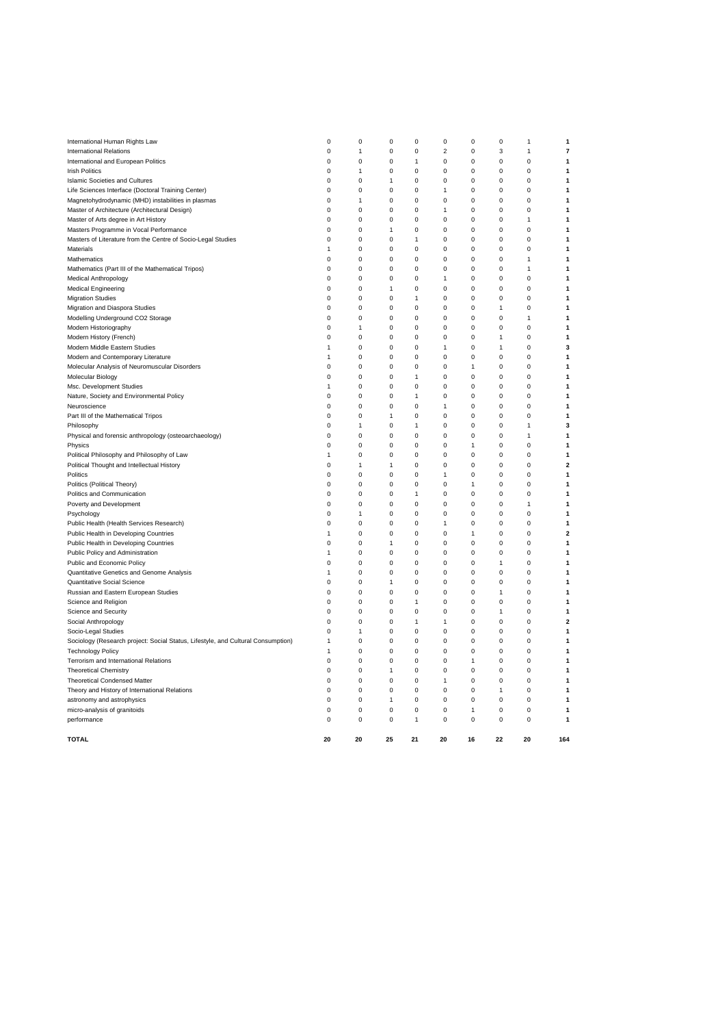| <b>TOTAL</b>                                                                     | 20             | 20           | 25             | 21           | 20           | 16           | 22           | 20             | 164            |
|----------------------------------------------------------------------------------|----------------|--------------|----------------|--------------|--------------|--------------|--------------|----------------|----------------|
| performance                                                                      | $\Omega$       | $\mathbf 0$  | $\pmb{0}$      | 1            | $\mathbf 0$  | 0            | 0            | $\mathbf 0$    | 1              |
| micro-analysis of granitoids                                                     | 0              | $\pmb{0}$    | $\pmb{0}$      | 0            | 0            | 1            | 0            | $\pmb{0}$      | 1              |
| astronomy and astrophysics                                                       | 0              | 0            | $\overline{1}$ | 0            | $\Omega$     | 0            | 0            | $\Omega$       | 1              |
| Theory and History of International Relations                                    | 0              | 0            | 0              | 0            | $\Omega$     | $\Omega$     | 1            | $\Omega$       |                |
| <b>Theoretical Condensed Matter</b>                                              | $\Omega$       | $\mathbf 0$  | $\mathbf 0$    | $\mathbf 0$  | 1            | $\Omega$     | 0            | $\mathbf 0$    |                |
| <b>Theoretical Chemistry</b>                                                     | $\mathbf 0$    | $\mathbf 0$  | $\mathbf{1}$   | $\mathbf 0$  | $\Omega$     | 0            | 0            | $\Omega$       | 1              |
| Terrorism and International Relations                                            | 0              | $\pmb{0}$    | $\pmb{0}$      | 0            | 0            | 1            | 0            | $\mathbf 0$    |                |
| <b>Technology Policy</b>                                                         | 1              | 0            | 0              | 0            | 0            | 0            | 0            | $\Omega$       | 1              |
| Sociology (Research project: Social Status, Lifestyle, and Cultural Consumption) | 1              | 0            | 0              | 0            | 0            | $\Omega$     | 0            | $\Omega$       |                |
| Socio-Legal Studies                                                              | 0              | 1            | 0              | 0            | 0            | 0            | 0            | 0              |                |
| Social Anthropology                                                              | $\mathbf 0$    | $\mathbf 0$  | $\pmb{0}$      | 1            | $\mathbf{1}$ | $\Omega$     | 0            | $\Omega$       | 2              |
| Science and Security                                                             | $\mathbf 0$    | $\mathbf 0$  | $\mathbf 0$    | 0            | 0            | $\mathbf 0$  | $\mathbf{1}$ | $\mathbf 0$    |                |
| Science and Religion                                                             | 0              | 0            | 0              | 1            | 0            | 0            | 0            | $\Omega$       | 1              |
| Russian and Eastern European Studies                                             | 0              | 0            | 0              | 0            | 0            | $\Omega$     | 1            | $\Omega$       |                |
| Quantitative Social Science                                                      | 0              | 0            | $\mathbf{1}$   | 0            | 0            | 0            | 0            | 0              |                |
| Quantitative Genetics and Genome Analysis                                        | $\overline{1}$ | $\mathbf 0$  | $\pmb{0}$      | $\mathbf 0$  | $\pmb{0}$    | $\Omega$     | 0            | $\Omega$       |                |
| Public and Economic Policy                                                       | $\mathbf 0$    | $\mathbf 0$  | $\mathbf 0$    | $\mathbf 0$  | $\Omega$     | $\mathbf 0$  | $\mathbf{1}$ | $\mathbf 0$    |                |
| Public Policy and Administration                                                 | 1              | 0            | 0              | 0            | 0            | 0            | 0            | $\Omega$       |                |
| Public Health in Developing Countries                                            | 0              | 0            | 1              | 0            | 0            | 0            | 0            | 0              |                |
| Public Health in Developing Countries                                            | 1              | 0            | 0              | 0            | 0            | $\mathbf{1}$ | 0            | 0              | $\overline{2}$ |
| Public Health (Health Services Research)                                         | $\mathbf 0$    | $\mathbf 0$  | $\pmb{0}$      | $\mathbf 0$  | 1            | $\pmb{0}$    | 0            | $\mathbf 0$    |                |
| Psychology                                                                       | $\mathbf 0$    | $\mathbf{1}$ | $\pmb{0}$      | $\mathbf 0$  | $\pmb{0}$    | $\mathbf 0$  | 0            | $\mathbf 0$    |                |
| Poverty and Development                                                          | 0              | $\mathbf 0$  | $\Omega$       | $\mathbf 0$  | $\Omega$     | $\Omega$     | 0            | 1              | 1              |
| Politics and Communication                                                       | 0              | 0            | 0              | 1            | 0            | 0            | 0            | 0              |                |
| Politics (Political Theory)                                                      | 0              | 0            | 0              | 0            | 0            | $\mathbf{1}$ | 0            | 0              |                |
| Politics                                                                         | $\mathbf 0$    | $\mathbf 0$  | $\mathbf 0$    | 0            | 1            | $\mathbf 0$  | $\mathbf 0$  | $\mathbf 0$    |                |
| Political Thought and Intellectual History                                       | $\mathbf 0$    | $\mathbf{1}$ | $\overline{1}$ | $\mathbf 0$  | 0            | $\mathbf 0$  | 0            | $\mathbf 0$    | $\overline{2}$ |
| Political Philosophy and Philosophy of Law                                       | 1              | $\mathbf 0$  | 0              | $\mathbf 0$  | $\Omega$     | $\Omega$     | 0            | $\Omega$       |                |
| Physics                                                                          | 0              | 0            | 0              | 0            | 0            | 1            | 0            | 0              |                |
| Physical and forensic anthropology (osteoarchaeology)                            | $\mathbf 0$    | 0            | $\pmb{0}$      | 0            | $\pmb{0}$    | $\pmb{0}$    | 0            | 1              |                |
| Philosophy                                                                       | $\mathbf 0$    | $\mathbf{1}$ | $\mathbf 0$    | $\mathbf{1}$ | $\mathbf 0$  | $\mathbf 0$  | $\mathbf 0$  | 1              | 3              |
| Part III of the Mathematical Tripos                                              | $\mathbf 0$    | $\mathbf 0$  | $\overline{1}$ | $\mathbf 0$  | $\mathbf 0$  | $\mathbf 0$  | $\mathbf 0$  | $\mathbf 0$    |                |
| Neuroscience                                                                     | 0              | $\mathbf 0$  | 0              | $\mathbf 0$  | 1            | $\Omega$     | 0            | $\Omega$       |                |
| Nature, Society and Environmental Policy                                         | 0              | 0            | 0              | 1            | 0            | 0            | 0            | 0              |                |
| Msc. Development Studies                                                         | 1              | 0            | $\pmb{0}$      | 0            | $\pmb{0}$    | $\pmb{0}$    | 0            | 0              |                |
| Molecular Biology                                                                | $\mathbf 0$    | $\mathbf 0$  | $\mathbf 0$    | $\mathbf{1}$ | $\mathbf 0$  | $\mathbf 0$  | $\mathbf 0$  | $\mathbf 0$    |                |
| Molecular Analysis of Neuromuscular Disorders                                    | $\mathbf 0$    | $\mathbf 0$  | $\mathbf 0$    | $\mathbf 0$  | $\mathbf 0$  | $\mathbf{1}$ | $\mathbf 0$  | $\mathbf 0$    |                |
| Modern and Contemporary Literature                                               | 1              | $\mathbf 0$  | 0              | $\mathbf 0$  | $\Omega$     | $\Omega$     | 0            | $\Omega$       | 1              |
| Modern Middle Eastern Studies                                                    | 1              | $\mathbf 0$  | 0              | $\mathbf 0$  | 1            | 0            | 1            | $\mathbf 0$    |                |
| Modern History (French)                                                          | $\mathbf 0$    | 0            | $\mathbf 0$    | 0            | $\pmb{0}$    | 0            | 1            | $\mathbf 0$    |                |
| Modern Historiography                                                            | 0              | 1            | $\mathbf 0$    | 0            | 0            | 0            | 0            | $\mathbf 0$    |                |
| Modelling Underground CO2 Storage                                                | $\mathbf 0$    | $\mathbf 0$  | $\mathbf 0$    | $\mathbf 0$  | $\mathbf 0$  | $\mathbf 0$  | $\mathbf 0$  | 1              |                |
| Migration and Diaspora Studies                                                   | 0              | $\mathbf 0$  | 0              | 0            | $\Omega$     | 0            | 1            | $\Omega$       | 1              |
| <b>Migration Studies</b>                                                         | 0              | 0            | 0              | 1            | 0            | 0            | 0            | $\mathbf 0$    |                |
| <b>Medical Engineering</b>                                                       | $\mathbf 0$    | $\mathbf 0$  | $\overline{1}$ | 0            | $\mathbf 0$  | $\mathbf 0$  | $\mathbf 0$  | $\mathbf 0$    |                |
| <b>Medical Anthropology</b>                                                      | 0              | 0            | $\mathbf 0$    | 0            | $\mathbf{1}$ | 0            | 0            | $\mathbf 0$    |                |
| Mathematics (Part III of the Mathematical Tripos)                                | $\mathbf 0$    | $\mathbf 0$  | $\mathbf 0$    | $\mathbf 0$  | $\mathbf 0$  | $\mathbf 0$  | $\mathbf 0$  | 1              |                |
| Mathematics                                                                      | 0              | $\mathbf 0$  | $\Omega$       | $\mathbf 0$  | $\Omega$     | $\Omega$     | $\Omega$     | 1              | 1              |
| Materials                                                                        | 1              | 0            | $\pmb{0}$      | $\mathbf 0$  | $\mathbf 0$  | $\mathbf 0$  | 0            | $\mathbf 0$    |                |
| Masters of Literature from the Centre of Socio-Legal Studies                     | 0              | 0            | 0              | 1            | 0            | 0            | 0            | $\Omega$       |                |
| Masters Programme in Vocal Performance                                           | 0              | 0            | $\mathbf{1}$   | 0            | 0            | 0            | 0            | $\mathbf 0$    |                |
| Master of Arts degree in Art History                                             | $\mathbf 0$    | $\mathbf 0$  | $\mathbf 0$    | $\mathbf 0$  | $\mathbf 0$  | $\mathbf 0$  | $\mathbf 0$  | 1              |                |
| Master of Architecture (Architectural Design)                                    | 0              | $\Omega$     | $\Omega$       | $\mathbf 0$  | $\mathbf{1}$ | $\Omega$     | 0            | $\Omega$       | 1              |
| Magnetohydrodynamic (MHD) instabilities in plasmas                               | 0              | 1            | 0              | 0            | $\Omega$     | $\Omega$     | 0            | $\mathbf 0$    |                |
| Life Sciences Interface (Doctoral Training Center)                               | 0              | $\mathbf 0$  | 0              | 0            | 1            | 0            | 0            | $\Omega$       |                |
| <b>Islamic Societies and Cultures</b>                                            | 0              | 0            | $\mathbf{1}$   | 0            | 0            | 0            | 0            | $\mathbf 0$    |                |
| <b>Irish Politics</b>                                                            | 0              | 1            | 0              | 0            | 0            | 0            | 0            | 0              |                |
| International and European Politics                                              | $\mathbf 0$    | $\mathbf 0$  | $\pmb{0}$      | 1            | $\Omega$     | 0            | 0            | $\Omega$       |                |
| <b>International Relations</b>                                                   | $\mathbf 0$    | $\mathbf{1}$ | $\pmb{0}$      | 0            | $\mathbf 2$  | 0            | 3            | $\overline{1}$ |                |
| International Human Rights Law                                                   | 0              | 0            | 0              | 0            | 0            | 0            | 0            | 1              |                |
|                                                                                  |                |              |                |              |              |              |              |                |                |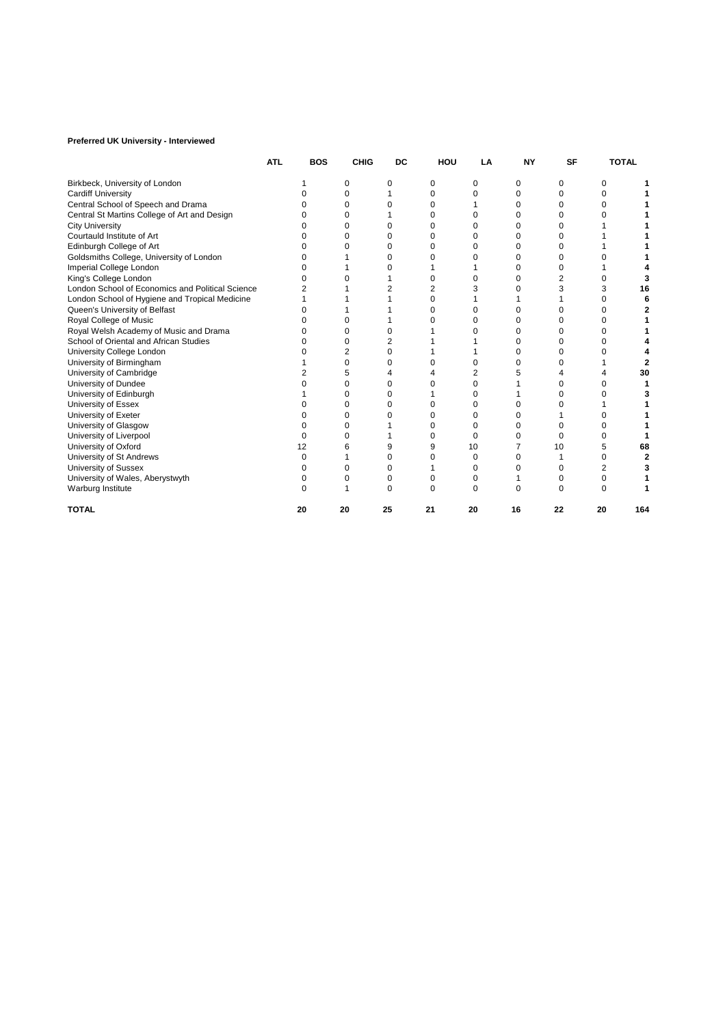## **Preferred UK University - Interviewed**

|                                                  | <b>ATL</b> | <b>BOS</b> | <b>CHIG</b> | DC           | HOU      | LA           | <b>NY</b> | <b>SF</b> |    | <b>TOTAL</b> |
|--------------------------------------------------|------------|------------|-------------|--------------|----------|--------------|-----------|-----------|----|--------------|
| Birkbeck, University of London                   |            |            | 0           | 0            | 0        | 0            | 0         | 0         | 0  |              |
| <b>Cardiff University</b>                        |            |            | 0           |              | $\Omega$ | o            | 0         | 0         | 0  |              |
| Central School of Speech and Drama               |            |            | 0           | 0            | 0        |              | 0         | O         | 0  |              |
| Central St Martins College of Art and Design     |            |            | O           |              | 0        |              | 0         | O         | ი  |              |
| <b>City University</b>                           |            |            | 0           | 0            | 0        |              | 0         | 0         |    |              |
| Courtauld Institute of Art                       |            |            | 0           | 0            | 0        |              | 0         | 0         |    |              |
| Edinburgh College of Art                         |            |            |             | O            | O        |              | 0         | O         |    |              |
| Goldsmiths College, University of London         |            |            |             | O            | 0        |              | 0         | O         |    |              |
| Imperial College London                          |            |            |             |              |          |              | 0         | ი         |    |              |
| King's College London                            |            |            |             |              | 0        |              | 0         | 2         | 0  |              |
| London School of Economics and Political Science |            |            |             |              | 2        |              | 0         | 3         | 3  |              |
| London School of Hygiene and Tropical Medicine   |            |            |             |              | $\Omega$ |              |           |           | O  |              |
| Queen's University of Belfast                    |            |            |             |              | O        | o            | 0         | O         | 0  |              |
| Royal College of Music                           |            |            |             |              | O        |              | 0         | ი         | 0  |              |
| Royal Welsh Academy of Music and Drama           |            |            | O           |              |          |              | 0         | 0         | 0  |              |
| School of Oriental and African Studies           |            |            | 0           | 2            |          |              | 0         | O         | 0  |              |
| University College London                        |            |            | 2           | O            |          |              | 0         | ი         | O  |              |
| University of Birmingham                         |            |            | $\Omega$    | O            | o        |              | 0         | ი         |    |              |
| University of Cambridge                          |            |            |             |              |          |              |           |           |    |              |
| University of Dundee                             |            |            |             | 0            |          |              |           | n         | 0  |              |
| University of Edinburgh                          |            |            |             | 0            |          |              |           | 0         | ი  |              |
| University of Essex                              |            |            | 0           | 0            | Ω        | n            | 0         |           |    |              |
| University of Exeter                             |            |            | O           |              | 0        | O            | 0         |           | O  |              |
| University of Glasgow                            |            |            | U           |              | 0        | 0            | 0         | 0         | 0  |              |
| University of Liverpool                          |            |            |             |              | 0        | $\Omega$     | 0         | O         | 0  |              |
| University of Oxford                             |            | 12         |             | 9            | 9        | 10           |           | 10        | 5  |              |
| University of St Andrews                         |            |            |             | $\Omega$     | 0        | 0            | 0         |           | 0  |              |
| University of Sussex                             |            |            | ი           | <sup>0</sup> |          | <sup>0</sup> | O         | O         | 2  |              |
| University of Wales, Aberystwyth                 |            |            |             | 0            | 0        | 0            |           | 0         | 0  |              |
| Warburg Institute                                |            |            |             | $\Omega$     | O        | $\Omega$     | O         | $\Omega$  | O  |              |
| <b>TOTAL</b>                                     |            | 20         | 20          | 25           | 21       | 20           | 16        | 22        | 20 | 164          |
|                                                  |            |            |             |              |          |              |           |           |    |              |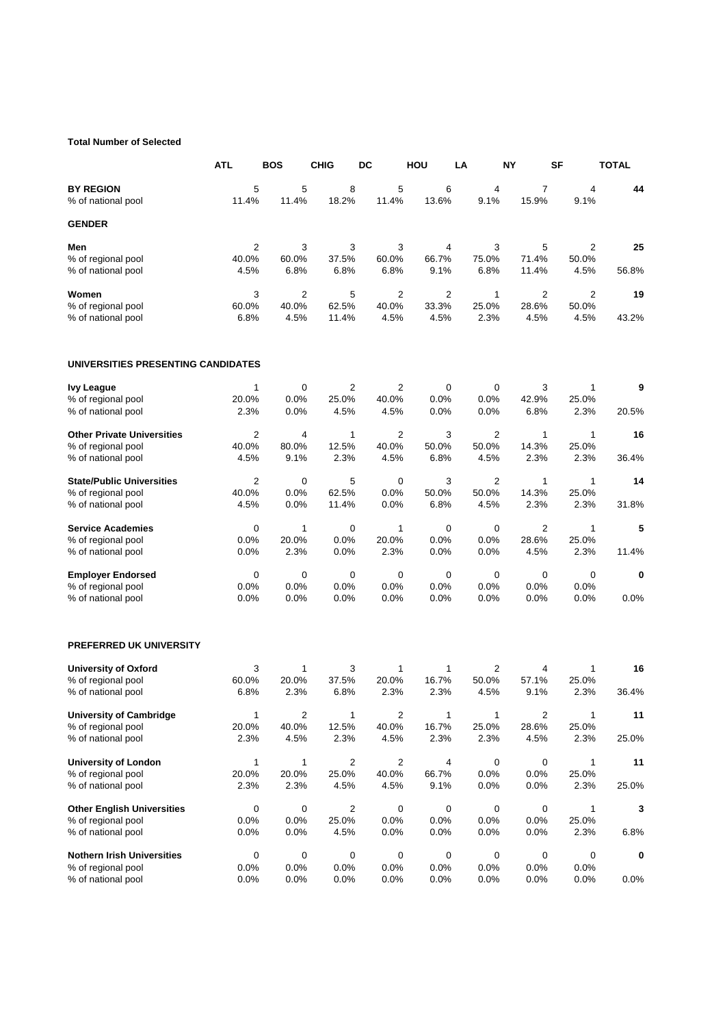## **Total Number of Selected**

|                                                         | <b>ATL</b>     | <b>BOS</b>       | <b>CHIG</b>    | DC             | HOU          | LA             | <b>NY</b>      | <b>SF</b>      | <b>TOTAL</b> |
|---------------------------------------------------------|----------------|------------------|----------------|----------------|--------------|----------------|----------------|----------------|--------------|
| <b>BY REGION</b>                                        | 5              | 5                | 8              | 5              | 6            | 4              | $\overline{7}$ | 4              | 44           |
| % of national pool                                      | 11.4%          | 11.4%            | 18.2%          | 11.4%          | 13.6%        | 9.1%           | 15.9%          | 9.1%           |              |
| <b>GENDER</b>                                           |                |                  |                |                |              |                |                |                |              |
| Men                                                     | $\overline{c}$ | 3                | 3              | 3              | 4            | 3              | 5              | 2              | 25           |
| % of regional pool                                      | 40.0%          | 60.0%            | 37.5%          | 60.0%          | 66.7%        | 75.0%          | 71.4%          | 50.0%          |              |
| % of national pool                                      | 4.5%           | 6.8%             | 6.8%           | 6.8%           | 9.1%         | 6.8%           | 11.4%          | 4.5%           | 56.8%        |
| Women                                                   | 3              | $\overline{2}$   | 5              | 2              | 2            | 1              | $\overline{2}$ | $\overline{2}$ | 19           |
| % of regional pool                                      | 60.0%          | 40.0%            | 62.5%          | 40.0%          | 33.3%        | 25.0%          | 28.6%          | 50.0%          |              |
| % of national pool                                      | 6.8%           | 4.5%             | 11.4%          | 4.5%           | 4.5%         | 2.3%           | 4.5%           | 4.5%           | 43.2%        |
| UNIVERSITIES PRESENTING CANDIDATES                      |                |                  |                |                |              |                |                |                |              |
| <b>Ivy League</b>                                       | $\mathbf{1}$   | $\mathbf 0$      | $\overline{2}$ | $\overline{2}$ | 0            | 0              | 3              | 1              | 9            |
| % of regional pool                                      | 20.0%          | 0.0%             | 25.0%          | 40.0%          | 0.0%         | 0.0%           | 42.9%          | 25.0%          |              |
| % of national pool                                      | 2.3%           | 0.0%             | 4.5%           | 4.5%           | 0.0%         | 0.0%           | 6.8%           | 2.3%           | 20.5%        |
| <b>Other Private Universities</b>                       | 2              | 4                | 1              | $\overline{2}$ | 3            | $\overline{2}$ | $\mathbf{1}$   | 1              | 16           |
| % of regional pool                                      | 40.0%          | 80.0%            | 12.5%          | 40.0%          | 50.0%        | 50.0%          | 14.3%          | 25.0%          |              |
| % of national pool                                      | 4.5%           | 9.1%             | 2.3%           | 4.5%           | 6.8%         | 4.5%           | 2.3%           | 2.3%           | 36.4%        |
| <b>State/Public Universities</b>                        | $\overline{2}$ | $\mathbf 0$      | 5              | 0              | 3            | $\overline{2}$ | $\mathbf{1}$   | $\mathbf{1}$   | 14           |
| % of regional pool                                      | 40.0%          | 0.0%             | 62.5%          | 0.0%           | 50.0%        | 50.0%          | 14.3%          | 25.0%          |              |
| % of national pool                                      | 4.5%           | 0.0%             | 11.4%          | 0.0%           | 6.8%         | 4.5%           | 2.3%           | 2.3%           | 31.8%        |
| <b>Service Academies</b>                                | 0              | 1                | 0              | 1              | 0            | 0              | $\overline{2}$ | $\mathbf{1}$   | 5            |
| % of regional pool                                      | 0.0%           | 20.0%            | 0.0%           | 20.0%          | 0.0%         | 0.0%           | 28.6%          | 25.0%          |              |
| % of national pool                                      | 0.0%           | 2.3%             | 0.0%           | 2.3%           | 0.0%         | 0.0%           | 4.5%           | 2.3%           | 11.4%        |
| <b>Employer Endorsed</b>                                | 0              | $\mathbf 0$      | 0              | 0              | 0            | 0              | 0              | 0              | $\mathbf 0$  |
| % of regional pool                                      | 0.0%           | 0.0%             | 0.0%           | 0.0%           | 0.0%         | 0.0%           | 0.0%           | 0.0%           |              |
| % of national pool                                      | 0.0%           | 0.0%             | 0.0%           | 0.0%           | 0.0%         | 0.0%           | 0.0%           | 0.0%           | 0.0%         |
| <b>PREFERRED UK UNIVERSITY</b>                          |                |                  |                |                |              |                |                |                |              |
| <b>University of Oxford</b>                             | 3              | 1                | 3              | 1              | 1            | $\overline{2}$ | 4              | 1              | 16           |
| % of regional pool                                      | 60.0%          | 20.0%            | 37.5%          | 20.0%          | 16.7%        | 50.0%          | 57.1%          | 25.0%          |              |
| % of national pool                                      | 6.8%           | 2.3%             | 6.8%           | 2.3%           | 2.3%         | 4.5%           | 9.1%           | 2.3%           | 36.4%        |
| <b>University of Cambridge</b>                          | $\mathbf{1}$   | $\boldsymbol{2}$ | $\mathbf{1}$   | $\overline{c}$ | $\mathbf{1}$ | $\mathbf{1}$   | $\overline{c}$ | $\mathbf{1}$   | 11           |
| % of regional pool                                      | 20.0%          | 40.0%            | 12.5%          | 40.0%          | 16.7%        | 25.0%          | 28.6%          | 25.0%          |              |
| % of national pool                                      | 2.3%           | 4.5%             | 2.3%           | 4.5%           | 2.3%         | 2.3%           | 4.5%           | 2.3%           | 25.0%        |
| <b>University of London</b>                             | 1              | 1                | 2              | 2              | 4            | 0              | 0              | 1              | 11           |
| % of regional pool                                      | 20.0%          | 20.0%            | 25.0%          | 40.0%          | 66.7%        | 0.0%           | 0.0%           | 25.0%          |              |
| % of national pool                                      | 2.3%           | 2.3%             | 4.5%           | 4.5%           | 9.1%         | 0.0%           | 0.0%           | 2.3%           | 25.0%        |
| <b>Other English Universities</b><br>% of regional pool | 0<br>0.0%      | $\mathbf 0$      | 2              | 0<br>0.0%      | 0            | 0<br>0.0%      | 0<br>0.0%      | 1<br>25.0%     | 3            |
| % of national pool                                      | 0.0%           | 0.0%<br>0.0%     | 25.0%<br>4.5%  | 0.0%           | 0.0%<br>0.0% | 0.0%           | 0.0%           | 2.3%           | 6.8%         |
|                                                         |                |                  |                |                |              |                |                |                |              |
| <b>Nothern Irish Universities</b>                       | 0              | 0                | 0              | 0              | 0            | 0              | 0              | 0              | 0            |
| % of regional pool                                      | 0.0%           | 0.0%             | 0.0%           | 0.0%           | 0.0%         | 0.0%           | 0.0%           | 0.0%           |              |
| % of national pool                                      | 0.0%           | 0.0%             | 0.0%           | 0.0%           | 0.0%         | 0.0%           | 0.0%           | 0.0%           | $0.0\%$      |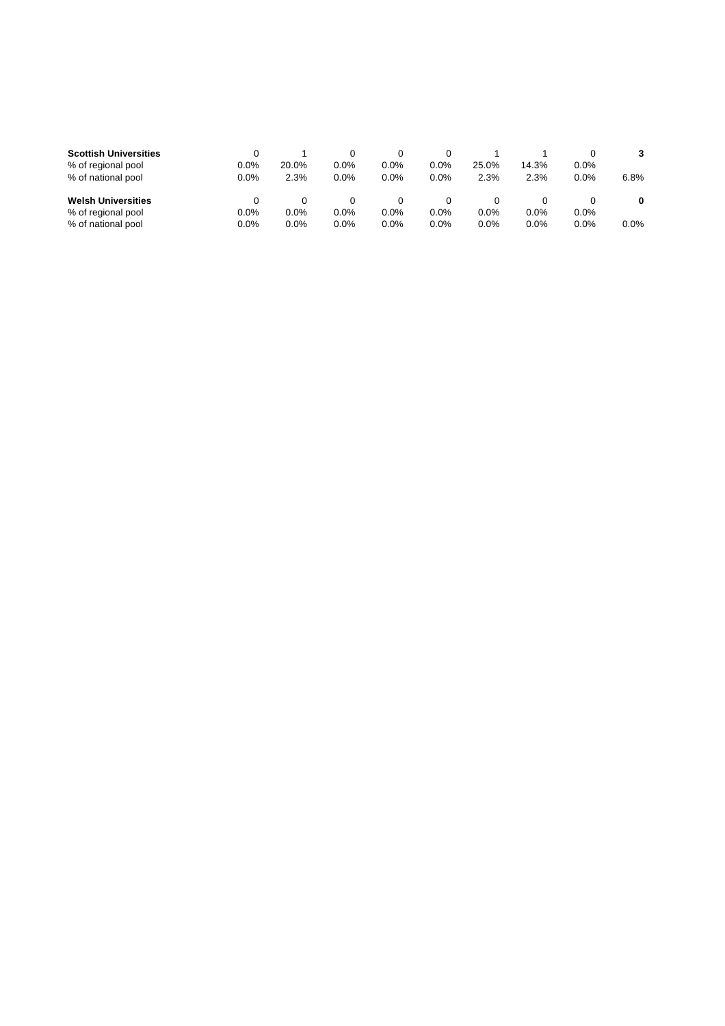| <b>Scottish Universities</b> |         |       |         |      |      |         |         |         |      |
|------------------------------|---------|-------|---------|------|------|---------|---------|---------|------|
| % of regional pool           | $0.0\%$ | 20.0% | $0.0\%$ | 0.0% | 0.0% | 25.0%   | 14.3%   | 0.0%    |      |
| % of national pool           | 0.0%    | 2.3%  | $0.0\%$ | 0.0% | 0.0% | 2.3%    | 2.3%    | 0.0%    | 6.8% |
|                              |         |       |         |      |      |         |         |         |      |
| <b>Welsh Universities</b>    |         |       |         |      |      |         |         |         |      |
| % of regional pool           | 0.0%    | 0.0%  | $0.0\%$ | 0.0% | 0.0% | $0.0\%$ | $0.0\%$ | $0.0\%$ |      |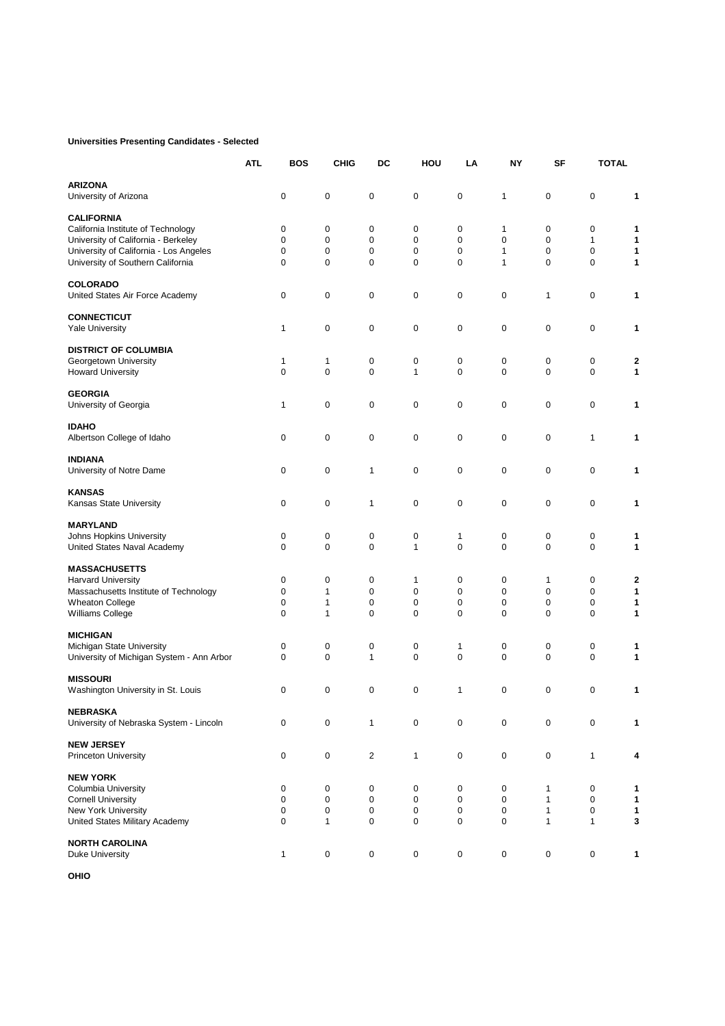## **Universities Presenting Candidates - Selected**

|                                           | <b>ATL</b> | <b>BOS</b>   | <b>CHIG</b>  | DC             | HOU          | LA                  | NY          | SF           | <b>TOTAL</b> |   |
|-------------------------------------------|------------|--------------|--------------|----------------|--------------|---------------------|-------------|--------------|--------------|---|
| <b>ARIZONA</b>                            |            |              |              |                |              |                     |             |              |              |   |
| University of Arizona                     |            | $\pmb{0}$    | $\mathbf 0$  | $\mathbf 0$    | $\mathbf 0$  | 0                   | 1           | 0            | $\mathbf 0$  | 1 |
| <b>CALIFORNIA</b>                         |            |              |              |                |              |                     |             |              |              |   |
| California Institute of Technology        |            | 0            | 0            | $\mathbf 0$    | $\mathbf 0$  | 0                   | 1           | 0            | 0            | 1 |
| University of California - Berkeley       |            | $\mathbf 0$  | 0            | $\mathbf 0$    | $\mathbf 0$  | $\mathbf 0$         | $\mathbf 0$ | $\mathbf 0$  | $\mathbf{1}$ | 1 |
| University of California - Los Angeles    |            | $\mathbf 0$  | $\mathbf 0$  | $\mathbf 0$    | $\mathbf 0$  | 0                   | 1           | $\mathbf 0$  | $\mathbf 0$  | 1 |
| University of Southern California         |            | $\mathbf 0$  | $\mathbf 0$  | $\mathbf 0$    | $\mathbf 0$  | $\mathbf 0$         | 1           | $\mathbf 0$  | $\mathbf 0$  | 1 |
| <b>COLORADO</b>                           |            |              |              |                |              |                     |             |              |              |   |
| United States Air Force Academy           |            | 0            | 0            | $\mathbf 0$    | $\mathbf 0$  | 0                   | 0           | 1            | $\mathbf 0$  | 1 |
| <b>CONNECTICUT</b>                        |            |              |              |                |              |                     |             |              |              |   |
| <b>Yale University</b>                    |            | 1            | 0            | 0              | $\mathbf 0$  | 0                   | 0           | 0            | 0            | 1 |
| <b>DISTRICT OF COLUMBIA</b>               |            |              |              |                |              |                     |             |              |              |   |
| Georgetown University                     |            | 1            | 1            | 0              | $\pmb{0}$    | 0                   | 0           | 0            | 0            | 2 |
| <b>Howard University</b>                  |            | $\mathbf 0$  | $\mathbf 0$  | $\mathbf 0$    | $\mathbf{1}$ | $\mathbf 0$         | $\Omega$    | $\Omega$     | $\mathbf 0$  | 1 |
| <b>GEORGIA</b>                            |            |              |              |                |              |                     |             |              |              |   |
| University of Georgia                     |            | 1            | 0            | $\mathbf 0$    | $\mathbf 0$  | 0                   | 0           | 0            | $\pmb{0}$    | 1 |
| <b>IDAHO</b>                              |            |              |              |                |              |                     |             |              |              |   |
| Albertson College of Idaho                |            | 0            | 0            | 0              | $\mathbf 0$  | $\pmb{0}$           | 0           | 0            | 1            | 1 |
| INDIANA                                   |            |              |              |                |              |                     |             |              |              |   |
| University of Notre Dame                  |            | 0            | 0            | 1              | $\mathbf 0$  | 0                   | 0           | 0            | $\mathbf 0$  | 1 |
| <b>KANSAS</b>                             |            |              |              |                |              |                     |             |              |              |   |
| Kansas State University                   |            | 0            | 0            | 1              | $\mathbf 0$  | 0                   | 0           | 0            | 0            | 1 |
| <b>MARYLAND</b>                           |            |              |              |                |              |                     |             |              |              |   |
| Johns Hopkins University                  |            | 0            | 0            | 0              | $\pmb{0}$    | $\mathbf{1}$        | 0           | 0            | 0            | 1 |
| United States Naval Academy               |            | $\mathbf 0$  | $\mathbf 0$  | $\mathbf 0$    | $\mathbf{1}$ | $\mathbf 0$         | $\mathbf 0$ | $\mathbf 0$  | $\mathbf 0$  | 1 |
| <b>MASSACHUSETTS</b>                      |            |              |              |                |              |                     |             |              |              |   |
| <b>Harvard University</b>                 |            | 0            | 0            | $\mathbf 0$    | 1            | 0                   | 0           | 1            | 0            | 2 |
| Massachusetts Institute of Technology     |            | $\mathbf 0$  | $\mathbf{1}$ | $\mathbf 0$    | $\mathbf 0$  | $\mathbf 0$         | $\mathbf 0$ | $\Omega$     | $\pmb{0}$    | 1 |
| <b>Wheaton College</b>                    |            | 0            | 1            | $\mathbf 0$    | $\mathbf 0$  | 0                   | $\mathbf 0$ | 0            | 0            | 1 |
| Williams College                          |            | $\mathbf 0$  | $\mathbf{1}$ | $\mathbf 0$    | $\mathbf 0$  | $\mathbf 0$         | $\mathbf 0$ | $\mathbf 0$  | $\mathbf 0$  | 1 |
| <b>MICHIGAN</b>                           |            |              |              |                |              |                     |             |              |              |   |
| Michigan State University                 |            | 0            | 0            | 0              | $\pmb{0}$    | $\mathbf{1}$        | 0           | 0            | 0            | 1 |
| University of Michigan System - Ann Arbor |            | $\mathbf 0$  | $\mathbf 0$  | $\mathbf{1}$   | $\mathbf 0$  | $\mathbf 0$         | $\mathbf 0$ | $\mathbf 0$  | $\mathbf 0$  | 1 |
| <b>MISSOURI</b>                           |            |              |              |                |              |                     |             |              |              |   |
| Washington University in St. Louis        |            | 0            | 0            | $\mathbf 0$    | $\mathbf 0$  | $\mathbf{1}$        | $\mathbf 0$ | $\mathbf 0$  | $\mathbf 0$  | 1 |
| <b>NEBRASKA</b>                           |            |              |              |                |              |                     |             |              |              |   |
| University of Nebraska System - Lincoln   |            | 0            | 0            | 1              | $\mathsf 0$  | $\pmb{0}$           | 0           | 0            | $\mathsf 0$  | 1 |
| <b>NEW JERSEY</b>                         |            |              |              |                |              |                     |             |              |              |   |
| <b>Princeton University</b>               |            | 0            | 0            | $\overline{c}$ | $\mathbf{1}$ | $\mathsf{O}\xspace$ | 0           | 0            | $\mathbf{1}$ |   |
| <b>NEW YORK</b>                           |            |              |              |                |              |                     |             |              |              |   |
| Columbia University                       |            | 0            | 0            | 0              | 0            | 0                   | 0           | $\mathbf{1}$ | 0            | 1 |
| <b>Cornell University</b>                 |            | 0            | 0            | $\pmb{0}$      | 0            | 0                   | 0           | $\mathbf{1}$ | 0            | 1 |
| New York University                       |            | $\mathbf 0$  | 0            | $\pmb{0}$      | $\mathbf 0$  | 0                   | 0           | $\mathbf{1}$ | $\mathsf 0$  | 1 |
| United States Military Academy            |            | $\mathbf 0$  | $\mathbf{1}$ | $\pmb{0}$      | $\mathbf 0$  | 0                   | $\pmb{0}$   | $\mathbf{1}$ | $\mathbf{1}$ | 3 |
| <b>NORTH CAROLINA</b>                     |            |              |              |                |              |                     |             |              |              |   |
| Duke University                           |            | $\mathbf{1}$ | 0            | 0              | $\pmb{0}$    | 0                   | 0           | 0            | 0            | 1 |
|                                           |            |              |              |                |              |                     |             |              |              |   |

**OHIO**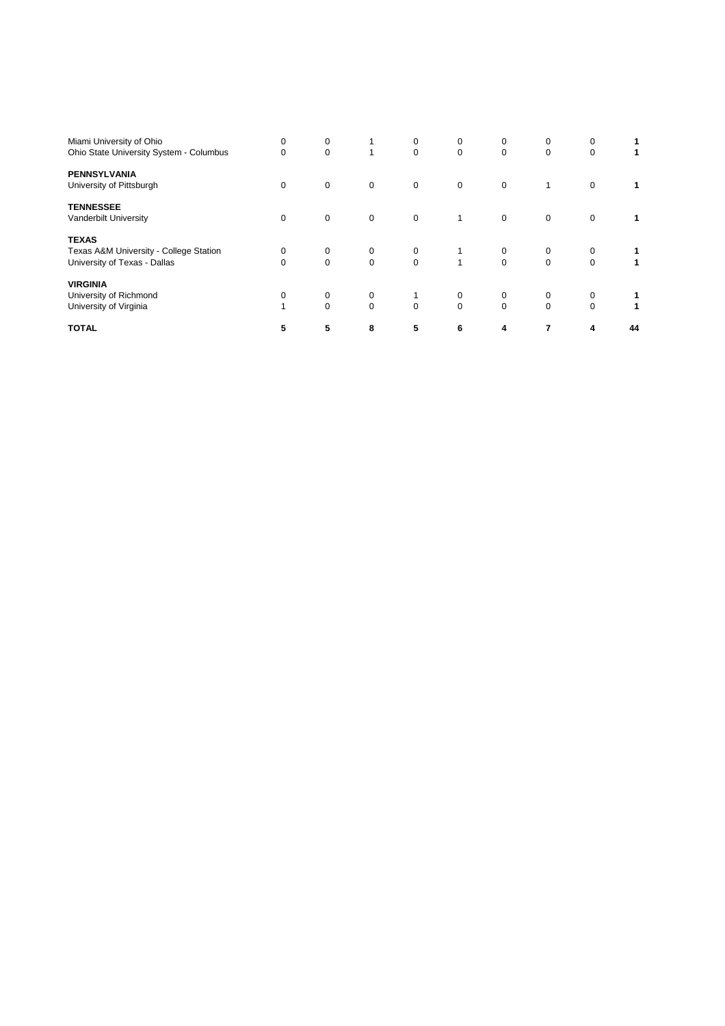| Miami University of Ohio<br>Ohio State University System - Columbus                    | 0<br>$\mathbf 0$ | 0<br>$\mathbf 0$ | $\mathbf{1}$  | 0<br>$\mathbf 0$        | 0<br>$\mathbf 0$        | 0<br>$\mathbf 0$        | 0<br>$\mathbf 0$ | 0<br>$\mathbf 0$ |    |
|----------------------------------------------------------------------------------------|------------------|------------------|---------------|-------------------------|-------------------------|-------------------------|------------------|------------------|----|
| <b>PENNSYLVANIA</b><br>University of Pittsburgh                                        | $\mathbf 0$      | $\mathbf 0$      | $\mathbf 0$   | $\mathbf 0$             | $\mathbf 0$             | $\mathbf 0$             | 1                | $\mathbf 0$      |    |
| <b>TENNESSEE</b><br>Vanderbilt University                                              | $\mathbf 0$      | $\mathbf 0$      | $\mathbf 0$   | $\mathbf 0$             | 1                       | $\mathbf 0$             | $\mathbf 0$      | $\mathbf 0$      |    |
| <b>TEXAS</b><br>Texas A&M University - College Station<br>University of Texas - Dallas | 0<br>$\Omega$    | 0<br>$\Omega$    | 0<br>$\Omega$ | $\mathbf 0$<br>$\Omega$ | $\mathbf{1}$            | 0<br>$\Omega$           | 0<br>$\Omega$    | 0<br>$\Omega$    |    |
| <b>VIRGINIA</b><br>University of Richmond<br>University of Virginia                    | 0                | 0<br>$\Omega$    | 0<br>$\Omega$ | $\Omega$                | $\mathbf 0$<br>$\Omega$ | $\mathbf 0$<br>$\Omega$ | 0<br>$\Omega$    | 0<br>$\mathbf 0$ |    |
| <b>TOTAL</b>                                                                           | 5                | 5                | 8             | 5                       | 6                       | 4                       | 7                | 4                | 44 |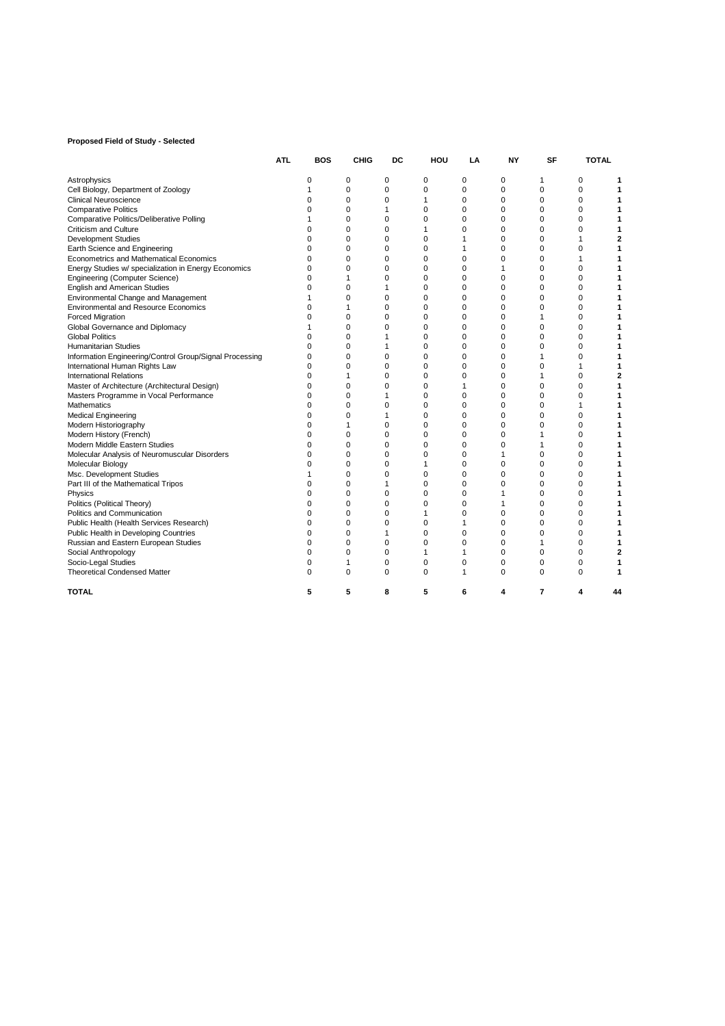## **Proposed Field of Study - Selected**

|                                                         | <b>ATL</b> | <b>BOS</b> | CHIG     | DC          | HOU         | LA       | NΥ           | SF       | TOTAL    |    |
|---------------------------------------------------------|------------|------------|----------|-------------|-------------|----------|--------------|----------|----------|----|
| Astrophysics                                            |            | 0          | 0        | 0           | 0           | 0        | 0            | 1        | 0        |    |
| Cell Biology, Department of Zoology                     |            | 1          | 0        | $\mathbf 0$ | $\mathbf 0$ | 0        | $\mathbf 0$  | 0        | 0        |    |
| Clinical Neuroscience                                   |            | 0          | 0        | 0           | 1           | 0        | 0            | 0        | 0        |    |
| <b>Comparative Politics</b>                             |            | ŋ          | $\Omega$ | 1           | $\Omega$    | $\Omega$ | $\Omega$     | 0        | 0        |    |
| Comparative Politics/Deliberative Polling               |            |            | $\Omega$ | $\mathbf 0$ | $\mathbf 0$ | $\Omega$ | $\Omega$     | $\Omega$ | 0        |    |
| Criticism and Culture                                   |            | O          | 0        | 0           | 1           | 0        | 0            | 0        | 0        |    |
| <b>Development Studies</b>                              |            | 0          | 0        | 0           | $\mathbf 0$ | 1        | 0            | 0        | 1        |    |
| Earth Science and Engineering                           |            | 0          | 0        | 0           | 0           | 1        | 0            | 0        | 0        |    |
| Econometrics and Mathematical Economics                 |            | $\Omega$   | 0        | 0           | $\mathbf 0$ | 0        | 0            | 0        | 1        |    |
| Energy Studies w/ specialization in Energy Economics    |            | 0          | 0        | 0           | 0           | 0        | 1            | 0        | 0        |    |
| <b>Engineering (Computer Science)</b>                   |            | ŋ          | 1        | 0           | $\mathbf 0$ | 0        | $\Omega$     | $\Omega$ | 0        |    |
| <b>English and American Studies</b>                     |            | O          | 0        | 1           | $\mathbf 0$ | 0        | 0            | $\Omega$ | 0        |    |
| Environmental Change and Management                     |            |            | 0        | 0           | $\mathbf 0$ | 0        | 0            | 0        | 0        |    |
| <b>Environmental and Resource Economics</b>             |            | O          | 1        | 0           | $\mathbf 0$ | 0        | $\Omega$     | $\Omega$ | 0        |    |
| <b>Forced Migration</b>                                 |            | ŋ          | 0        | 0           | $\mathbf 0$ | 0        | $\Omega$     | 1        | 0        |    |
| Global Governance and Diplomacy                         |            |            | $\Omega$ | 0           | 0           | 0        | 0            | $\Omega$ | 0        |    |
| <b>Global Politics</b>                                  |            | O          | 0        | 1           | $\mathbf 0$ | 0        | $\Omega$     | $\Omega$ | 0        |    |
| <b>Humanitarian Studies</b>                             |            | O          | 0        | 1           | $\mathbf 0$ | 0        | 0            | $\Omega$ | 0        |    |
| Information Engineering/Control Group/Signal Processing |            | 0          | 0        | 0           | $\mathbf 0$ | 0        | 0            | 1        | 0        |    |
| International Human Rights Law                          |            | O          | $\Omega$ | 0           | $\mathbf 0$ | 0        | $\Omega$     | 0        | 1        |    |
| <b>International Relations</b>                          |            | 0          | 1        | 0           | 0           | 0        | 0            | 1        | 0        |    |
| Master of Architecture (Architectural Design)           |            | 0          | 0        | 0           | 0           | 1        | 0            | $\Omega$ | 0        |    |
| Masters Programme in Vocal Performance                  |            | $\Omega$   | $\Omega$ | 1           | $\Omega$    | $\Omega$ | $\Omega$     | $\Omega$ | $\Omega$ |    |
| Mathematics                                             |            | 0          | 0        | 0           | $\mathbf 0$ | 0        | 0            | $\Omega$ | 1        |    |
| <b>Medical Engineering</b>                              |            | 0          | 0        | 1           | $\mathbf 0$ | 0        | 0            | 0        | 0        |    |
| Modern Historiography                                   |            | 0          | 1        | 0           | $\mathbf 0$ | 0        | $\Omega$     | 0        | 0        |    |
| Modern History (French)                                 |            | 0          | 0        | 0           | $\mathbf 0$ | 0        | 0            | 1        | 0        |    |
| Modern Middle Eastern Studies                           |            | $\Omega$   | 0        | 0           | $\mathbf 0$ | 0        | 0            | 1        | 0        |    |
| Molecular Analysis of Neuromuscular Disorders           |            | O          | $\Omega$ | $\mathbf 0$ | $\mathbf 0$ | $\Omega$ | 1            | $\Omega$ | $\Omega$ |    |
| Molecular Biology                                       |            | 0          | 0        | 0           | 1           | 0        | 0            | $\Omega$ | 0        |    |
| Msc. Development Studies                                |            |            | 0        | 0           | $\mathbf 0$ | 0        | 0            | 0        | 0        |    |
| Part III of the Mathematical Tripos                     |            | O          | $\Omega$ | 1           | $\mathbf 0$ | 0        | $\Omega$     | $\Omega$ | 0        |    |
| Physics                                                 |            | 0          | 0        | 0           | $\mathbf 0$ | 0        | 1            | $\Omega$ | 0        |    |
| Politics (Political Theory)                             |            | $\Omega$   | 0        | 0           | $\mathbf 0$ | 0        | $\mathbf{1}$ | $\Omega$ | 0        |    |
| Politics and Communication                              |            | O          | $\Omega$ | 0           | 1           | 0        | $\Omega$     | $\Omega$ | 0        |    |
| Public Health (Health Services Research)                |            | 0          | 0        | 0           | 0           | 1        | 0            | 0        | 0        |    |
| Public Health in Developing Countries                   |            | 0          | 0        | 1           | $\mathbf 0$ | 0        | 0            | 0        | 0        |    |
| Russian and Eastern European Studies                    |            | O          | $\Omega$ | 0           | $\mathbf 0$ | 0        | $\Omega$     |          | 0        |    |
| Social Anthropology                                     |            | 0          | 0        | 0           | 1           | 1        | 0            | 0        | 0        |    |
| Socio-Legal Studies                                     |            | 0          | 1        | $\mathbf 0$ | $\mathbf 0$ | 0        | 0            | $\Omega$ | 0        |    |
| <b>Theoretical Condensed Matter</b>                     |            | O          | $\Omega$ | $\Omega$    | $\Omega$    | 1        | $\Omega$     | $\Omega$ | $\Omega$ |    |
| <b>TOTAL</b>                                            |            | 5          | 5        | 8           | 5           | 6        | 4            | 7        | 4        | 44 |